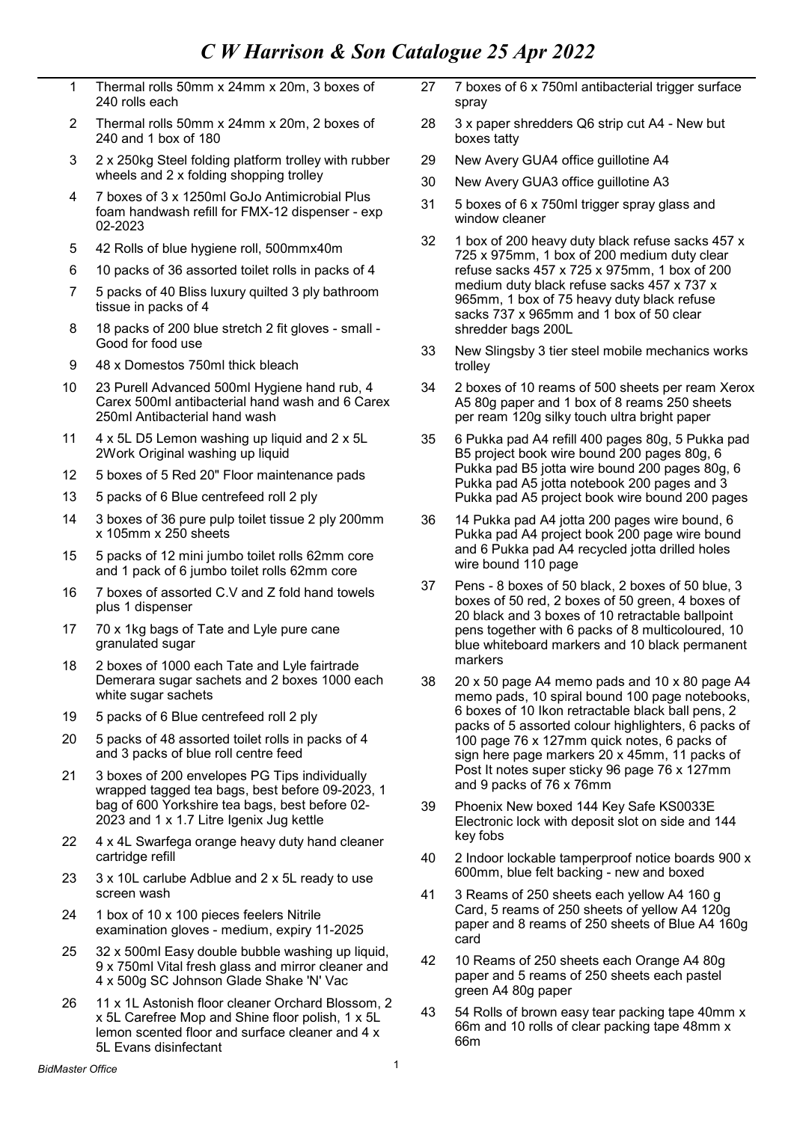- 1 Thermal rolls 50mm x 24mm x 20m, 3 boxes of 240 rolls each
- 2 Thermal rolls 50mm x 24mm x 20m, 2 boxes of 240 and 1 box of 180
- 3 2 x 250kg Steel folding platform trolley with rubber wheels and 2 x folding shopping trolley
- 4 7 boxes of 3 x 1250ml GoJo Antimicrobial Plus foam handwash refill for FMX-12 dispenser - exp 02-2023
- 5 42 Rolls of blue hygiene roll, 500mmx40m
- 6 10 packs of 36 assorted toilet rolls in packs of 4
- 7 5 packs of 40 Bliss luxury quilted 3 ply bathroom tissue in packs of 4
- 8 18 packs of 200 blue stretch 2 fit gloves small Good for food use
- 9 48 x Domestos 750ml thick bleach
- 10 23 Purell Advanced 500ml Hygiene hand rub, 4 Carex 500ml antibacterial hand wash and 6 Carex 250ml Antibacterial hand wash
- 11 4 x 5L D5 Lemon washing up liquid and 2 x 5L 2Work Original washing up liquid
- 12 5 boxes of 5 Red 20" Floor maintenance pads
- 13 5 packs of 6 Blue centrefeed roll 2 ply
- 14 3 boxes of 36 pure pulp toilet tissue 2 ply 200mm x 105mm x 250 sheets
- 15 5 packs of 12 mini jumbo toilet rolls 62mm core and 1 pack of 6 jumbo toilet rolls 62mm core
- 16 7 boxes of assorted C.V and Z fold hand towels plus 1 dispenser
- 17 70 x 1kg bags of Tate and Lyle pure cane granulated sugar
- 18 2 boxes of 1000 each Tate and Lyle fairtrade Demerara sugar sachets and 2 boxes 1000 each white sugar sachets
- 19 5 packs of 6 Blue centrefeed roll 2 ply
- 20 5 packs of 48 assorted toilet rolls in packs of 4 and 3 packs of blue roll centre feed
- 21 3 boxes of 200 envelopes PG Tips individually wrapped tagged tea bags, best before 09-2023, 1 bag of 600 Yorkshire tea bags, best before 02- 2023 and 1 x 1.7 Litre Igenix Jug kettle
- 22 4 x 4L Swarfega orange heavy duty hand cleaner cartridge refill
- 23 3 x 10L carlube Adblue and 2 x 5L ready to use screen wash
- 24 1 box of 10 x 100 pieces feelers Nitrile examination gloves - medium, expiry 11-2025
- 25 32 x 500ml Easy double bubble washing up liquid, 9 x 750ml Vital fresh glass and mirror cleaner and 4 x 500g SC Johnson Glade Shake 'N' Vac
- 26 11 x 1L Astonish floor cleaner Orchard Blossom, 2 x 5L Carefree Mop and Shine floor polish, 1 x 5L lemon scented floor and surface cleaner and 4 x 5L Evans disinfectant
- 27 7 boxes of 6 x 750ml antibacterial trigger surface spray
- 28 3 x paper shredders Q6 strip cut A4 New but boxes tatty
- 29 New Avery GUA4 office guillotine A4
- 30 New Avery GUA3 office guillotine A3
- 31 5 boxes of 6 x 750ml trigger spray glass and window cleaner
- 32 1 box of 200 heavy duty black refuse sacks 457 x 725 x 975mm, 1 box of 200 medium duty clear refuse sacks 457 x 725 x 975mm, 1 box of 200 medium duty black refuse sacks 457 x 737 x 965mm, 1 box of 75 heavy duty black refuse sacks 737 x 965mm and 1 box of 50 clear shredder bags 200L
- 33 New Slingsby 3 tier steel mobile mechanics works trolley
- 34 2 boxes of 10 reams of 500 sheets per ream Xerox A5 80g paper and 1 box of 8 reams 250 sheets per ream 120g silky touch ultra bright paper
- 35 6 Pukka pad A4 refill 400 pages 80g, 5 Pukka pad B5 project book wire bound 200 pages 80g, 6 Pukka pad B5 jotta wire bound 200 pages 80g, 6 Pukka pad A5 jotta notebook 200 pages and 3 Pukka pad A5 project book wire bound 200 pages
- 36 14 Pukka pad A4 jotta 200 pages wire bound, 6 Pukka pad A4 project book 200 page wire bound and 6 Pukka pad A4 recycled jotta drilled holes wire bound 110 page
- 37 Pens 8 boxes of 50 black, 2 boxes of 50 blue, 3 boxes of 50 red, 2 boxes of 50 green, 4 boxes of 20 black and 3 boxes of 10 retractable ballpoint pens together with 6 packs of 8 multicoloured, 10 blue whiteboard markers and 10 black permanent markers
- 38 20 x 50 page A4 memo pads and 10 x 80 page A4 memo pads, 10 spiral bound 100 page notebooks, 6 boxes of 10 Ikon retractable black ball pens, 2 packs of 5 assorted colour highlighters, 6 packs of 100 page 76 x 127mm quick notes, 6 packs of sign here page markers 20 x 45mm, 11 packs of Post It notes super sticky 96 page 76 x 127mm and 9 packs of 76 x 76mm
- 39 Phoenix New boxed 144 Key Safe KS0033E Electronic lock with deposit slot on side and 144 key fobs
- 40 2 Indoor lockable tamperproof notice boards 900 x 600mm, blue felt backing - new and boxed
- 41 3 Reams of 250 sheets each yellow A4 160 g Card, 5 reams of 250 sheets of yellow A4 120g paper and 8 reams of 250 sheets of Blue A4 160g card
- 42 10 Reams of 250 sheets each Orange A4 80g paper and 5 reams of 250 sheets each pastel green A4 80g paper
- 43 54 Rolls of brown easy tear packing tape 40mm x 66m and 10 rolls of clear packing tape 48mm x 66m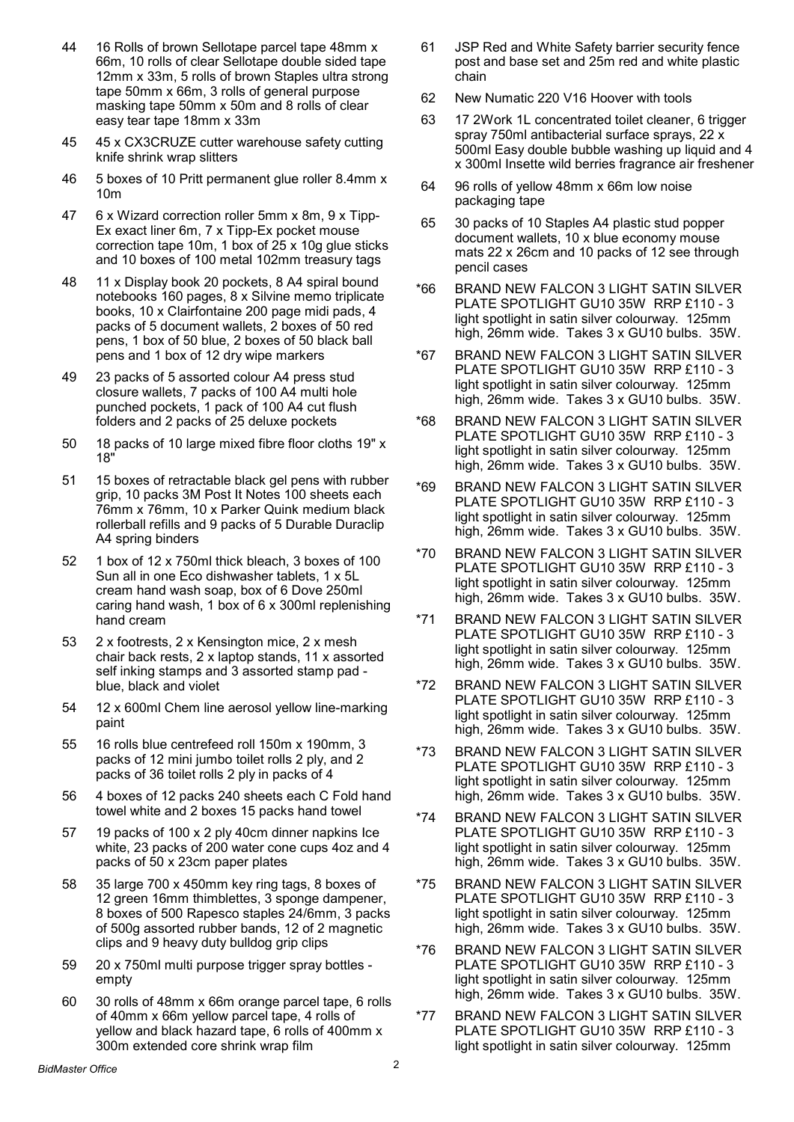- 44 16 Rolls of brown Sellotape parcel tape 48mm x 66m, 10 rolls of clear Sellotape double sided tape 12mm x 33m, 5 rolls of brown Staples ultra strong tape 50mm x 66m, 3 rolls of general purpose masking tape 50mm x 50m and 8 rolls of clear easy tear tape 18mm x 33m
- 45 45 x CX3CRUZE cutter warehouse safety cutting knife shrink wrap slitters
- 46 5 boxes of 10 Pritt permanent glue roller 8.4mm x 10m
- 47 6 x Wizard correction roller 5mm x 8m, 9 x Tipp-Ex exact liner 6m, 7 x Tipp-Ex pocket mouse correction tape 10m, 1 box of 25 x 10g glue sticks and 10 boxes of 100 metal 102mm treasury tags
- 48 11 x Display book 20 pockets, 8 A4 spiral bound notebooks 160 pages, 8 x Silvine memo triplicate books, 10 x Clairfontaine 200 page midi pads, 4 packs of 5 document wallets, 2 boxes of 50 red pens, 1 box of 50 blue, 2 boxes of 50 black ball pens and 1 box of 12 dry wipe markers
- 49 23 packs of 5 assorted colour A4 press stud closure wallets, 7 packs of 100 A4 multi hole punched pockets, 1 pack of 100 A4 cut flush folders and 2 packs of 25 deluxe pockets
- 50 18 packs of 10 large mixed fibre floor cloths 19" x 18"
- 51 15 boxes of retractable black gel pens with rubber grip, 10 packs 3M Post It Notes 100 sheets each 76mm x 76mm, 10 x Parker Quink medium black rollerball refills and 9 packs of 5 Durable Duraclip A4 spring binders
- 52 1 box of 12 x 750ml thick bleach, 3 boxes of 100 Sun all in one Eco dishwasher tablets, 1 x 5L cream hand wash soap, box of 6 Dove 250ml caring hand wash, 1 box of 6 x 300ml replenishing hand cream
- 53 2 x footrests, 2 x Kensington mice, 2 x mesh chair back rests, 2 x laptop stands, 11 x assorted self inking stamps and 3 assorted stamp pad blue, black and violet
- 54 12 x 600ml Chem line aerosol yellow line-marking paint
- 55 16 rolls blue centrefeed roll 150m x 190mm, 3 packs of 12 mini jumbo toilet rolls 2 ply, and 2 packs of 36 toilet rolls 2 ply in packs of 4
- 56 4 boxes of 12 packs 240 sheets each C Fold hand towel white and 2 boxes 15 packs hand towel
- 57 19 packs of 100 x 2 ply 40cm dinner napkins Ice white, 23 packs of 200 water cone cups 4oz and 4 packs of 50 x 23cm paper plates
- 58 35 large 700 x 450mm key ring tags, 8 boxes of 12 green 16mm thimblettes, 3 sponge dampener, 8 boxes of 500 Rapesco staples 24/6mm, 3 packs of 500g assorted rubber bands, 12 of 2 magnetic clips and 9 heavy duty bulldog grip clips
- 59 20 x 750ml multi purpose trigger spray bottles empty
- 60 30 rolls of 48mm x 66m orange parcel tape, 6 rolls of 40mm x 66m yellow parcel tape, 4 rolls of yellow and black hazard tape, 6 rolls of 400mm x 300m extended core shrink wrap film
- 61 JSP Red and White Safety barrier security fence post and base set and 25m red and white plastic chain
- 62 New Numatic 220 V16 Hoover with tools
- 63 17 2Work 1L concentrated toilet cleaner, 6 trigger spray 750ml antibacterial surface sprays, 22 x 500ml Easy double bubble washing up liquid and 4 x 300ml Insette wild berries fragrance air freshener
- 64 96 rolls of yellow 48mm x 66m low noise packaging tape
- 65 30 packs of 10 Staples A4 plastic stud popper document wallets, 10 x blue economy mouse mats 22 x 26cm and 10 packs of 12 see through pencil cases
- \*66 BRAND NEW FALCON 3 LIGHT SATIN SILVER PLATE SPOTLIGHT GU10 35W RRP £110 - 3 light spotlight in satin silver colourway. 125mm high, 26mm wide. Takes 3 x GU10 bulbs. 35W.
- \*67 BRAND NEW FALCON 3 LIGHT SATIN SILVER PLATE SPOTLIGHT GU10 35W RRP £110 - 3 light spotlight in satin silver colourway. 125mm high, 26mm wide. Takes 3 x GU10 bulbs. 35W.
- \*68 BRAND NEW FALCON 3 LIGHT SATIN SILVER PLATE SPOTLIGHT GU10 35W RRP £110 - 3 light spotlight in satin silver colourway. 125mm high, 26mm wide. Takes 3 x GU10 bulbs. 35W.
- \*69 BRAND NEW FALCON 3 LIGHT SATIN SILVER PLATE SPOTLIGHT GU10 35W RRP £110 - 3 light spotlight in satin silver colourway. 125mm high, 26mm wide. Takes 3 x GU10 bulbs. 35W.
- \*70 BRAND NEW FALCON 3 LIGHT SATIN SILVER PLATE SPOTLIGHT GU10 35W RRP £110 - 3 light spotlight in satin silver colourway. 125mm high, 26mm wide. Takes 3 x GU10 bulbs. 35W.
- \*71 BRAND NEW FALCON 3 LIGHT SATIN SILVER PLATE SPOTLIGHT GU10 35W RRP £110 - 3 light spotlight in satin silver colourway. 125mm high, 26mm wide. Takes 3 x GU10 bulbs. 35W.
- \*72 BRAND NEW FALCON 3 LIGHT SATIN SILVER PLATE SPOTLIGHT GU10 35W RRP £110 - 3 light spotlight in satin silver colourway. 125mm high, 26mm wide. Takes 3 x GU10 bulbs. 35W.
- \*73 BRAND NEW FALCON 3 LIGHT SATIN SILVER PLATE SPOTLIGHT GU10 35W RRP £110 - 3 light spotlight in satin silver colourway. 125mm high, 26mm wide. Takes 3 x GU10 bulbs. 35W.
- \*74 BRAND NEW FALCON 3 LIGHT SATIN SILVER PLATE SPOTLIGHT GU10 35W RRP £110 - 3 light spotlight in satin silver colourway. 125mm high, 26mm wide. Takes 3 x GU10 bulbs. 35W.
- \*75 BRAND NEW FALCON 3 LIGHT SATIN SILVER PLATE SPOTLIGHT GU10 35W RRP £110 - 3 light spotlight in satin silver colourway. 125mm high, 26mm wide. Takes 3 x GU10 bulbs. 35W.
- \*76 BRAND NEW FALCON 3 LIGHT SATIN SILVER PLATE SPOTLIGHT GU10 35W RRP £110 - 3 light spotlight in satin silver colourway. 125mm high, 26mm wide. Takes 3 x GU10 bulbs. 35W.
- \*77 BRAND NEW FALCON 3 LIGHT SATIN SILVER PLATE SPOTLIGHT GU10 35W RRP £110 - 3 light spotlight in satin silver colourway. 125mm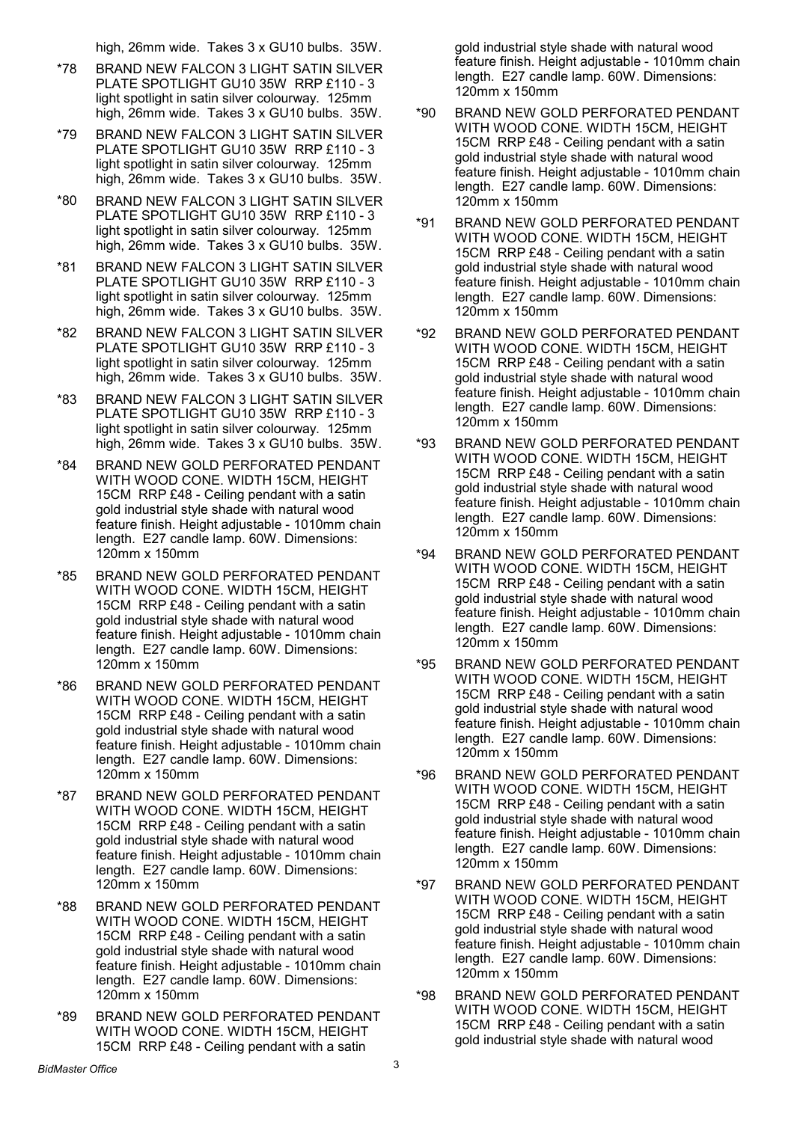high, 26mm wide. Takes 3 x GU10 bulbs. 35W.

- \*78 BRAND NEW FALCON 3 LIGHT SATIN SILVER PLATE SPOTLIGHT GU10 35W RRP £110 - 3 light spotlight in satin silver colourway. 125mm high, 26mm wide. Takes 3 x GU10 bulbs. 35W.
- \*79 BRAND NEW FALCON 3 LIGHT SATIN SILVER PLATE SPOTLIGHT GU10 35W RRP £110 - 3 light spotlight in satin silver colourway. 125mm high, 26mm wide. Takes 3 x GU10 bulbs. 35W.
- \*80 BRAND NEW FALCON 3 LIGHT SATIN SILVER PLATE SPOTLIGHT GU10 35W RRP £110 - 3 light spotlight in satin silver colourway. 125mm high, 26mm wide. Takes 3 x GU10 bulbs. 35W.
- \*81 BRAND NEW FALCON 3 LIGHT SATIN SILVER PLATE SPOTLIGHT GU10 35W RRP £110 - 3 light spotlight in satin silver colourway. 125mm high, 26mm wide. Takes 3 x GU10 bulbs. 35W.
- \*82 BRAND NEW FALCON 3 LIGHT SATIN SILVER PLATE SPOTLIGHT GU10 35W RRP £110 - 3 light spotlight in satin silver colourway. 125mm high, 26mm wide. Takes 3 x GU10 bulbs. 35W.
- \*83 BRAND NEW FALCON 3 LIGHT SATIN SILVER PLATE SPOTLIGHT GU10 35W RRP £110 - 3 light spotlight in satin silver colourway. 125mm high, 26mm wide. Takes 3 x GU10 bulbs. 35W.
- \*84 BRAND NEW GOLD PERFORATED PENDANT WITH WOOD CONE. WIDTH 15CM, HEIGHT 15CM RRP £48 - Ceiling pendant with a satin gold industrial style shade with natural wood feature finish. Height adjustable - 1010mm chain length. E27 candle lamp. 60W. Dimensions: 120mm x 150mm
- \*85 BRAND NEW GOLD PERFORATED PENDANT WITH WOOD CONE. WIDTH 15CM, HEIGHT 15CM RRP £48 - Ceiling pendant with a satin gold industrial style shade with natural wood feature finish. Height adjustable - 1010mm chain length. E27 candle lamp. 60W. Dimensions: 120mm x 150mm
- \*86 BRAND NEW GOLD PERFORATED PENDANT WITH WOOD CONE. WIDTH 15CM, HEIGHT 15CM RRP £48 - Ceiling pendant with a satin gold industrial style shade with natural wood feature finish. Height adjustable - 1010mm chain length. E27 candle lamp. 60W. Dimensions: 120mm x 150mm
- \*87 BRAND NEW GOLD PERFORATED PENDANT WITH WOOD CONE. WIDTH 15CM, HEIGHT 15CM RRP £48 - Ceiling pendant with a satin gold industrial style shade with natural wood feature finish. Height adjustable - 1010mm chain length. E27 candle lamp. 60W. Dimensions: 120mm x 150mm
- \*88 BRAND NEW GOLD PERFORATED PENDANT WITH WOOD CONE. WIDTH 15CM, HEIGHT 15CM RRP £48 - Ceiling pendant with a satin gold industrial style shade with natural wood feature finish. Height adjustable - 1010mm chain length. E27 candle lamp. 60W. Dimensions: 120mm x 150mm
- \*89 BRAND NEW GOLD PERFORATED PENDANT WITH WOOD CONE. WIDTH 15CM, HEIGHT 15CM RRP £48 - Ceiling pendant with a satin

gold industrial style shade with natural wood feature finish. Height adjustable - 1010mm chain length. E27 candle lamp. 60W. Dimensions: 120mm x 150mm

- \*90 BRAND NEW GOLD PERFORATED PENDANT WITH WOOD CONE. WIDTH 15CM, HEIGHT 15CM RRP £48 - Ceiling pendant with a satin gold industrial style shade with natural wood feature finish. Height adjustable - 1010mm chain length. E27 candle lamp. 60W. Dimensions: 120mm x 150mm
- \*91 BRAND NEW GOLD PERFORATED PENDANT WITH WOOD CONE. WIDTH 15CM, HEIGHT 15CM RRP £48 - Ceiling pendant with a satin gold industrial style shade with natural wood feature finish. Height adjustable - 1010mm chain length. E27 candle lamp. 60W. Dimensions: 120mm x 150mm
- \*92 BRAND NEW GOLD PERFORATED PENDANT WITH WOOD CONE. WIDTH 15CM, HEIGHT 15CM RRP £48 - Ceiling pendant with a satin gold industrial style shade with natural wood feature finish. Height adjustable - 1010mm chain length. E27 candle lamp. 60W. Dimensions: 120mm x 150mm
- \*93 BRAND NEW GOLD PERFORATED PENDANT WITH WOOD CONE. WIDTH 15CM, HEIGHT 15CM RRP £48 - Ceiling pendant with a satin gold industrial style shade with natural wood feature finish. Height adjustable - 1010mm chain length. E27 candle lamp. 60W. Dimensions: 120mm x 150mm
- \*94 BRAND NEW GOLD PERFORATED PENDANT WITH WOOD CONE. WIDTH 15CM, HEIGHT 15CM RRP £48 - Ceiling pendant with a satin gold industrial style shade with natural wood feature finish. Height adjustable - 1010mm chain length. E27 candle lamp. 60W. Dimensions: 120mm x 150mm
- \*95 BRAND NEW GOLD PERFORATED PENDANT WITH WOOD CONE. WIDTH 15CM, HEIGHT 15CM RRP £48 - Ceiling pendant with a satin gold industrial style shade with natural wood feature finish. Height adjustable - 1010mm chain length. E27 candle lamp. 60W. Dimensions: 120mm x 150mm
- \*96 BRAND NEW GOLD PERFORATED PENDANT WITH WOOD CONE. WIDTH 15CM, HEIGHT 15CM RRP £48 - Ceiling pendant with a satin gold industrial style shade with natural wood feature finish. Height adjustable - 1010mm chain length. E27 candle lamp. 60W. Dimensions: 120mm x 150mm
- \*97 BRAND NEW GOLD PERFORATED PENDANT WITH WOOD CONE. WIDTH 15CM, HEIGHT 15CM RRP £48 - Ceiling pendant with a satin gold industrial style shade with natural wood feature finish. Height adjustable - 1010mm chain length. E27 candle lamp. 60W. Dimensions: 120mm x 150mm
- \*98 BRAND NEW GOLD PERFORATED PENDANT WITH WOOD CONE. WIDTH 15CM, HEIGHT 15CM RRP £48 - Ceiling pendant with a satin gold industrial style shade with natural wood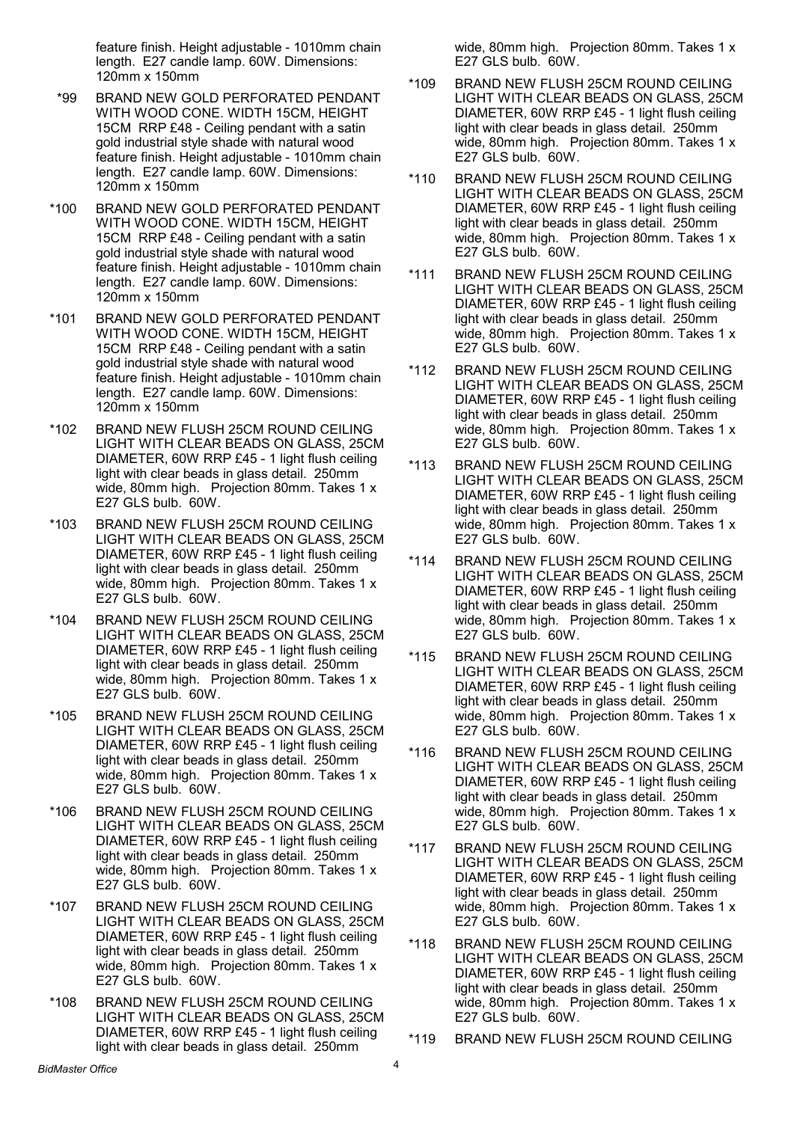feature finish. Height adjustable - 1010mm chain length. E27 candle lamp. 60W. Dimensions: 120mm x 150mm

- \*99 BRAND NEW GOLD PERFORATED PENDANT WITH WOOD CONE. WIDTH 15CM, HEIGHT 15CM RRP £48 - Ceiling pendant with a satin gold industrial style shade with natural wood feature finish. Height adjustable - 1010mm chain length. E27 candle lamp. 60W. Dimensions: 120mm x 150mm
- \*100 BRAND NEW GOLD PERFORATED PENDANT WITH WOOD CONE. WIDTH 15CM, HEIGHT 15CM RRP £48 - Ceiling pendant with a satin gold industrial style shade with natural wood feature finish. Height adjustable - 1010mm chain length. E27 candle lamp. 60W. Dimensions: 120mm x 150mm
- \*101 BRAND NEW GOLD PERFORATED PENDANT WITH WOOD CONE. WIDTH 15CM, HEIGHT 15CM RRP £48 - Ceiling pendant with a satin gold industrial style shade with natural wood feature finish. Height adjustable - 1010mm chain length. E27 candle lamp. 60W. Dimensions: 120mm x 150mm
- \*102 BRAND NEW FLUSH 25CM ROUND CEILING LIGHT WITH CLEAR BEADS ON GLASS, 25CM DIAMETER, 60W RRP £45 - 1 light flush ceiling light with clear beads in glass detail. 250mm wide, 80mm high. Projection 80mm. Takes 1 x E27 GLS bulb. 60W.
- \*103 BRAND NEW FLUSH 25CM ROUND CEILING LIGHT WITH CLEAR BEADS ON GLASS, 25CM DIAMETER, 60W RRP £45 - 1 light flush ceiling light with clear beads in glass detail. 250mm wide, 80mm high. Projection 80mm. Takes 1 x E27 GLS bulb. 60W.
- \*104 BRAND NEW FLUSH 25CM ROUND CEILING LIGHT WITH CLEAR BEADS ON GLASS, 25CM DIAMETER, 60W RRP £45 - 1 light flush ceiling light with clear beads in glass detail. 250mm wide, 80mm high. Projection 80mm. Takes 1 x E27 GLS bulb. 60W.
- \*105 BRAND NEW FLUSH 25CM ROUND CEILING LIGHT WITH CLEAR BEADS ON GLASS, 25CM DIAMETER, 60W RRP £45 - 1 light flush ceiling light with clear beads in glass detail. 250mm wide, 80mm high. Projection 80mm. Takes 1 x E27 GLS bulb. 60W.
- \*106 BRAND NEW FLUSH 25CM ROUND CEILING LIGHT WITH CLEAR BEADS ON GLASS, 25CM DIAMETER, 60W RRP £45 - 1 light flush ceiling light with clear beads in glass detail. 250mm wide, 80mm high. Projection 80mm. Takes 1 x E27 GLS bulb. 60W.
- \*107 BRAND NEW FLUSH 25CM ROUND CEILING LIGHT WITH CLEAR BEADS ON GLASS, 25CM DIAMETER, 60W RRP £45 - 1 light flush ceiling light with clear beads in glass detail. 250mm wide, 80mm high. Projection 80mm. Takes 1 x E27 GLS bulb. 60W.
- \*108 BRAND NEW FLUSH 25CM ROUND CEILING LIGHT WITH CLEAR BEADS ON GLASS, 25CM DIAMETER, 60W RRP £45 - 1 light flush ceiling light with clear beads in glass detail. 250mm

wide, 80mm high. Projection 80mm. Takes 1 x E27 GLS bulb. 60W.

- \*109 BRAND NEW FLUSH 25CM ROUND CEILING LIGHT WITH CLEAR BEADS ON GLASS, 25CM DIAMETER, 60W RRP £45 - 1 light flush ceiling light with clear beads in glass detail. 250mm wide, 80mm high. Projection 80mm. Takes 1 x E27 GLS bulb. 60W.
- \*110 BRAND NEW FLUSH 25CM ROUND CEILING LIGHT WITH CLEAR BEADS ON GLASS, 25CM DIAMETER, 60W RRP £45 - 1 light flush ceiling light with clear beads in glass detail. 250mm wide, 80mm high. Projection 80mm. Takes 1 x E27 GLS bulb. 60W.
- \*111 BRAND NEW FLUSH 25CM ROUND CEILING LIGHT WITH CLEAR BEADS ON GLASS, 25CM DIAMETER, 60W RRP £45 - 1 light flush ceiling light with clear beads in glass detail. 250mm wide, 80mm high. Projection 80mm. Takes 1 x E27 GLS bulb. 60W.
- \*112 BRAND NEW FLUSH 25CM ROUND CEILING LIGHT WITH CLEAR BEADS ON GLASS, 25CM DIAMETER, 60W RRP £45 - 1 light flush ceiling light with clear beads in glass detail. 250mm wide, 80mm high. Projection 80mm. Takes 1 x E27 GLS bulb. 60W.
- \*113 BRAND NEW FLUSH 25CM ROUND CEILING LIGHT WITH CLEAR BEADS ON GLASS, 25CM DIAMETER, 60W RRP £45 - 1 light flush ceiling light with clear beads in glass detail. 250mm wide, 80mm high. Projection 80mm. Takes 1 x E27 GLS bulb. 60W.
- \*114 BRAND NEW FLUSH 25CM ROUND CEILING LIGHT WITH CLEAR BEADS ON GLASS, 25CM DIAMETER, 60W RRP £45 - 1 light flush ceiling light with clear beads in glass detail. 250mm wide, 80mm high. Projection 80mm. Takes 1 x E27 GLS bulb. 60W.
- \*115 BRAND NEW FLUSH 25CM ROUND CEILING LIGHT WITH CLEAR BEADS ON GLASS, 25CM DIAMETER, 60W RRP £45 - 1 light flush ceiling light with clear beads in glass detail. 250mm wide, 80mm high. Projection 80mm. Takes 1 x E27 GLS bulb. 60W.
- \*116 BRAND NEW FLUSH 25CM ROUND CEILING LIGHT WITH CLEAR BEADS ON GLASS, 25CM DIAMETER, 60W RRP £45 - 1 light flush ceiling light with clear beads in glass detail. 250mm wide, 80mm high. Projection 80mm. Takes 1 x E27 GLS bulb. 60W.
- \*117 BRAND NEW FLUSH 25CM ROUND CEILING LIGHT WITH CLEAR BEADS ON GLASS, 25CM DIAMETER, 60W RRP £45 - 1 light flush ceiling light with clear beads in glass detail. 250mm wide, 80mm high. Projection 80mm. Takes 1 x E27 GLS bulb. 60W.
- \*118 BRAND NEW FLUSH 25CM ROUND CEILING LIGHT WITH CLEAR BEADS ON GLASS, 25CM DIAMETER, 60W RRP £45 - 1 light flush ceiling light with clear beads in glass detail. 250mm wide, 80mm high. Projection 80mm. Takes 1 x E27 GLS bulb. 60W.

\*119 BRAND NEW FLUSH 25CM ROUND CEILING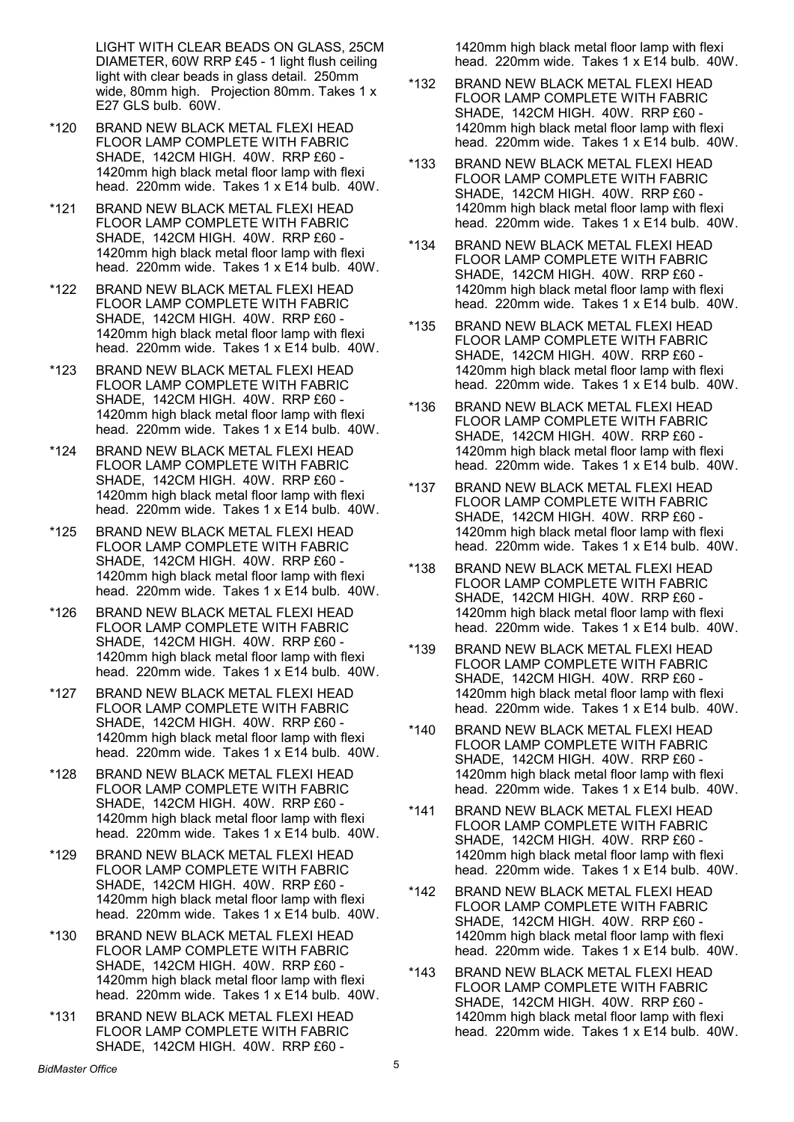LIGHT WITH CLEAR BEADS ON GLASS, 25CM DIAMETER, 60W RRP £45 - 1 light flush ceiling light with clear beads in glass detail. 250mm wide, 80mm high. Projection 80mm. Takes 1 x E27 GLS bulb. 60W.

- \*120 BRAND NEW BLACK METAL FLEXI HEAD FLOOR LAMP COMPLETE WITH FABRIC SHADE, 142CM HIGH. 40W. RRP £60 - 1420mm high black metal floor lamp with flexi head. 220mm wide. Takes 1 x E14 bulb. 40W.
- \*121 BRAND NEW BLACK METAL FLEXI HEAD FLOOR LAMP COMPLETE WITH FABRIC SHADE, 142CM HIGH. 40W. RRP £60 - 1420mm high black metal floor lamp with flexi head. 220mm wide. Takes 1 x E14 bulb. 40W.
- \*122 BRAND NEW BLACK METAL FLEXI HEAD FLOOR LAMP COMPLETE WITH FABRIC SHADE, 142CM HIGH. 40W. RRP £60 - 1420mm high black metal floor lamp with flexi head. 220mm wide. Takes 1 x E14 bulb. 40W.
- \*123 BRAND NEW BLACK METAL FLEXI HEAD FLOOR LAMP COMPLETE WITH FABRIC SHADE, 142CM HIGH. 40W. RRP £60 - 1420mm high black metal floor lamp with flexi head. 220mm wide. Takes 1 x E14 bulb. 40W.
- \*124 BRAND NEW BLACK METAL FLEXI HEAD FLOOR LAMP COMPLETE WITH FABRIC SHADE, 142CM HIGH. 40W. RRP £60 - 1420mm high black metal floor lamp with flexi head. 220mm wide. Takes 1 x E14 bulb. 40W.
- \*125 BRAND NEW BLACK METAL FLEXI HEAD FLOOR LAMP COMPLETE WITH FABRIC SHADE, 142CM HIGH. 40W. RRP £60 - 1420mm high black metal floor lamp with flexi head. 220mm wide. Takes 1 x E14 bulb. 40W.
- \*126 BRAND NEW BLACK METAL FLEXI HEAD FLOOR LAMP COMPLETE WITH FABRIC SHADE, 142CM HIGH. 40W. RRP £60 - 1420mm high black metal floor lamp with flexi head. 220mm wide. Takes 1 x E14 bulb. 40W.
- \*127 BRAND NEW BLACK METAL FLEXI HEAD FLOOR LAMP COMPLETE WITH FABRIC SHADE, 142CM HIGH. 40W. RRP £60 - 1420mm high black metal floor lamp with flexi head. 220mm wide. Takes 1 x E14 bulb. 40W.
- \*128 BRAND NEW BLACK METAL FLEXI HEAD FLOOR LAMP COMPLETE WITH FABRIC SHADE, 142CM HIGH. 40W. RRP £60 - 1420mm high black metal floor lamp with flexi head. 220mm wide. Takes 1 x E14 bulb. 40W.
- \*129 BRAND NEW BLACK METAL FLEXI HEAD FLOOR LAMP COMPLETE WITH FABRIC SHADE, 142CM HIGH. 40W. RRP £60 - 1420mm high black metal floor lamp with flexi head. 220mm wide. Takes 1 x E14 bulb. 40W.
- \*130 BRAND NEW BLACK METAL FLEXI HEAD FLOOR LAMP COMPLETE WITH FABRIC SHADE, 142CM HIGH. 40W. RRP £60 - 1420mm high black metal floor lamp with flexi head. 220mm wide. Takes 1 x E14 bulb. 40W.
- \*131 BRAND NEW BLACK METAL FLEXI HEAD FLOOR LAMP COMPLETE WITH FABRIC SHADE, 142CM HIGH. 40W. RRP £60 -

1420mm high black metal floor lamp with flexi head. 220mm wide. Takes 1 x E14 bulb. 40W.

- \*132 BRAND NEW BLACK METAL FLEXI HEAD FLOOR LAMP COMPLETE WITH FABRIC SHADE, 142CM HIGH. 40W. RRP £60 - 1420mm high black metal floor lamp with flexi head. 220mm wide. Takes 1 x E14 bulb. 40W.
- \*133 BRAND NEW BLACK METAL FLEXI HEAD FLOOR LAMP COMPLETE WITH FABRIC SHADE, 142CM HIGH. 40W. RRP £60 - 1420mm high black metal floor lamp with flexi head. 220mm wide. Takes 1 x E14 bulb. 40W.
- \*134 BRAND NEW BLACK METAL FLEXI HEAD FLOOR LAMP COMPLETE WITH FABRIC SHADE, 142CM HIGH. 40W. RRP £60 - 1420mm high black metal floor lamp with flexi head. 220mm wide. Takes 1 x E14 bulb. 40W.
- \*135 BRAND NEW BLACK METAL FLEXI HEAD FLOOR LAMP COMPLETE WITH FABRIC SHADE, 142CM HIGH. 40W. RRP £60 - 1420mm high black metal floor lamp with flexi head. 220mm wide. Takes 1 x E14 bulb. 40W.
- \*136 BRAND NEW BLACK METAL FLEXI HEAD FLOOR LAMP COMPLETE WITH FABRIC SHADE, 142CM HIGH. 40W. RRP £60 - 1420mm high black metal floor lamp with flexi head. 220mm wide. Takes 1 x E14 bulb. 40W.
- \*137 BRAND NEW BLACK METAL FLEXI HEAD FLOOR LAMP COMPLETE WITH FABRIC SHADE, 142CM HIGH. 40W. RRP £60 - 1420mm high black metal floor lamp with flexi head. 220mm wide. Takes 1 x E14 bulb. 40W.
- \*138 BRAND NEW BLACK METAL FLEXI HEAD FLOOR LAMP COMPLETE WITH FABRIC SHADE, 142CM HIGH. 40W. RRP £60 - 1420mm high black metal floor lamp with flexi head. 220mm wide. Takes 1 x E14 bulb. 40W.
- \*139 BRAND NEW BLACK METAL FLEXI HEAD FLOOR LAMP COMPLETE WITH FABRIC SHADE, 142CM HIGH. 40W. RRP £60 - 1420mm high black metal floor lamp with flexi head. 220mm wide. Takes 1 x E14 bulb. 40W.
- \*140 BRAND NEW BLACK METAL FLEXI HEAD FLOOR LAMP COMPLETE WITH FABRIC SHADE, 142CM HIGH. 40W. RRP £60 - 1420mm high black metal floor lamp with flexi head. 220mm wide. Takes 1 x E14 bulb. 40W.
- \*141 BRAND NEW BLACK METAL FLEXI HEAD FLOOR LAMP COMPLETE WITH FABRIC SHADE, 142CM HIGH. 40W. RRP £60 - 1420mm high black metal floor lamp with flexi head. 220mm wide. Takes 1 x E14 bulb. 40W.
- \*142 BRAND NEW BLACK METAL FLEXI HEAD FLOOR LAMP COMPLETE WITH FABRIC SHADE, 142CM HIGH. 40W. RRP £60 - 1420mm high black metal floor lamp with flexi head. 220mm wide. Takes 1 x E14 bulb. 40W.
- \*143 BRAND NEW BLACK METAL FLEXI HEAD FLOOR LAMP COMPLETE WITH FABRIC SHADE, 142CM HIGH. 40W. RRP £60 - 1420mm high black metal floor lamp with flexi head. 220mm wide. Takes 1 x E14 bulb. 40W.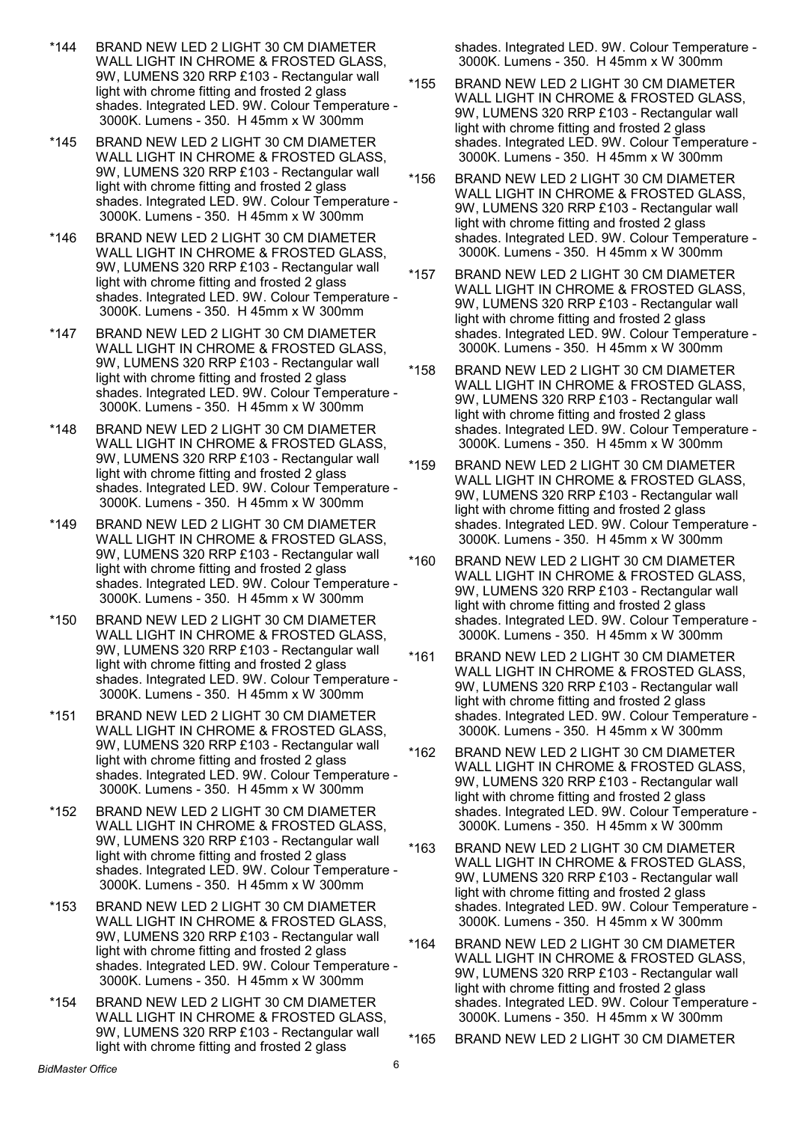- \*144 BRAND NEW LED 2 LIGHT 30 CM DIAMETER WALL LIGHT IN CHROME & FROSTED GLASS, 9W, LUMENS 320 RRP £103 - Rectangular wall light with chrome fitting and frosted 2 glass shades. Integrated LED. 9W. Colour Temperature - 3000K. Lumens - 350. H 45mm x W 300mm
- \*145 BRAND NEW LED 2 LIGHT 30 CM DIAMETER WALL LIGHT IN CHROME & FROSTED GLASS, 9W, LUMENS 320 RRP £103 - Rectangular wall light with chrome fitting and frosted 2 glass shades. Integrated LED. 9W. Colour Temperature - 3000K. Lumens - 350. H 45mm x W 300mm
- \*146 BRAND NEW LED 2 LIGHT 30 CM DIAMETER WALL LIGHT IN CHROME & FROSTED GLASS, 9W, LUMENS 320 RRP £103 - Rectangular wall light with chrome fitting and frosted 2 glass shades. Integrated LED. 9W. Colour Temperature - 3000K. Lumens - 350. H 45mm x W 300mm
- \*147 BRAND NEW LED 2 LIGHT 30 CM DIAMETER WALL LIGHT IN CHROME & FROSTED GLASS, 9W, LUMENS 320 RRP £103 - Rectangular wall light with chrome fitting and frosted 2 glass shades. Integrated LED. 9W. Colour Temperature - 3000K. Lumens - 350. H 45mm x W 300mm
- \*148 BRAND NEW LED 2 LIGHT 30 CM DIAMETER WALL LIGHT IN CHROME & FROSTED GLASS, 9W, LUMENS 320 RRP £103 - Rectangular wall light with chrome fitting and frosted 2 glass shades. Integrated LED. 9W. Colour Temperature - 3000K. Lumens - 350. H 45mm x W 300mm
- \*149 BRAND NEW LED 2 LIGHT 30 CM DIAMETER WALL LIGHT IN CHROME & FROSTED GLASS, 9W, LUMENS 320 RRP £103 - Rectangular wall light with chrome fitting and frosted 2 glass shades. Integrated LED. 9W. Colour Temperature - 3000K. Lumens - 350. H 45mm x W 300mm
- \*150 BRAND NEW LED 2 LIGHT 30 CM DIAMETER WALL LIGHT IN CHROME & FROSTED GLASS, 9W, LUMENS 320 RRP £103 - Rectangular wall light with chrome fitting and frosted 2 glass shades. Integrated LED. 9W. Colour Temperature - 3000K. Lumens - 350. H 45mm x W 300mm
- \*151 BRAND NEW LED 2 LIGHT 30 CM DIAMETER WALL LIGHT IN CHROME & FROSTED GLASS, 9W, LUMENS 320 RRP £103 - Rectangular wall light with chrome fitting and frosted 2 glass shades. Integrated LED. 9W. Colour Temperature - 3000K. Lumens - 350. H 45mm x W 300mm
- \*152 BRAND NEW LED 2 LIGHT 30 CM DIAMETER WALL LIGHT IN CHROME & FROSTED GLASS, 9W, LUMENS 320 RRP £103 - Rectangular wall light with chrome fitting and frosted 2 glass shades. Integrated LED. 9W. Colour Temperature - 3000K. Lumens - 350. H 45mm x W 300mm
- \*153 BRAND NEW LED 2 LIGHT 30 CM DIAMETER WALL LIGHT IN CHROME & FROSTED GLASS, 9W, LUMENS 320 RRP £103 - Rectangular wall light with chrome fitting and frosted 2 glass shades. Integrated LED. 9W. Colour Temperature - 3000K. Lumens - 350. H 45mm x W 300mm
- \*154 BRAND NEW LED 2 LIGHT 30 CM DIAMETER WALL LIGHT IN CHROME & FROSTED GLASS, 9W, LUMENS 320 RRP £103 - Rectangular wall light with chrome fitting and frosted 2 glass

shades. Integrated LED. 9W. Colour Temperature - 3000K. Lumens - 350. H 45mm x W 300mm

- \*155 BRAND NEW LED 2 LIGHT 30 CM DIAMETER WALL LIGHT IN CHROME & FROSTED GLASS, 9W, LUMENS 320 RRP £103 - Rectangular wall light with chrome fitting and frosted 2 glass shades. Integrated LED. 9W. Colour Temperature - 3000K. Lumens - 350. H 45mm x W 300mm
- \*156 BRAND NEW LED 2 LIGHT 30 CM DIAMETER WALL LIGHT IN CHROME & FROSTED GLASS, 9W, LUMENS 320 RRP £103 - Rectangular wall light with chrome fitting and frosted 2 glass shades. Integrated LED. 9W. Colour Temperature - 3000K. Lumens - 350. H 45mm x W 300mm
- \*157 BRAND NEW LED 2 LIGHT 30 CM DIAMETER WALL LIGHT IN CHROME & FROSTED GLASS, 9W, LUMENS 320 RRP £103 - Rectangular wall light with chrome fitting and frosted 2 glass shades. Integrated LED. 9W. Colour Temperature - 3000K. Lumens - 350. H 45mm x W 300mm
- \*158 BRAND NEW LED 2 LIGHT 30 CM DIAMETER WALL LIGHT IN CHROME & FROSTED GLASS, 9W, LUMENS 320 RRP £103 - Rectangular wall light with chrome fitting and frosted 2 glass shades. Integrated LED. 9W. Colour Temperature - 3000K. Lumens - 350. H 45mm x W 300mm
- \*159 BRAND NEW LED 2 LIGHT 30 CM DIAMETER WALL LIGHT IN CHROME & FROSTED GLASS, 9W, LUMENS 320 RRP £103 - Rectangular wall light with chrome fitting and frosted 2 glass shades. Integrated LED. 9W. Colour Temperature - 3000K. Lumens - 350. H 45mm x W 300mm
- \*160 BRAND NEW LED 2 LIGHT 30 CM DIAMETER WALL LIGHT IN CHROME & FROSTED GLASS, 9W, LUMENS 320 RRP £103 - Rectangular wall light with chrome fitting and frosted 2 glass shades. Integrated LED. 9W. Colour Temperature - 3000K. Lumens - 350. H 45mm x W 300mm
- \*161 BRAND NEW LED 2 LIGHT 30 CM DIAMETER WALL LIGHT IN CHROME & FROSTED GLASS, 9W, LUMENS 320 RRP £103 - Rectangular wall light with chrome fitting and frosted 2 glass shades. Integrated LED. 9W. Colour Temperature - 3000K. Lumens - 350. H 45mm x W 300mm
- \*162 BRAND NEW LED 2 LIGHT 30 CM DIAMETER WALL LIGHT IN CHROME & FROSTED GLASS, 9W, LUMENS 320 RRP £103 - Rectangular wall light with chrome fitting and frosted 2 glass shades. Integrated LED. 9W. Colour Temperature - 3000K. Lumens - 350. H 45mm x W 300mm
- \*163 BRAND NEW LED 2 LIGHT 30 CM DIAMETER WALL LIGHT IN CHROME & FROSTED GLASS, 9W, LUMENS 320 RRP £103 - Rectangular wall light with chrome fitting and frosted 2 glass shades. Integrated LED. 9W. Colour Temperature - 3000K. Lumens - 350. H 45mm x W 300mm
- \*164 BRAND NEW LED 2 LIGHT 30 CM DIAMETER WALL LIGHT IN CHROME & FROSTED GLASS, 9W, LUMENS 320 RRP £103 - Rectangular wall light with chrome fitting and frosted 2 glass shades. Integrated LED. 9W. Colour Temperature - 3000K. Lumens - 350. H 45mm x W 300mm
- \*165 BRAND NEW LED 2 LIGHT 30 CM DIAMETER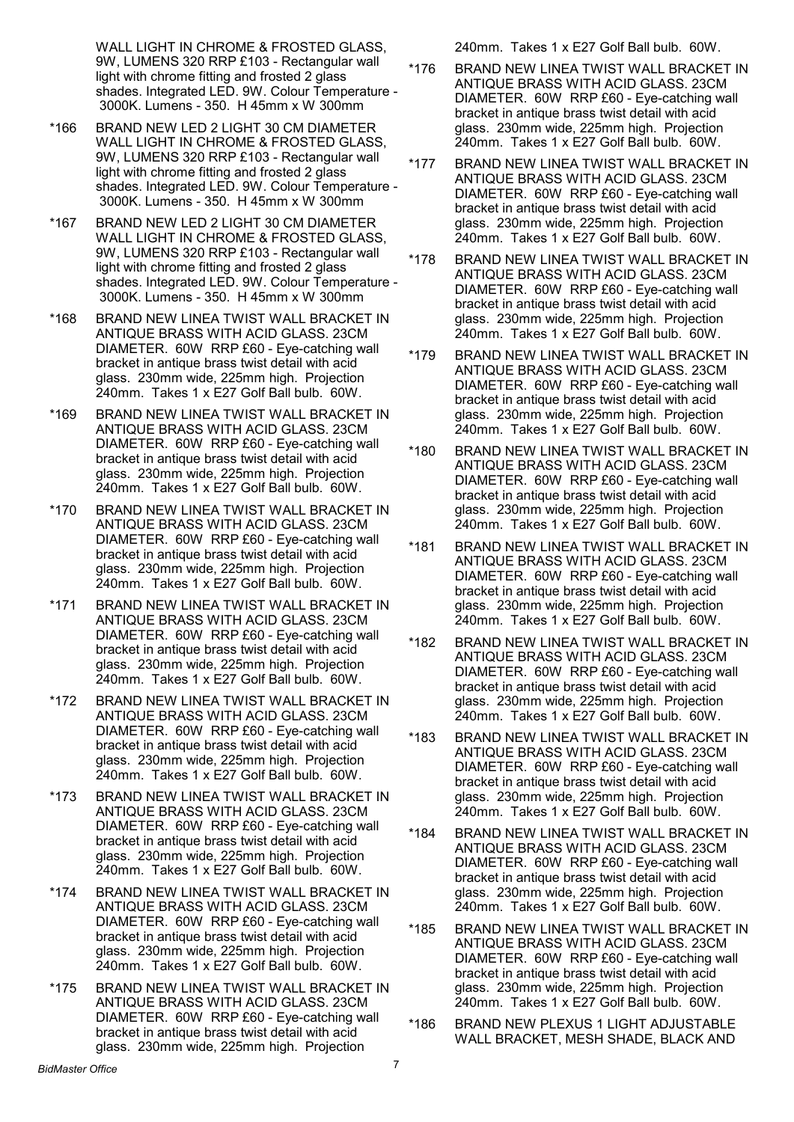WALL LIGHT IN CHROME & FROSTED GLASS, 9W, LUMENS 320 RRP £103 - Rectangular wall light with chrome fitting and frosted 2 glass shades. Integrated LED. 9W. Colour Temperature - 3000K. Lumens - 350. H 45mm x W 300mm

- \*166 BRAND NEW LED 2 LIGHT 30 CM DIAMETER WALL LIGHT IN CHROME & FROSTED GLASS, 9W, LUMENS 320 RRP £103 - Rectangular wall light with chrome fitting and frosted 2 glass shades. Integrated LED. 9W. Colour Temperature - 3000K. Lumens - 350. H 45mm x W 300mm
- \*167 BRAND NEW LED 2 LIGHT 30 CM DIAMETER WALL LIGHT IN CHROME & FROSTED GLASS, 9W, LUMENS 320 RRP £103 - Rectangular wall light with chrome fitting and frosted 2 glass shades. Integrated LED. 9W. Colour Temperature - 3000K. Lumens - 350. H 45mm x W 300mm
- \*168 BRAND NEW LINEA TWIST WALL BRACKET IN ANTIQUE BRASS WITH ACID GLASS. 23CM DIAMETER. 60W RRP £60 - Eye-catching wall bracket in antique brass twist detail with acid glass. 230mm wide, 225mm high. Projection 240mm. Takes 1 x E27 Golf Ball bulb. 60W.
- \*169 BRAND NEW LINEA TWIST WALL BRACKET IN ANTIQUE BRASS WITH ACID GLASS. 23CM DIAMETER. 60W RRP £60 - Eye-catching wall bracket in antique brass twist detail with acid glass. 230mm wide, 225mm high. Projection 240mm. Takes 1 x E27 Golf Ball bulb. 60W.
- \*170 BRAND NEW LINEA TWIST WALL BRACKET IN ANTIQUE BRASS WITH ACID GLASS. 23CM DIAMETER. 60W RRP £60 - Eye-catching wall bracket in antique brass twist detail with acid glass. 230mm wide, 225mm high. Projection 240mm. Takes 1 x E27 Golf Ball bulb. 60W.
- \*171 BRAND NEW LINEA TWIST WALL BRACKET IN ANTIQUE BRASS WITH ACID GLASS. 23CM DIAMETER. 60W RRP £60 - Eye-catching wall bracket in antique brass twist detail with acid glass. 230mm wide, 225mm high. Projection 240mm. Takes 1 x E27 Golf Ball bulb. 60W.
- \*172 BRAND NEW LINEA TWIST WALL BRACKET IN ANTIQUE BRASS WITH ACID GLASS. 23CM DIAMETER. 60W RRP £60 - Eye-catching wall bracket in antique brass twist detail with acid glass. 230mm wide, 225mm high. Projection 240mm. Takes 1 x E27 Golf Ball bulb. 60W.
- \*173 BRAND NEW LINEA TWIST WALL BRACKET IN ANTIQUE BRASS WITH ACID GLASS. 23CM DIAMETER. 60W RRP £60 - Eye-catching wall bracket in antique brass twist detail with acid glass. 230mm wide, 225mm high. Projection 240mm. Takes 1 x E27 Golf Ball bulb. 60W.
- \*174 BRAND NEW LINEA TWIST WALL BRACKET IN ANTIQUE BRASS WITH ACID GLASS. 23CM DIAMETER. 60W RRP £60 - Eye-catching wall bracket in antique brass twist detail with acid glass. 230mm wide, 225mm high. Projection 240mm. Takes 1 x E27 Golf Ball bulb. 60W.
- \*175 BRAND NEW LINEA TWIST WALL BRACKET IN ANTIQUE BRASS WITH ACID GLASS. 23CM DIAMETER. 60W RRP £60 - Eye-catching wall bracket in antique brass twist detail with acid glass. 230mm wide, 225mm high. Projection

240mm. Takes 1 x E27 Golf Ball bulb. 60W.

- \*176 BRAND NEW LINEA TWIST WALL BRACKET IN ANTIQUE BRASS WITH ACID GLASS. 23CM DIAMETER. 60W RRP £60 - Eye-catching wall bracket in antique brass twist detail with acid glass. 230mm wide, 225mm high. Projection 240mm. Takes 1 x E27 Golf Ball bulb. 60W.
- \*177 BRAND NEW LINEA TWIST WALL BRACKET IN ANTIQUE BRASS WITH ACID GLASS. 23CM DIAMETER. 60W RRP £60 - Eye-catching wall bracket in antique brass twist detail with acid glass. 230mm wide, 225mm high. Projection 240mm. Takes 1 x E27 Golf Ball bulb. 60W.
- \*178 BRAND NEW LINEA TWIST WALL BRACKET IN ANTIQUE BRASS WITH ACID GLASS. 23CM DIAMETER. 60W RRP £60 - Eye-catching wall bracket in antique brass twist detail with acid glass. 230mm wide, 225mm high. Projection 240mm. Takes 1 x E27 Golf Ball bulb. 60W.
- \*179 BRAND NEW LINEA TWIST WALL BRACKET IN ANTIQUE BRASS WITH ACID GLASS. 23CM DIAMETER. 60W RRP £60 - Eye-catching wall bracket in antique brass twist detail with acid glass. 230mm wide, 225mm high. Projection 240mm. Takes 1 x E27 Golf Ball bulb. 60W.
- \*180 BRAND NEW LINEA TWIST WALL BRACKET IN ANTIQUE BRASS WITH ACID GLASS. 23CM DIAMETER. 60W RRP £60 - Eye-catching wall bracket in antique brass twist detail with acid glass. 230mm wide, 225mm high. Projection 240mm. Takes 1 x E27 Golf Ball bulb. 60W.
- \*181 BRAND NEW LINEA TWIST WALL BRACKET IN ANTIQUE BRASS WITH ACID GLASS. 23CM DIAMETER. 60W RRP £60 - Eye-catching wall bracket in antique brass twist detail with acid glass. 230mm wide, 225mm high. Projection 240mm. Takes 1 x E27 Golf Ball bulb. 60W.
- \*182 BRAND NEW LINEA TWIST WALL BRACKET IN ANTIQUE BRASS WITH ACID GLASS. 23CM DIAMETER. 60W RRP £60 - Eye-catching wall bracket in antique brass twist detail with acid glass. 230mm wide, 225mm high. Projection 240mm. Takes 1 x E27 Golf Ball bulb. 60W.
- \*183 BRAND NEW LINEA TWIST WALL BRACKET IN ANTIQUE BRASS WITH ACID GLASS. 23CM DIAMETER. 60W RRP £60 - Eye-catching wall bracket in antique brass twist detail with acid glass. 230mm wide, 225mm high. Projection 240mm. Takes 1 x E27 Golf Ball bulb. 60W.
- \*184 BRAND NEW LINEA TWIST WALL BRACKET IN ANTIQUE BRASS WITH ACID GLASS. 23CM DIAMETER. 60W RRP £60 - Eye-catching wall bracket in antique brass twist detail with acid glass. 230mm wide, 225mm high. Projection 240mm. Takes 1 x E27 Golf Ball bulb. 60W.
- \*185 BRAND NEW LINEA TWIST WALL BRACKET IN ANTIQUE BRASS WITH ACID GLASS. 23CM DIAMETER. 60W RRP £60 - Eye-catching wall bracket in antique brass twist detail with acid glass. 230mm wide, 225mm high. Projection 240mm. Takes 1 x E27 Golf Ball bulb. 60W.
- \*186 BRAND NEW PLEXUS 1 LIGHT ADJUSTABLE WALL BRACKET, MESH SHADE, BLACK AND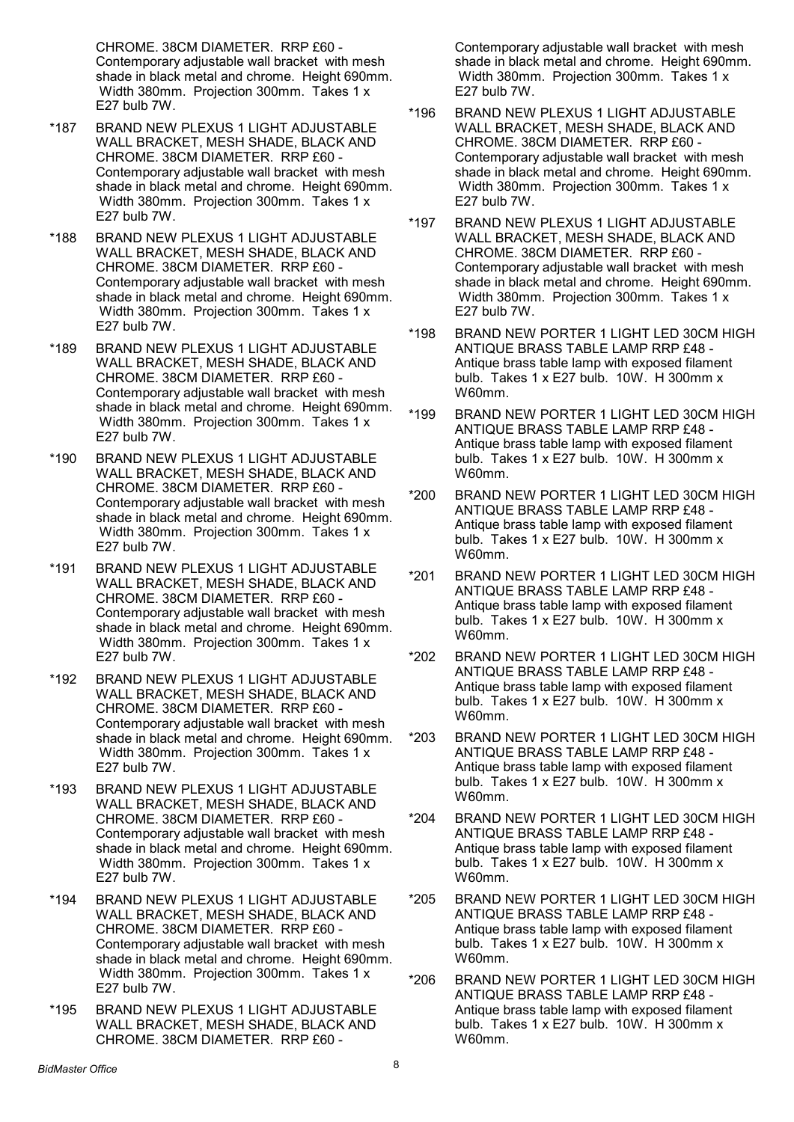CHROME. 38CM DIAMETER. RRP £60 - Contemporary adjustable wall bracket with mesh shade in black metal and chrome. Height 690mm. Width 380mm. Projection 300mm. Takes 1 x E27 bulb 7W.

- \*187 BRAND NEW PLEXUS 1 LIGHT ADJUSTABLE WALL BRACKET, MESH SHADE, BLACK AND CHROME. 38CM DIAMETER. RRP £60 - Contemporary adjustable wall bracket with mesh shade in black metal and chrome. Height 690mm. Width 380mm. Projection 300mm. Takes 1 x E27 bulb 7W.
- \*188 BRAND NEW PLEXUS 1 LIGHT ADJUSTABLE WALL BRACKET, MESH SHADE, BLACK AND CHROME. 38CM DIAMETER. RRP £60 - Contemporary adjustable wall bracket with mesh shade in black metal and chrome. Height 690mm. Width 380mm. Projection 300mm. Takes 1 x E27 bulb 7W.
- \*189 BRAND NEW PLEXUS 1 LIGHT ADJUSTABLE WALL BRACKET, MESH SHADE, BLACK AND CHROME. 38CM DIAMETER. RRP £60 - Contemporary adjustable wall bracket with mesh shade in black metal and chrome. Height 690mm. Width 380mm. Projection 300mm. Takes 1 x E27 bulb 7W.
- \*190 BRAND NEW PLEXUS 1 LIGHT ADJUSTABLE WALL BRACKET, MESH SHADE, BLACK AND CHROME. 38CM DIAMETER. RRP £60 - Contemporary adjustable wall bracket with mesh shade in black metal and chrome. Height 690mm. Width 380mm. Projection 300mm. Takes 1 x E27 bulb 7W.
- \*191 BRAND NEW PLEXUS 1 LIGHT ADJUSTABLE WALL BRACKET, MESH SHADE, BLACK AND CHROME. 38CM DIAMETER. RRP £60 - Contemporary adjustable wall bracket with mesh shade in black metal and chrome. Height 690mm. Width 380mm. Projection 300mm. Takes 1 x E27 bulb 7W.
- \*192 BRAND NEW PLEXUS 1 LIGHT ADJUSTABLE WALL BRACKET, MESH SHADE, BLACK AND CHROME. 38CM DIAMETER. RRP £60 - Contemporary adjustable wall bracket with mesh shade in black metal and chrome. Height 690mm. Width 380mm. Projection 300mm. Takes 1 x E27 bulb 7W.
- \*193 BRAND NEW PLEXUS 1 LIGHT ADJUSTABLE WALL BRACKET, MESH SHADE, BLACK AND CHROME. 38CM DIAMETER. RRP £60 - Contemporary adjustable wall bracket with mesh shade in black metal and chrome. Height 690mm. Width 380mm. Projection 300mm. Takes 1 x E27 bulb 7W.
- \*194 BRAND NEW PLEXUS 1 LIGHT ADJUSTABLE WALL BRACKET, MESH SHADE, BLACK AND CHROME. 38CM DIAMETER. RRP £60 - Contemporary adjustable wall bracket with mesh shade in black metal and chrome. Height 690mm. Width 380mm. Projection 300mm. Takes 1 x E27 bulb 7W.
- \*195 BRAND NEW PLEXUS 1 LIGHT ADJUSTABLE WALL BRACKET, MESH SHADE, BLACK AND CHROME. 38CM DIAMETER. RRP £60 -

Contemporary adjustable wall bracket with mesh shade in black metal and chrome. Height 690mm. Width 380mm. Projection 300mm. Takes 1 x E27 bulb 7W.

- \*196 BRAND NEW PLEXUS 1 LIGHT ADJUSTABLE WALL BRACKET, MESH SHADE, BLACK AND CHROME. 38CM DIAMETER. RRP £60 - Contemporary adjustable wall bracket with mesh shade in black metal and chrome. Height 690mm. Width 380mm. Projection 300mm. Takes 1 x E27 bulb 7W.
- \*197 BRAND NEW PLEXUS 1 LIGHT ADJUSTABLE WALL BRACKET, MESH SHADE, BLACK AND CHROME. 38CM DIAMETER. RRP £60 - Contemporary adjustable wall bracket with mesh shade in black metal and chrome. Height 690mm. Width 380mm. Projection 300mm. Takes 1 x E27 bulb 7W.
- \*198 BRAND NEW PORTER 1 LIGHT LED 30CM HIGH ANTIQUE BRASS TABLE LAMP RRP £48 - Antique brass table lamp with exposed filament bulb. Takes 1 x E27 bulb. 10W. H 300mm x W60mm.
- \*199 BRAND NEW PORTER 1 LIGHT LED 30CM HIGH ANTIQUE BRASS TABLE LAMP RRP £48 - Antique brass table lamp with exposed filament bulb. Takes 1 x E27 bulb. 10W. H 300mm x W60mm.
- \*200 BRAND NEW PORTER 1 LIGHT LED 30CM HIGH ANTIQUE BRASS TABLE LAMP RRP £48 - Antique brass table lamp with exposed filament bulb. Takes 1 x E27 bulb. 10W. H 300mm x W60mm.
- \*201 BRAND NEW PORTER 1 LIGHT LED 30CM HIGH ANTIQUE BRASS TABLE LAMP RRP £48 - Antique brass table lamp with exposed filament bulb. Takes 1 x E27 bulb. 10W. H 300mm x W60mm.
- \*202 BRAND NEW PORTER 1 LIGHT LED 30CM HIGH ANTIQUE BRASS TABLE LAMP RRP £48 - Antique brass table lamp with exposed filament bulb. Takes 1 x E27 bulb. 10W. H 300mm x W60mm.
- \*203 BRAND NEW PORTER 1 LIGHT LED 30CM HIGH ANTIQUE BRASS TABLE LAMP RRP £48 - Antique brass table lamp with exposed filament bulb. Takes 1 x E27 bulb. 10W. H 300mm x W60mm.
- \*204 BRAND NEW PORTER 1 LIGHT LED 30CM HIGH ANTIQUE BRASS TABLE LAMP RRP £48 - Antique brass table lamp with exposed filament bulb. Takes 1 x E27 bulb. 10W. H 300mm x W60mm.
- \*205 BRAND NEW PORTER 1 LIGHT LED 30CM HIGH ANTIQUE BRASS TABLE LAMP RRP £48 - Antique brass table lamp with exposed filament bulb. Takes 1 x E27 bulb. 10W. H 300mm x W60mm.
- \*206 BRAND NEW PORTER 1 LIGHT LED 30CM HIGH ANTIQUE BRASS TABLE LAMP RRP £48 - Antique brass table lamp with exposed filament bulb. Takes 1 x E27 bulb. 10W. H 300mm x W60mm.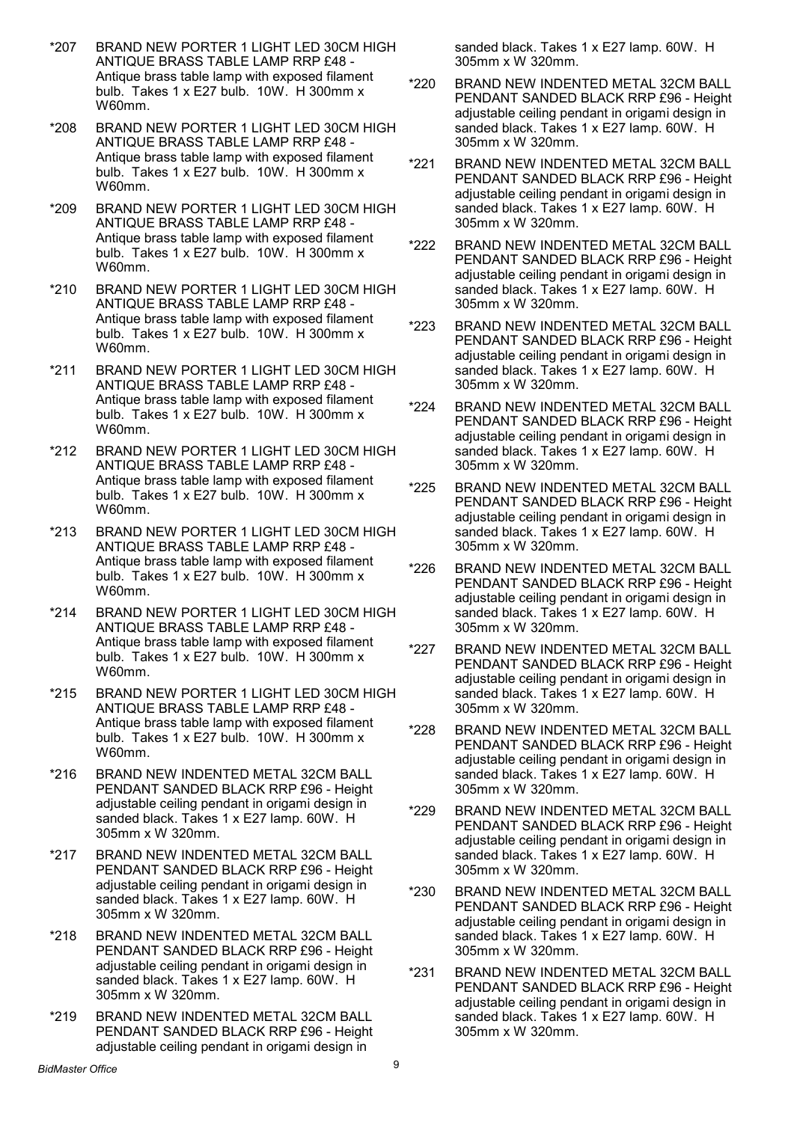- \*207 BRAND NEW PORTER 1 LIGHT LED 30CM HIGH ANTIQUE BRASS TABLE LAMP RRP £48 - Antique brass table lamp with exposed filament bulb. Takes 1 x E27 bulb. 10W. H 300mm x W60mm.
- \*208 BRAND NEW PORTER 1 LIGHT LED 30CM HIGH ANTIQUE BRASS TABLE LAMP RRP £48 - Antique brass table lamp with exposed filament bulb. Takes 1 x E27 bulb. 10W. H 300mm x W60mm.
- \*209 BRAND NEW PORTER 1 LIGHT LED 30CM HIGH ANTIQUE BRASS TABLE LAMP RRP £48 - Antique brass table lamp with exposed filament bulb. Takes 1 x E27 bulb. 10W. H 300mm x W60mm.
- \*210 BRAND NEW PORTER 1 LIGHT LED 30CM HIGH ANTIQUE BRASS TABLE LAMP RRP £48 - Antique brass table lamp with exposed filament bulb. Takes 1 x E27 bulb. 10W. H 300mm x W60mm.
- \*211 BRAND NEW PORTER 1 LIGHT LED 30CM HIGH ANTIQUE BRASS TABLE LAMP RRP £48 - Antique brass table lamp with exposed filament bulb. Takes 1 x E27 bulb. 10W. H 300mm x W60mm.
- \*212 BRAND NEW PORTER 1 LIGHT LED 30CM HIGH ANTIQUE BRASS TABLE LAMP RRP £48 - Antique brass table lamp with exposed filament bulb. Takes  $1 \times$  E27 bulb.  $10W$ . H 300mm  $x$ W60mm.
- \*213 BRAND NEW PORTER 1 LIGHT LED 30CM HIGH ANTIQUE BRASS TABLE LAMP RRP £48 - Antique brass table lamp with exposed filament bulb. Takes 1 x E27 bulb. 10W. H 300mm x W60mm.
- \*214 BRAND NEW PORTER 1 LIGHT LED 30CM HIGH ANTIQUE BRASS TABLE LAMP RRP £48 - Antique brass table lamp with exposed filament bulb. Takes 1 x E27 bulb. 10W. H 300mm x W60mm.
- \*215 BRAND NEW PORTER 1 LIGHT LED 30CM HIGH ANTIQUE BRASS TABLE LAMP RRP £48 - Antique brass table lamp with exposed filament bulb. Takes 1 x E27 bulb. 10W. H 300mm x W60mm.
- \*216 BRAND NEW INDENTED METAL 32CM BALL PENDANT SANDED BLACK RRP £96 - Height adjustable ceiling pendant in origami design in sanded black. Takes 1 x E27 lamp. 60W. H 305mm x W 320mm.
- \*217 BRAND NEW INDENTED METAL 32CM BALL PENDANT SANDED BLACK RRP £96 - Height adjustable ceiling pendant in origami design in sanded black. Takes 1 x E27 lamp. 60W. H 305mm x W 320mm.
- \*218 BRAND NEW INDENTED METAL 32CM BALL PENDANT SANDED BLACK RRP £96 - Height adjustable ceiling pendant in origami design in sanded black. Takes 1 x E27 lamp. 60W. H 305mm x W 320mm.
- \*219 BRAND NEW INDENTED METAL 32CM BALL PENDANT SANDED BLACK RRP £96 - Height adjustable ceiling pendant in origami design in

sanded black. Takes 1 x E27 lamp. 60W. H 305mm x W 320mm.

- \*220 BRAND NEW INDENTED METAL 32CM BALL PENDANT SANDED BLACK RRP £96 - Height adjustable ceiling pendant in origami design in sanded black. Takes 1 x E27 lamp. 60W. H 305mm x W 320mm.
- \*221 BRAND NEW INDENTED METAL 32CM BALL PENDANT SANDED BLACK RRP £96 - Height adjustable ceiling pendant in origami design in sanded black. Takes 1 x E27 lamp. 60W. H 305mm x W 320mm.
- \*222 BRAND NEW INDENTED METAL 32CM BALL PENDANT SANDED BLACK RRP £96 - Height adjustable ceiling pendant in origami design in sanded black. Takes 1 x E27 lamp. 60W. H 305mm x W 320mm.
- \*223 BRAND NEW INDENTED METAL 32CM BALL PENDANT SANDED BLACK RRP £96 - Height adjustable ceiling pendant in origami design in sanded black. Takes 1 x E27 lamp. 60W. H 305mm x W 320mm.
- \*224 BRAND NEW INDENTED METAL 32CM BALL PENDANT SANDED BLACK RRP £96 - Height adjustable ceiling pendant in origami design in sanded black. Takes 1 x E27 lamp. 60W. H 305mm x W 320mm.
- \*225 BRAND NEW INDENTED METAL 32CM BALL PENDANT SANDED BLACK RRP £96 - Height adjustable ceiling pendant in origami design in sanded black. Takes 1 x E27 lamp. 60W. H 305mm x W 320mm.
- \*226 BRAND NEW INDENTED METAL 32CM BALL PENDANT SANDED BLACK RRP £96 - Height adjustable ceiling pendant in origami design in sanded black. Takes 1 x E27 lamp. 60W. H 305mm x W 320mm.
- \*227 BRAND NEW INDENTED METAL 32CM BALL PENDANT SANDED BLACK RRP £96 - Height adjustable ceiling pendant in origami design in sanded black. Takes 1 x E27 lamp. 60W. H 305mm x W 320mm.
- \*228 BRAND NEW INDENTED METAL 32CM BALL PENDANT SANDED BLACK RRP £96 - Height adjustable ceiling pendant in origami design in sanded black. Takes 1 x E27 lamp. 60W. H 305mm x W 320mm.
- \*229 BRAND NEW INDENTED METAL 32CM BALL PENDANT SANDED BLACK RRP £96 - Height adjustable ceiling pendant in origami design in sanded black. Takes 1 x E27 lamp. 60W. H 305mm x W 320mm.
- \*230 BRAND NEW INDENTED METAL 32CM BALL PENDANT SANDED BLACK RRP £96 - Height adjustable ceiling pendant in origami design in sanded black. Takes 1 x E27 lamp. 60W. H 305mm x W 320mm.
- \*231 BRAND NEW INDENTED METAL 32CM BALL PENDANT SANDED BLACK RRP £96 - Height adjustable ceiling pendant in origami design in sanded black. Takes 1 x E27 lamp. 60W. H 305mm x W 320mm.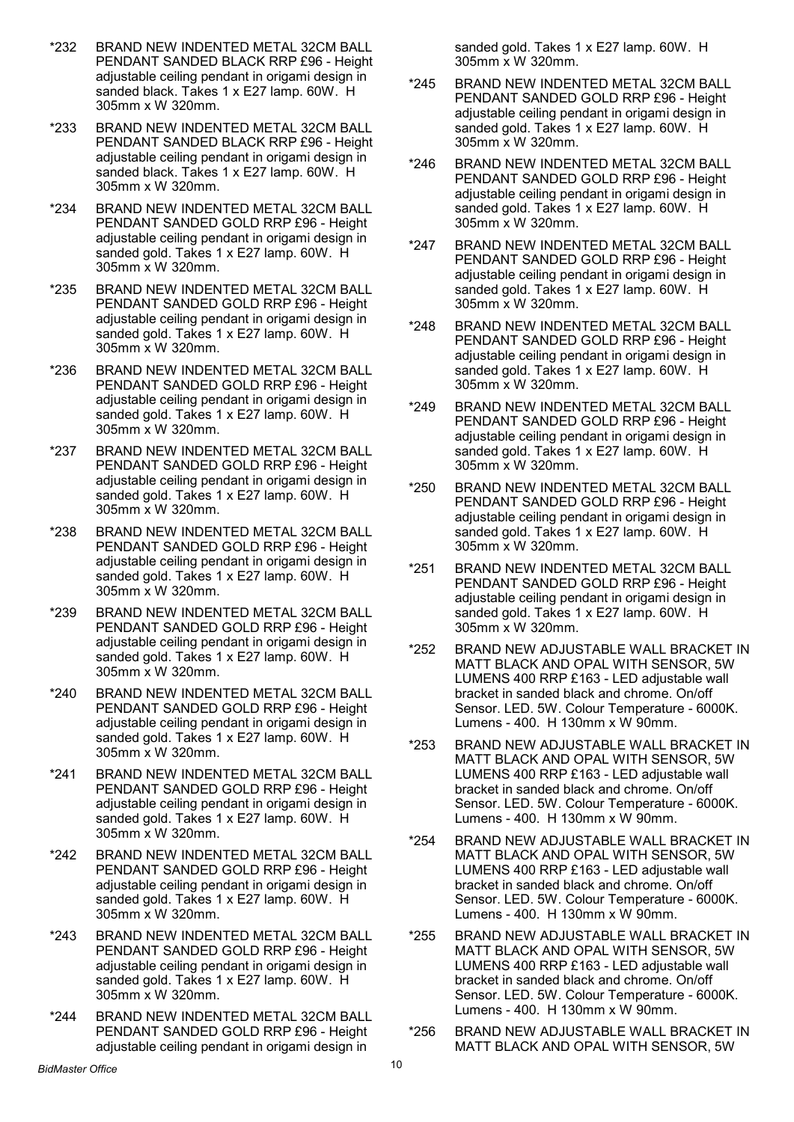- \*232 BRAND NEW INDENTED METAL 32CM BALL PENDANT SANDED BLACK RRP £96 - Height adjustable ceiling pendant in origami design in sanded black. Takes 1 x E27 lamp. 60W. H 305mm x W 320mm.
- \*233 BRAND NEW INDENTED METAL 32CM BALL PENDANT SANDED BLACK RRP £96 - Height adjustable ceiling pendant in origami design in sanded black. Takes 1 x E27 lamp. 60W. H 305mm x W 320mm.
- \*234 BRAND NEW INDENTED METAL 32CM BALL PENDANT SANDED GOLD RRP £96 - Height adjustable ceiling pendant in origami design in sanded gold. Takes 1 x E27 lamp. 60W. H 305mm x W 320mm.
- \*235 BRAND NEW INDENTED METAL 32CM BALL PENDANT SANDED GOLD RRP £96 - Height adjustable ceiling pendant in origami design in sanded gold. Takes 1 x E27 lamp. 60W. H 305mm x W 320mm.
- \*236 BRAND NEW INDENTED METAL 32CM BALL PENDANT SANDED GOLD RRP £96 - Height adjustable ceiling pendant in origami design in sanded gold. Takes 1 x E27 lamp. 60W. H 305mm x W 320mm.
- \*237 BRAND NEW INDENTED METAL 32CM BALL PENDANT SANDED GOLD RRP £96 - Height adjustable ceiling pendant in origami design in sanded gold. Takes 1 x E27 lamp. 60W. H 305mm x W 320mm.
- \*238 BRAND NEW INDENTED METAL 32CM BALL PENDANT SANDED GOLD RRP £96 - Height adjustable ceiling pendant in origami design in sanded gold. Takes 1 x E27 lamp. 60W. H 305mm x W 320mm.
- \*239 BRAND NEW INDENTED METAL 32CM BALL PENDANT SANDED GOLD RRP £96 - Height adjustable ceiling pendant in origami design in sanded gold. Takes 1 x E27 lamp. 60W. H 305mm x W 320mm.
- \*240 BRAND NEW INDENTED METAL 32CM BALL PENDANT SANDED GOLD RRP £96 - Height adjustable ceiling pendant in origami design in sanded gold. Takes 1 x E27 lamp. 60W. H 305mm x W 320mm.
- \*241 BRAND NEW INDENTED METAL 32CM BALL PENDANT SANDED GOLD RRP £96 - Height adjustable ceiling pendant in origami design in sanded gold. Takes 1 x E27 lamp. 60W. H 305mm x W 320mm.
- \*242 BRAND NEW INDENTED METAL 32CM BALL PENDANT SANDED GOLD RRP £96 - Height adjustable ceiling pendant in origami design in sanded gold. Takes 1 x E27 lamp. 60W. H 305mm x W 320mm.
- \*243 BRAND NEW INDENTED METAL 32CM BALL PENDANT SANDED GOLD RRP £96 - Height adjustable ceiling pendant in origami design in sanded gold. Takes 1 x E27 lamp. 60W. H 305mm x W 320mm.
- \*244 BRAND NEW INDENTED METAL 32CM BALL PENDANT SANDED GOLD RRP £96 - Height adjustable ceiling pendant in origami design in

sanded gold. Takes 1 x E27 lamp. 60W. H 305mm x W 320mm.

- \*245 BRAND NEW INDENTED METAL 32CM BALL PENDANT SANDED GOLD RRP £96 - Height adjustable ceiling pendant in origami design in sanded gold. Takes 1 x E27 lamp. 60W. H 305mm x W 320mm.
- \*246 BRAND NEW INDENTED METAL 32CM BALL PENDANT SANDED GOLD RRP £96 - Height adjustable ceiling pendant in origami design in sanded gold. Takes 1 x E27 lamp. 60W. H 305mm x W 320mm.
- \*247 BRAND NEW INDENTED METAL 32CM BALL PENDANT SANDED GOLD RRP £96 - Height adjustable ceiling pendant in origami design in sanded gold. Takes 1 x E27 lamp. 60W. H 305mm x W 320mm.
- \*248 BRAND NEW INDENTED METAL 32CM BALL PENDANT SANDED GOLD RRP £96 - Height adjustable ceiling pendant in origami design in sanded gold. Takes 1 x E27 lamp. 60W. H 305mm x W 320mm.
- \*249 BRAND NEW INDENTED METAL 32CM BALL PENDANT SANDED GOLD RRP £96 - Height adjustable ceiling pendant in origami design in sanded gold. Takes 1 x E27 lamp. 60W. H 305mm x W 320mm.
- \*250 BRAND NEW INDENTED METAL 32CM BALL PENDANT SANDED GOLD RRP £96 - Height adjustable ceiling pendant in origami design in sanded gold. Takes 1 x E27 lamp. 60W. H 305mm x W 320mm.
- \*251 BRAND NEW INDENTED METAL 32CM BALL PENDANT SANDED GOLD RRP £96 - Height adjustable ceiling pendant in origami design in sanded gold. Takes 1 x E27 lamp. 60W. H 305mm x W 320mm.
- \*252 BRAND NEW ADJUSTABLE WALL BRACKET IN MATT BLACK AND OPAL WITH SENSOR, 5W LUMENS 400 RRP £163 - LED adjustable wall bracket in sanded black and chrome. On/off Sensor. LED. 5W. Colour Temperature - 6000K. Lumens - 400. H 130mm x W 90mm.
- \*253 BRAND NEW ADJUSTABLE WALL BRACKET IN MATT BLACK AND OPAL WITH SENSOR, 5W LUMENS 400 RRP £163 - LED adjustable wall bracket in sanded black and chrome. On/off Sensor. LED. 5W. Colour Temperature - 6000K. Lumens - 400. H 130mm x W 90mm.
- \*254 BRAND NEW ADJUSTABLE WALL BRACKET IN MATT BLACK AND OPAL WITH SENSOR, 5W LUMENS 400 RRP £163 - LED adjustable wall bracket in sanded black and chrome. On/off Sensor. LED. 5W. Colour Temperature - 6000K. Lumens - 400. H 130mm x W 90mm.
- \*255 BRAND NEW ADJUSTABLE WALL BRACKET IN MATT BLACK AND OPAL WITH SENSOR, 5W LUMENS 400 RRP £163 - LED adjustable wall bracket in sanded black and chrome. On/off Sensor. LED. 5W. Colour Temperature - 6000K. Lumens - 400. H 130mm x W 90mm.
- \*256 BRAND NEW ADJUSTABLE WALL BRACKET IN MATT BLACK AND OPAL WITH SENSOR, 5W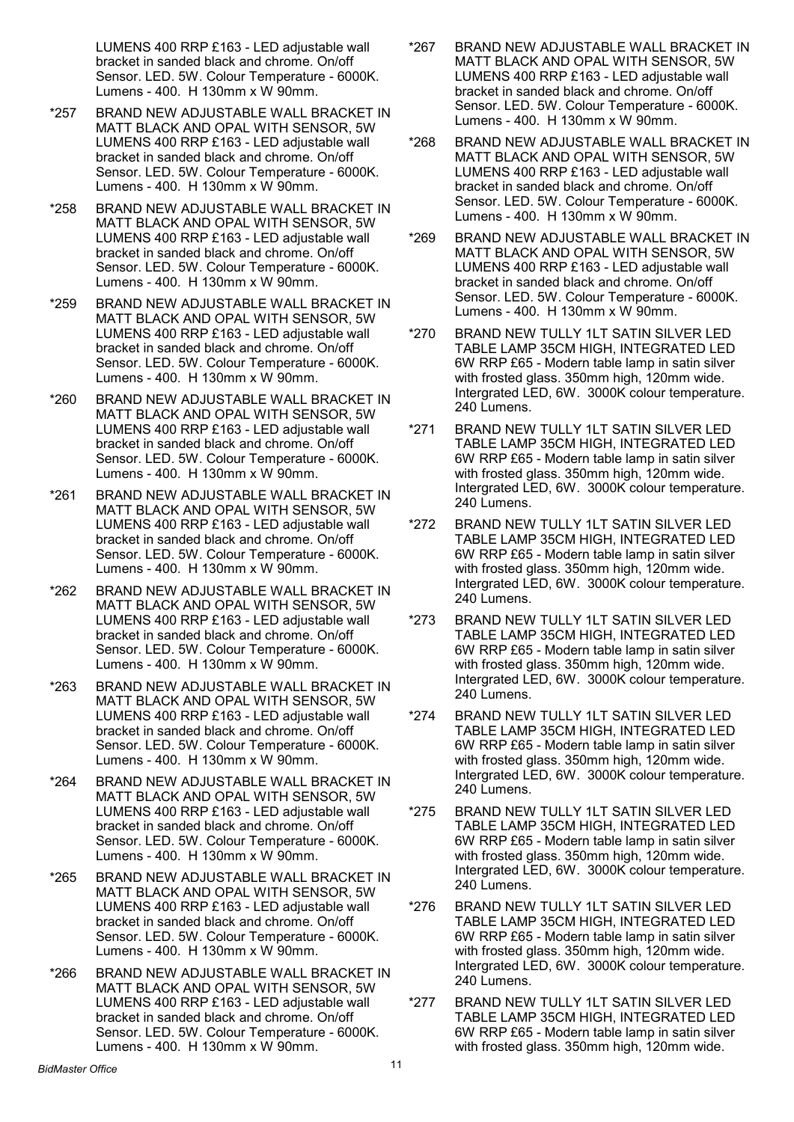LUMENS 400 RRP £163 - LED adjustable wall bracket in sanded black and chrome. On/off Sensor. LED. 5W. Colour Temperature - 6000K. Lumens - 400. H 130mm x W 90mm.

- \*257 BRAND NEW ADJUSTABLE WALL BRACKET IN MATT BLACK AND OPAL WITH SENSOR, 5W LUMENS 400 RRP £163 - LED adjustable wall bracket in sanded black and chrome. On/off Sensor. LED. 5W. Colour Temperature - 6000K. Lumens - 400. H 130mm x W 90mm.
- \*258 BRAND NEW ADJUSTABLE WALL BRACKET IN MATT BLACK AND OPAL WITH SENSOR, 5W LUMENS 400 RRP £163 - LED adjustable wall bracket in sanded black and chrome. On/off Sensor. LED. 5W. Colour Temperature - 6000K. Lumens - 400. H 130mm x W 90mm.
- \*259 BRAND NEW ADJUSTABLE WALL BRACKET IN MATT BLACK AND OPAL WITH SENSOR, 5W LUMENS 400 RRP £163 - LED adjustable wall bracket in sanded black and chrome. On/off Sensor. LED. 5W. Colour Temperature - 6000K. Lumens - 400. H 130mm x W 90mm.
- \*260 BRAND NEW ADJUSTABLE WALL BRACKET IN MATT BLACK AND OPAL WITH SENSOR, 5W LUMENS 400 RRP £163 - LED adjustable wall bracket in sanded black and chrome. On/off Sensor. LED. 5W. Colour Temperature - 6000K. Lumens - 400. H 130mm x W 90mm.
- \*261 BRAND NEW ADJUSTABLE WALL BRACKET IN MATT BLACK AND OPAL WITH SENSOR, 5W LUMENS 400 RRP £163 - LED adjustable wall bracket in sanded black and chrome. On/off Sensor. LED. 5W. Colour Temperature - 6000K. Lumens - 400. H 130mm x W 90mm.
- \*262 BRAND NEW ADJUSTABLE WALL BRACKET IN MATT BLACK AND OPAL WITH SENSOR, 5W LUMENS 400 RRP £163 - LED adjustable wall bracket in sanded black and chrome. On/off Sensor. LED. 5W. Colour Temperature - 6000K. Lumens - 400. H 130mm x W 90mm.
- \*263 BRAND NEW ADJUSTABLE WALL BRACKET IN MATT BLACK AND OPAL WITH SENSOR, 5W LUMENS 400 RRP £163 - LED adjustable wall bracket in sanded black and chrome. On/off Sensor. LED. 5W. Colour Temperature - 6000K. Lumens - 400. H 130mm x W 90mm.
- \*264 BRAND NEW ADJUSTABLE WALL BRACKET IN MATT BLACK AND OPAL WITH SENSOR, 5W LUMENS 400 RRP £163 - LED adjustable wall bracket in sanded black and chrome. On/off Sensor. LED. 5W. Colour Temperature - 6000K. Lumens - 400. H 130mm x W 90mm.
- \*265 BRAND NEW ADJUSTABLE WALL BRACKET IN MATT BLACK AND OPAL WITH SENSOR, 5W LUMENS 400 RRP £163 - LED adjustable wall bracket in sanded black and chrome. On/off Sensor. LED. 5W. Colour Temperature - 6000K. Lumens - 400. H 130mm x W 90mm.
- \*266 BRAND NEW ADJUSTABLE WALL BRACKET IN MATT BLACK AND OPAL WITH SENSOR, 5W LUMENS 400 RRP £163 - LED adjustable wall bracket in sanded black and chrome. On/off Sensor. LED. 5W. Colour Temperature - 6000K. Lumens - 400. H 130mm x W 90mm.
- \*267 BRAND NEW ADJUSTABLE WALL BRACKET IN MATT BLACK AND OPAL WITH SENSOR, 5W LUMENS 400 RRP £163 - LED adjustable wall bracket in sanded black and chrome. On/off Sensor. LED. 5W. Colour Temperature - 6000K. Lumens - 400. H 130mm x W 90mm.
- \*268 BRAND NEW ADJUSTABLE WALL BRACKET IN MATT BLACK AND OPAL WITH SENSOR, 5W LUMENS 400 RRP £163 - LED adjustable wall bracket in sanded black and chrome. On/off Sensor. LED. 5W. Colour Temperature - 6000K. Lumens - 400. H 130mm x W 90mm.
- \*269 BRAND NEW ADJUSTABLE WALL BRACKET IN MATT BLACK AND OPAL WITH SENSOR, 5W LUMENS 400 RRP £163 - LED adjustable wall bracket in sanded black and chrome. On/off Sensor. LED. 5W. Colour Temperature - 6000K. Lumens - 400. H 130mm x W 90mm.
- \*270 BRAND NEW TULLY 1LT SATIN SILVER LED TABLE LAMP 35CM HIGH, INTEGRATED LED 6W RRP £65 - Modern table lamp in satin silver with frosted glass. 350mm high, 120mm wide. Intergrated LED, 6W. 3000K colour temperature. 240 Lumens.
- \*271 BRAND NEW TULLY 1LT SATIN SILVER LED TABLE LAMP 35CM HIGH, INTEGRATED LED 6W RRP £65 - Modern table lamp in satin silver with frosted glass. 350mm high, 120mm wide. Intergrated LED, 6W. 3000K colour temperature. 240 Lumens.
- \*272 BRAND NEW TULLY 1LT SATIN SILVER LED TABLE LAMP 35CM HIGH, INTEGRATED LED 6W RRP £65 - Modern table lamp in satin silver with frosted glass. 350mm high, 120mm wide. Intergrated LED, 6W. 3000K colour temperature. 240 Lumens.
- \*273 BRAND NEW TULLY 1LT SATIN SILVER LED TABLE LAMP 35CM HIGH, INTEGRATED LED 6W RRP £65 - Modern table lamp in satin silver with frosted glass. 350mm high, 120mm wide. Intergrated LED, 6W. 3000K colour temperature. 240 Lumens.
- \*274 BRAND NEW TULLY 1LT SATIN SILVER LED TABLE LAMP 35CM HIGH, INTEGRATED LED 6W RRP £65 - Modern table lamp in satin silver with frosted glass. 350mm high, 120mm wide. Intergrated LED, 6W. 3000K colour temperature. 240 Lumens.
- \*275 BRAND NEW TULLY 1LT SATIN SILVER LED TABLE LAMP 35CM HIGH, INTEGRATED LED 6W RRP £65 - Modern table lamp in satin silver with frosted glass. 350mm high, 120mm wide. Intergrated LED, 6W. 3000K colour temperature. 240 Lumens.
- \*276 BRAND NEW TULLY 1LT SATIN SILVER LED TABLE LAMP 35CM HIGH, INTEGRATED LED 6W RRP £65 - Modern table lamp in satin silver with frosted glass. 350mm high, 120mm wide. Intergrated LED, 6W. 3000K colour temperature. 240 Lumens.
- \*277 BRAND NEW TULLY 1LT SATIN SILVER LED TABLE LAMP 35CM HIGH, INTEGRATED LED 6W RRP £65 - Modern table lamp in satin silver with frosted glass. 350mm high, 120mm wide.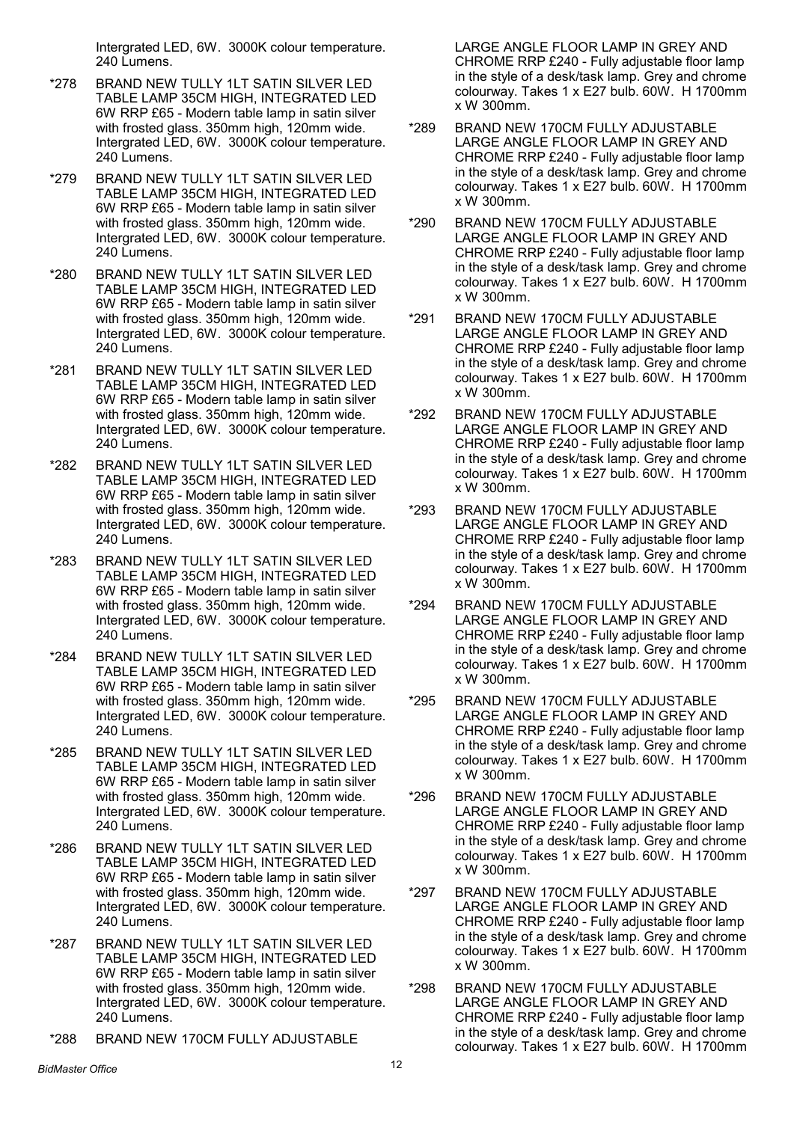Intergrated LED, 6W. 3000K colour temperature. 240 Lumens.

- \*278 BRAND NEW TULLY 1LT SATIN SILVER LED TABLE LAMP 35CM HIGH, INTEGRATED LED 6W RRP £65 - Modern table lamp in satin silver with frosted glass. 350mm high, 120mm wide. Intergrated LED, 6W. 3000K colour temperature. 240 Lumens.
- \*279 BRAND NEW TULLY 1LT SATIN SILVER LED TABLE LAMP 35CM HIGH, INTEGRATED LED 6W RRP £65 - Modern table lamp in satin silver with frosted glass. 350mm high, 120mm wide. Intergrated LED, 6W. 3000K colour temperature. 240 Lumens.
- \*280 BRAND NEW TULLY 1LT SATIN SILVER LED TABLE LAMP 35CM HIGH, INTEGRATED LED 6W RRP £65 - Modern table lamp in satin silver with frosted glass. 350mm high, 120mm wide. Intergrated LED, 6W. 3000K colour temperature. 240 Lumens.
- \*281 BRAND NEW TULLY 1LT SATIN SILVER LED TABLE LAMP 35CM HIGH, INTEGRATED LED 6W RRP £65 - Modern table lamp in satin silver with frosted glass. 350mm high, 120mm wide. Intergrated LED, 6W. 3000K colour temperature. 240 Lumens.
- \*282 BRAND NEW TULLY 1LT SATIN SILVER LED TABLE LAMP 35CM HIGH, INTEGRATED LED 6W RRP £65 - Modern table lamp in satin silver with frosted glass. 350mm high, 120mm wide. Intergrated LED, 6W. 3000K colour temperature. 240 Lumens.
- \*283 BRAND NEW TULLY 1LT SATIN SILVER LED TABLE LAMP 35CM HIGH, INTEGRATED LED 6W RRP £65 - Modern table lamp in satin silver with frosted glass. 350mm high, 120mm wide. Intergrated LED, 6W. 3000K colour temperature. 240 Lumens.
- \*284 BRAND NEW TULLY 1LT SATIN SILVER LED TABLE LAMP 35CM HIGH, INTEGRATED LED 6W RRP £65 - Modern table lamp in satin silver with frosted glass. 350mm high, 120mm wide. Intergrated LED, 6W. 3000K colour temperature. 240 Lumens.
- \*285 BRAND NEW TULLY 1LT SATIN SILVER LED TABLE LAMP 35CM HIGH, INTEGRATED LED 6W RRP £65 - Modern table lamp in satin silver with frosted glass. 350mm high, 120mm wide. Intergrated LED, 6W. 3000K colour temperature. 240 Lumens.
- \*286 BRAND NEW TULLY 1LT SATIN SILVER LED TABLE LAMP 35CM HIGH, INTEGRATED LED 6W RRP £65 - Modern table lamp in satin silver with frosted glass. 350mm high, 120mm wide. Intergrated LED, 6W. 3000K colour temperature. 240 Lumens.
- \*287 BRAND NEW TULLY 1LT SATIN SILVER LED TABLE LAMP 35CM HIGH, INTEGRATED LED 6W RRP £65 - Modern table lamp in satin silver with frosted glass. 350mm high, 120mm wide. Intergrated LED, 6W. 3000K colour temperature. 240 Lumens.
- \*288 BRAND NEW 170CM FULLY ADJUSTABLE

LARGE ANGLE FLOOR LAMP IN GREY AND CHROME RRP £240 - Fully adjustable floor lamp in the style of a desk/task lamp. Grey and chrome colourway. Takes 1 x E27 bulb. 60W. H 1700mm x W 300mm.

- \*289 BRAND NEW 170CM FULLY ADJUSTABLE LARGE ANGLE FLOOR LAMP IN GREY AND CHROME RRP £240 - Fully adjustable floor lamp in the style of a desk/task lamp. Grey and chrome colourway. Takes 1 x E27 bulb. 60W. H 1700mm x W 300mm.
- \*290 BRAND NEW 170CM FULLY ADJUSTABLE LARGE ANGLE FLOOR LAMP IN GREY AND CHROME RRP £240 - Fully adjustable floor lamp in the style of a desk/task lamp. Grey and chrome colourway. Takes 1 x E27 bulb. 60W. H 1700mm x W 300mm.
- \*291 BRAND NEW 170CM FULLY ADJUSTABLE LARGE ANGLE FLOOR LAMP IN GREY AND CHROME RRP £240 - Fully adjustable floor lamp in the style of a desk/task lamp. Grey and chrome colourway. Takes 1 x E27 bulb. 60W. H 1700mm x W 300mm.
- \*292 BRAND NEW 170CM FULLY ADJUSTABLE LARGE ANGLE FLOOR LAMP IN GREY AND CHROME RRP £240 - Fully adjustable floor lamp in the style of a desk/task lamp. Grey and chrome colourway. Takes 1 x E27 bulb. 60W. H 1700mm x W 300mm.
- \*293 BRAND NEW 170CM FULLY ADJUSTABLE LARGE ANGLE FLOOR LAMP IN GREY AND CHROME RRP £240 - Fully adjustable floor lamp in the style of a desk/task lamp. Grey and chrome colourway. Takes 1 x E27 bulb. 60W. H 1700mm x W 300mm.
- \*294 BRAND NEW 170CM FULLY ADJUSTABLE LARGE ANGLE FLOOR LAMP IN GREY AND CHROME RRP £240 - Fully adjustable floor lamp in the style of a desk/task lamp. Grey and chrome colourway. Takes 1 x E27 bulb. 60W. H 1700mm x W 300mm.
- \*295 BRAND NEW 170CM FULLY ADJUSTABLE LARGE ANGLE FLOOR LAMP IN GREY AND CHROME RRP £240 - Fully adjustable floor lamp in the style of a desk/task lamp. Grey and chrome colourway. Takes 1 x E27 bulb. 60W. H 1700mm x W 300mm.
- \*296 BRAND NEW 170CM FULLY ADJUSTABLE LARGE ANGLE FLOOR LAMP IN GREY AND CHROME RRP £240 - Fully adjustable floor lamp in the style of a desk/task lamp. Grey and chrome colourway. Takes 1 x E27 bulb. 60W. H 1700mm x W 300mm.
- \*297 BRAND NEW 170CM FULLY ADJUSTABLE LARGE ANGLE FLOOR LAMP IN GREY AND CHROME RRP £240 - Fully adjustable floor lamp in the style of a desk/task lamp. Grey and chrome colourway. Takes 1 x E27 bulb. 60W. H 1700mm x W 300mm.
- \*298 BRAND NEW 170CM FULLY ADJUSTABLE LARGE ANGLE FLOOR LAMP IN GREY AND CHROME RRP £240 - Fully adjustable floor lamp in the style of a desk/task lamp. Grey and chrome colourway. Takes 1 x E27 bulb. 60W. H 1700mm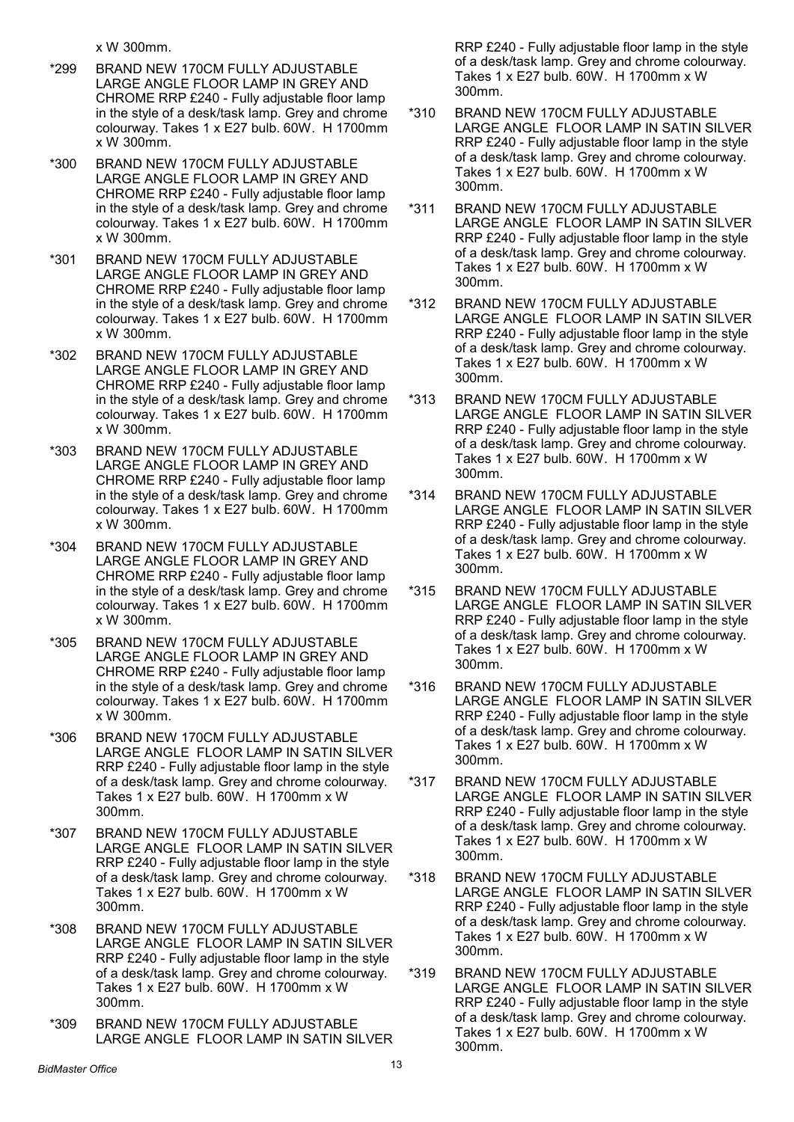x W 300mm.

- \*299 BRAND NEW 170CM FULLY ADJUSTABLE LARGE ANGLE FLOOR LAMP IN GREY AND CHROME RRP £240 - Fully adjustable floor lamp in the style of a desk/task lamp. Grey and chrome colourway. Takes 1 x E27 bulb. 60W. H 1700mm x W 300mm.
- \*300 BRAND NEW 170CM FULLY ADJUSTABLE LARGE ANGLE FLOOR LAMP IN GREY AND CHROME RRP £240 - Fully adjustable floor lamp in the style of a desk/task lamp. Grey and chrome colourway. Takes 1 x E27 bulb. 60W. H 1700mm x W 300mm.
- \*301 BRAND NEW 170CM FULLY ADJUSTABLE LARGE ANGLE FLOOR LAMP IN GREY AND CHROME RRP £240 - Fully adjustable floor lamp in the style of a desk/task lamp. Grey and chrome colourway. Takes 1 x E27 bulb. 60W. H 1700mm x W 300mm.
- \*302 BRAND NEW 170CM FULLY ADJUSTABLE LARGE ANGLE FLOOR LAMP IN GREY AND CHROME RRP £240 - Fully adjustable floor lamp in the style of a desk/task lamp. Grey and chrome colourway. Takes 1 x E27 bulb. 60W. H 1700mm x W 300mm.
- \*303 BRAND NEW 170CM FULLY ADJUSTABLE LARGE ANGLE FLOOR LAMP IN GREY AND CHROME RRP £240 - Fully adjustable floor lamp in the style of a desk/task lamp. Grey and chrome colourway. Takes 1 x E27 bulb. 60W. H 1700mm x W 300mm.
- \*304 BRAND NEW 170CM FULLY ADJUSTABLE LARGE ANGLE FLOOR LAMP IN GREY AND CHROME RRP £240 - Fully adjustable floor lamp in the style of a desk/task lamp. Grey and chrome colourway. Takes 1 x E27 bulb. 60W. H 1700mm x W 300mm.
- \*305 BRAND NEW 170CM FULLY ADJUSTABLE LARGE ANGLE FLOOR LAMP IN GREY AND CHROME RRP £240 - Fully adjustable floor lamp in the style of a desk/task lamp. Grey and chrome colourway. Takes 1 x E27 bulb. 60W. H 1700mm x W 300mm.
- \*306 BRAND NEW 170CM FULLY ADJUSTABLE LARGE ANGLE FLOOR LAMP IN SATIN SILVER RRP £240 - Fully adjustable floor lamp in the style of a desk/task lamp. Grey and chrome colourway. Takes 1 x E27 bulb. 60W. H 1700mm x W 300mm.
- \*307 BRAND NEW 170CM FULLY ADJUSTABLE LARGE ANGLE FLOOR LAMP IN SATIN SILVER RRP £240 - Fully adjustable floor lamp in the style of a desk/task lamp. Grey and chrome colourway. Takes 1 x E27 bulb. 60W. H 1700mm x W 300mm.
- \*308 BRAND NEW 170CM FULLY ADJUSTABLE LARGE ANGLE FLOOR LAMP IN SATIN SILVER RRP £240 - Fully adjustable floor lamp in the style of a desk/task lamp. Grey and chrome colourway. Takes 1 x E27 bulb. 60W. H 1700mm x W 300mm.
- \*309 BRAND NEW 170CM FULLY ADJUSTABLE LARGE ANGLE FLOOR LAMP IN SATIN SILVER

RRP £240 - Fully adjustable floor lamp in the style of a desk/task lamp. Grey and chrome colourway. Takes 1 x E27 bulb. 60W. H 1700mm x W 300mm.

- \*310 BRAND NEW 170CM FULLY ADJUSTABLE LARGE ANGLE FLOOR LAMP IN SATIN SILVER RRP £240 - Fully adjustable floor lamp in the style of a desk/task lamp. Grey and chrome colourway. Takes 1 x E27 bulb. 60W. H 1700mm x W 300mm.
- \*311 BRAND NEW 170CM FULLY ADJUSTABLE LARGE ANGLE FLOOR LAMP IN SATIN SILVER RRP £240 - Fully adjustable floor lamp in the style of a desk/task lamp. Grey and chrome colourway. Takes 1 x E27 bulb. 60W. H 1700mm x W 300mm.
- \*312 BRAND NEW 170CM FULLY ADJUSTABLE LARGE ANGLE FLOOR LAMP IN SATIN SILVER RRP £240 - Fully adjustable floor lamp in the style of a desk/task lamp. Grey and chrome colourway. Takes 1 x E27 bulb. 60W. H 1700mm x W 300mm.
- \*313 BRAND NEW 170CM FULLY ADJUSTABLE LARGE ANGLE FLOOR LAMP IN SATIN SILVER RRP £240 - Fully adjustable floor lamp in the style of a desk/task lamp. Grey and chrome colourway. Takes 1 x E27 bulb. 60W. H 1700mm x W 300mm.
- \*314 BRAND NEW 170CM FULLY ADJUSTABLE LARGE ANGLE FLOOR LAMP IN SATIN SILVER RRP £240 - Fully adjustable floor lamp in the style of a desk/task lamp. Grey and chrome colourway. Takes 1 x E27 bulb. 60W. H 1700mm x W 300mm.
- \*315 BRAND NEW 170CM FULLY ADJUSTABLE LARGE ANGLE FLOOR LAMP IN SATIN SILVER RRP £240 - Fully adjustable floor lamp in the style of a desk/task lamp. Grey and chrome colourway. Takes 1 x E27 bulb. 60W. H 1700mm x W 300mm.
- \*316 BRAND NEW 170CM FULLY ADJUSTABLE LARGE ANGLE FLOOR LAMP IN SATIN SILVER RRP £240 - Fully adjustable floor lamp in the style of a desk/task lamp. Grey and chrome colourway. Takes 1 x E27 bulb. 60W. H 1700mm x W 300mm.
- \*317 BRAND NEW 170CM FULLY ADJUSTABLE LARGE ANGLE FLOOR LAMP IN SATIN SILVER RRP £240 - Fully adjustable floor lamp in the style of a desk/task lamp. Grey and chrome colourway. Takes 1 x E27 bulb. 60W. H 1700mm x W 300mm.
- \*318 BRAND NEW 170CM FULLY ADJUSTABLE LARGE ANGLE FLOOR LAMP IN SATIN SILVER RRP £240 - Fully adjustable floor lamp in the style of a desk/task lamp. Grey and chrome colourway. Takes 1 x E27 bulb. 60W. H 1700mm x W 300mm.
- \*319 BRAND NEW 170CM FULLY ADJUSTABLE LARGE ANGLE FLOOR LAMP IN SATIN SILVER RRP £240 - Fully adjustable floor lamp in the style of a desk/task lamp. Grey and chrome colourway. Takes 1 x E27 bulb. 60W. H 1700mm x W 300mm.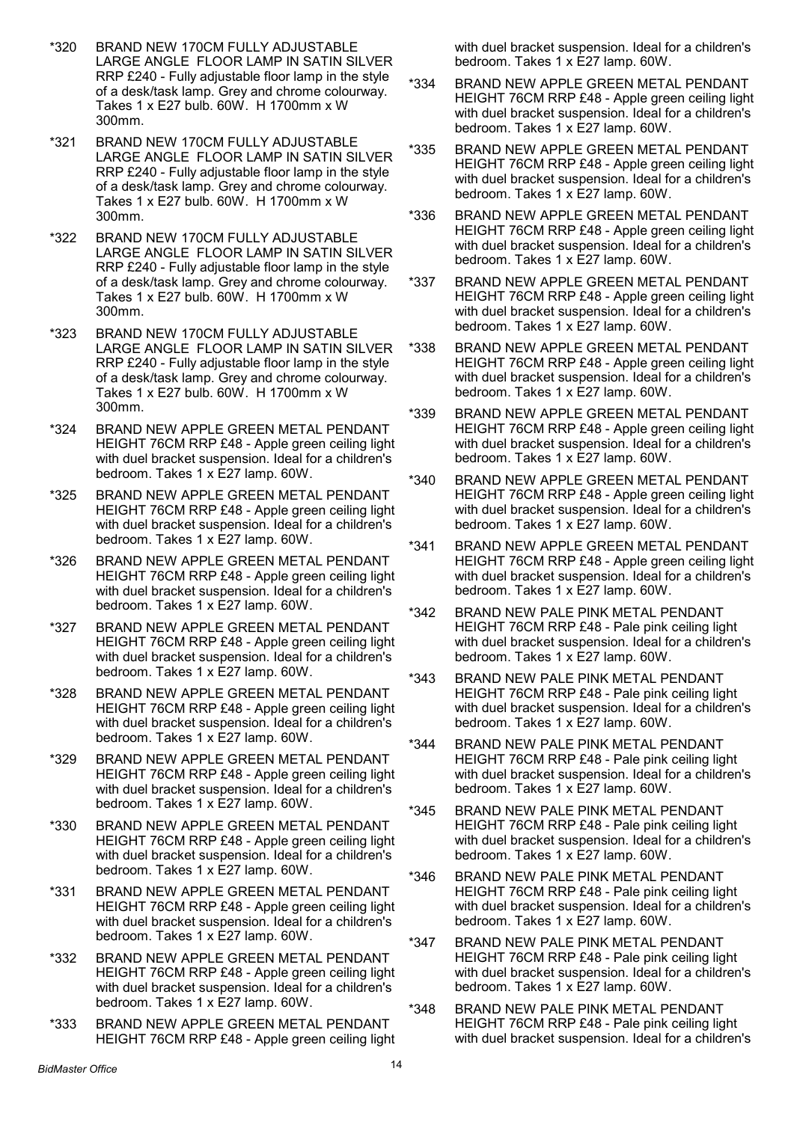- \*320 BRAND NEW 170CM FULLY ADJUSTABLE LARGE ANGLE FLOOR LAMP IN SATIN SILVER RRP £240 - Fully adjustable floor lamp in the style of a desk/task lamp. Grey and chrome colourway. Takes 1 x E27 bulb. 60W. H 1700mm x W 300mm.
- \*321 BRAND NEW 170CM FULLY ADJUSTABLE LARGE ANGLE FLOOR LAMP IN SATIN SILVER RRP £240 - Fully adjustable floor lamp in the style of a desk/task lamp. Grey and chrome colourway. Takes 1 x E27 bulb. 60W. H 1700mm x W 300mm.
- \*322 BRAND NEW 170CM FULLY ADJUSTABLE LARGE ANGLE FLOOR LAMP IN SATIN SILVER RRP £240 - Fully adjustable floor lamp in the style of a desk/task lamp. Grey and chrome colourway. Takes 1 x E27 bulb. 60W. H 1700mm x W 300mm.
- \*323 BRAND NEW 170CM FULLY ADJUSTABLE LARGE ANGLE FLOOR LAMP IN SATIN SILVER RRP £240 - Fully adjustable floor lamp in the style of a desk/task lamp. Grey and chrome colourway. Takes 1 x E27 bulb. 60W. H 1700mm x W 300mm.
- \*324 BRAND NEW APPLE GREEN METAL PENDANT HEIGHT 76CM RRP £48 - Apple green ceiling light with duel bracket suspension. Ideal for a children's bedroom. Takes 1 x E27 lamp. 60W.
- \*325 BRAND NEW APPLE GREEN METAL PENDANT HEIGHT 76CM RRP £48 - Apple green ceiling light with duel bracket suspension. Ideal for a children's bedroom. Takes 1 x E27 lamp. 60W.
- \*326 BRAND NEW APPLE GREEN METAL PENDANT HEIGHT 76CM RRP £48 - Apple green ceiling light with duel bracket suspension. Ideal for a children's bedroom. Takes 1 x E27 lamp. 60W.
- \*327 BRAND NEW APPLE GREEN METAL PENDANT HEIGHT 76CM RRP £48 - Apple green ceiling light with duel bracket suspension. Ideal for a children's bedroom. Takes 1 x E27 lamp. 60W.
- \*328 BRAND NEW APPLE GREEN METAL PENDANT HEIGHT 76CM RRP £48 - Apple green ceiling light with duel bracket suspension. Ideal for a children's bedroom. Takes 1 x E27 lamp. 60W.
- \*329 BRAND NEW APPLE GREEN METAL PENDANT HEIGHT 76CM RRP £48 - Apple green ceiling light with duel bracket suspension. Ideal for a children's bedroom. Takes 1 x E27 lamp. 60W.
- \*330 BRAND NEW APPLE GREEN METAL PENDANT HEIGHT 76CM RRP £48 - Apple green ceiling light with duel bracket suspension. Ideal for a children's bedroom. Takes 1 x E27 lamp. 60W.
- \*331 BRAND NEW APPLE GREEN METAL PENDANT HEIGHT 76CM RRP £48 - Apple green ceiling light with duel bracket suspension. Ideal for a children's bedroom. Takes 1 x E27 lamp. 60W.
- \*332 BRAND NEW APPLE GREEN METAL PENDANT HEIGHT 76CM RRP £48 - Apple green ceiling light with duel bracket suspension. Ideal for a children's bedroom. Takes 1 x E27 lamp. 60W.
- \*333 BRAND NEW APPLE GREEN METAL PENDANT HEIGHT 76CM RRP £48 - Apple green ceiling light

with duel bracket suspension. Ideal for a children's bedroom. Takes 1 x E27 lamp. 60W.

- \*334 BRAND NEW APPLE GREEN METAL PENDANT HEIGHT 76CM RRP £48 - Apple green ceiling light with duel bracket suspension. Ideal for a children's bedroom. Takes 1 x E27 lamp. 60W.
- \*335 BRAND NEW APPLE GREEN METAL PENDANT HEIGHT 76CM RRP £48 - Apple green ceiling light with duel bracket suspension. Ideal for a children's bedroom. Takes 1 x E27 lamp. 60W.
- \*336 BRAND NEW APPLE GREEN METAL PENDANT HEIGHT 76CM RRP £48 - Apple green ceiling light with duel bracket suspension. Ideal for a children's bedroom. Takes 1 x E27 lamp. 60W.
- \*337 BRAND NEW APPLE GREEN METAL PENDANT HEIGHT 76CM RRP £48 - Apple green ceiling light with duel bracket suspension. Ideal for a children's bedroom. Takes 1 x E27 lamp. 60W.
- \*338 BRAND NEW APPLE GREEN METAL PENDANT HEIGHT 76CM RRP £48 - Apple green ceiling light with duel bracket suspension. Ideal for a children's bedroom. Takes 1 x E27 lamp. 60W.
- \*339 BRAND NEW APPLE GREEN METAL PENDANT HEIGHT 76CM RRP £48 - Apple green ceiling light with duel bracket suspension. Ideal for a children's bedroom. Takes 1 x E27 lamp. 60W.
- \*340 BRAND NEW APPLE GREEN METAL PENDANT HEIGHT 76CM RRP £48 - Apple green ceiling light with duel bracket suspension. Ideal for a children's bedroom. Takes 1 x E27 lamp. 60W.
- \*341 BRAND NEW APPLE GREEN METAL PENDANT HEIGHT 76CM RRP £48 - Apple green ceiling light with duel bracket suspension. Ideal for a children's bedroom. Takes 1 x E27 lamp. 60W.
- \*342 BRAND NEW PALE PINK METAL PENDANT HEIGHT 76CM RRP £48 - Pale pink ceiling light with duel bracket suspension. Ideal for a children's bedroom. Takes 1 x E27 lamp. 60W.
- \*343 BRAND NEW PALE PINK METAL PENDANT HEIGHT 76CM RRP £48 - Pale pink ceiling light with duel bracket suspension. Ideal for a children's bedroom. Takes 1 x E27 lamp. 60W.
- \*344 BRAND NEW PALE PINK METAL PENDANT HEIGHT 76CM RRP £48 - Pale pink ceiling light with duel bracket suspension. Ideal for a children's bedroom. Takes 1 x E27 lamp. 60W.
- \*345 BRAND NEW PALE PINK METAL PENDANT HEIGHT 76CM RRP £48 - Pale pink ceiling light with duel bracket suspension. Ideal for a children's bedroom. Takes 1 x E27 lamp. 60W.
- \*346 BRAND NEW PALE PINK METAL PENDANT HEIGHT 76CM RRP £48 - Pale pink ceiling light with duel bracket suspension. Ideal for a children's bedroom. Takes 1 x E27 lamp. 60W.
- \*347 BRAND NEW PALE PINK METAL PENDANT HEIGHT 76CM RRP £48 - Pale pink ceiling light with duel bracket suspension. Ideal for a children's bedroom. Takes 1 x E27 lamp. 60W.
- \*348 BRAND NEW PALE PINK METAL PENDANT HEIGHT 76CM RRP £48 - Pale pink ceiling light with duel bracket suspension. Ideal for a children's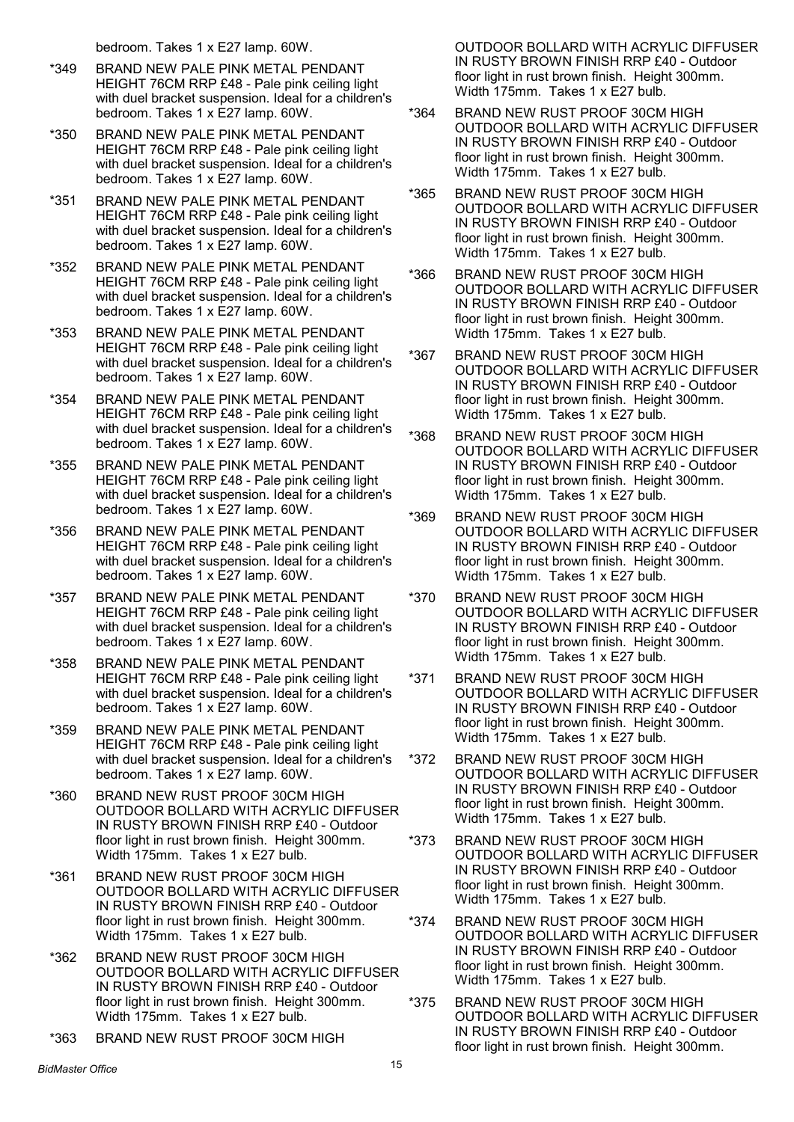bedroom. Takes 1 x E27 lamp. 60W.

- \*349 BRAND NEW PALE PINK METAL PENDANT HEIGHT 76CM RRP £48 - Pale pink ceiling light with duel bracket suspension. Ideal for a children's bedroom. Takes 1 x E27 lamp. 60W.
- \*350 BRAND NEW PALE PINK METAL PENDANT HEIGHT 76CM RRP £48 - Pale pink ceiling light with duel bracket suspension. Ideal for a children's bedroom. Takes 1 x E27 lamp. 60W.
- \*351 BRAND NEW PALE PINK METAL PENDANT HEIGHT 76CM RRP £48 - Pale pink ceiling light with duel bracket suspension. Ideal for a children's bedroom. Takes 1 x E27 lamp. 60W.
- \*352 BRAND NEW PALE PINK METAL PENDANT HEIGHT 76CM RRP £48 - Pale pink ceiling light with duel bracket suspension. Ideal for a children's bedroom. Takes 1 x E27 lamp. 60W.
- \*353 BRAND NEW PALE PINK METAL PENDANT HEIGHT 76CM RRP £48 - Pale pink ceiling light with duel bracket suspension. Ideal for a children's bedroom. Takes 1 x E27 lamp. 60W.
- \*354 BRAND NEW PALE PINK METAL PENDANT HEIGHT 76CM RRP £48 - Pale pink ceiling light with duel bracket suspension. Ideal for a children's bedroom. Takes 1 x E27 lamp. 60W.
- \*355 BRAND NEW PALE PINK METAL PENDANT HEIGHT 76CM RRP £48 - Pale pink ceiling light with duel bracket suspension. Ideal for a children's bedroom. Takes 1 x E27 lamp. 60W.
- \*356 BRAND NEW PALE PINK METAL PENDANT HEIGHT 76CM RRP £48 - Pale pink ceiling light with duel bracket suspension. Ideal for a children's bedroom. Takes 1 x E27 lamp. 60W.
- \*357 BRAND NEW PALE PINK METAL PENDANT HEIGHT 76CM RRP £48 - Pale pink ceiling light with duel bracket suspension. Ideal for a children's bedroom. Takes 1 x E27 lamp. 60W.
- \*358 BRAND NEW PALE PINK METAL PENDANT HEIGHT 76CM RRP £48 - Pale pink ceiling light with duel bracket suspension. Ideal for a children's bedroom. Takes 1 x E27 lamp. 60W.
- \*359 BRAND NEW PALE PINK METAL PENDANT HEIGHT 76CM RRP £48 - Pale pink ceiling light with duel bracket suspension. Ideal for a children's bedroom. Takes 1 x E27 lamp. 60W.
- \*360 BRAND NEW RUST PROOF 30CM HIGH OUTDOOR BOLLARD WITH ACRYLIC DIFFUSER IN RUSTY BROWN FINISH RRP £40 - Outdoor floor light in rust brown finish. Height 300mm. Width 175mm. Takes 1 x E27 bulb.
- \*361 BRAND NEW RUST PROOF 30CM HIGH OUTDOOR BOLLARD WITH ACRYLIC DIFFUSER IN RUSTY BROWN FINISH RRP £40 - Outdoor floor light in rust brown finish. Height 300mm. Width 175mm. Takes 1 x E27 bulb.
- \*362 BRAND NEW RUST PROOF 30CM HIGH OUTDOOR BOLLARD WITH ACRYLIC DIFFUSER IN RUSTY BROWN FINISH RRP £40 - Outdoor floor light in rust brown finish. Height 300mm. Width 175mm. Takes 1 x E27 bulb.
- \*363 BRAND NEW RUST PROOF 30CM HIGH

OUTDOOR BOLLARD WITH ACRYLIC DIFFUSER IN RUSTY BROWN FINISH RRP £40 - Outdoor floor light in rust brown finish. Height 300mm. Width 175mm. Takes 1 x E27 bulb.

- \*364 BRAND NEW RUST PROOF 30CM HIGH OUTDOOR BOLLARD WITH ACRYLIC DIFFUSER IN RUSTY BROWN FINISH RRP £40 - Outdoor floor light in rust brown finish. Height 300mm. Width 175mm. Takes 1 x E27 bulb.
- \*365 BRAND NEW RUST PROOF 30CM HIGH OUTDOOR BOLLARD WITH ACRYLIC DIFFUSER IN RUSTY BROWN FINISH RRP £40 - Outdoor floor light in rust brown finish. Height 300mm. Width 175mm. Takes 1 x E27 bulb.
- \*366 BRAND NEW RUST PROOF 30CM HIGH OUTDOOR BOLLARD WITH ACRYLIC DIFFUSER IN RUSTY BROWN FINISH RRP £40 - Outdoor floor light in rust brown finish. Height 300mm. Width 175mm. Takes 1 x E27 bulb.
- \*367 BRAND NEW RUST PROOF 30CM HIGH OUTDOOR BOLLARD WITH ACRYLIC DIFFUSER IN RUSTY BROWN FINISH RRP £40 - Outdoor floor light in rust brown finish. Height 300mm. Width 175mm. Takes 1 x E27 bulb.
- \*368 BRAND NEW RUST PROOF 30CM HIGH OUTDOOR BOLLARD WITH ACRYLIC DIFFUSER IN RUSTY BROWN FINISH RRP £40 - Outdoor floor light in rust brown finish. Height 300mm. Width 175mm. Takes 1 x E27 bulb.
- \*369 BRAND NEW RUST PROOF 30CM HIGH OUTDOOR BOLLARD WITH ACRYLIC DIFFUSER IN RUSTY BROWN FINISH RRP £40 - Outdoor floor light in rust brown finish. Height 300mm. Width 175mm. Takes 1 x E27 bulb.
- \*370 BRAND NEW RUST PROOF 30CM HIGH OUTDOOR BOLLARD WITH ACRYLIC DIFFUSER IN RUSTY BROWN FINISH RRP £40 - Outdoor floor light in rust brown finish. Height 300mm. Width 175mm. Takes 1 x E27 bulb.
- \*371 BRAND NEW RUST PROOF 30CM HIGH OUTDOOR BOLLARD WITH ACRYLIC DIFFUSER IN RUSTY BROWN FINISH RRP £40 - Outdoor floor light in rust brown finish. Height 300mm. Width 175mm. Takes 1 x E27 bulb.
- \*372 BRAND NEW RUST PROOF 30CM HIGH OUTDOOR BOLLARD WITH ACRYLIC DIFFUSER IN RUSTY BROWN FINISH RRP £40 - Outdoor floor light in rust brown finish. Height 300mm. Width 175mm. Takes 1 x E27 bulb.
- \*373 BRAND NEW RUST PROOF 30CM HIGH OUTDOOR BOLLARD WITH ACRYLIC DIFFUSER IN RUSTY BROWN FINISH RRP £40 - Outdoor floor light in rust brown finish. Height 300mm. Width 175mm. Takes 1 x E27 bulb.
- \*374 BRAND NEW RUST PROOF 30CM HIGH OUTDOOR BOLLARD WITH ACRYLIC DIFFUSER IN RUSTY BROWN FINISH RRP £40 - Outdoor floor light in rust brown finish. Height 300mm. Width 175mm. Takes 1 x E27 bulb.
- \*375 BRAND NEW RUST PROOF 30CM HIGH OUTDOOR BOLLARD WITH ACRYLIC DIFFUSER IN RUSTY BROWN FINISH RRP £40 - Outdoor floor light in rust brown finish. Height 300mm.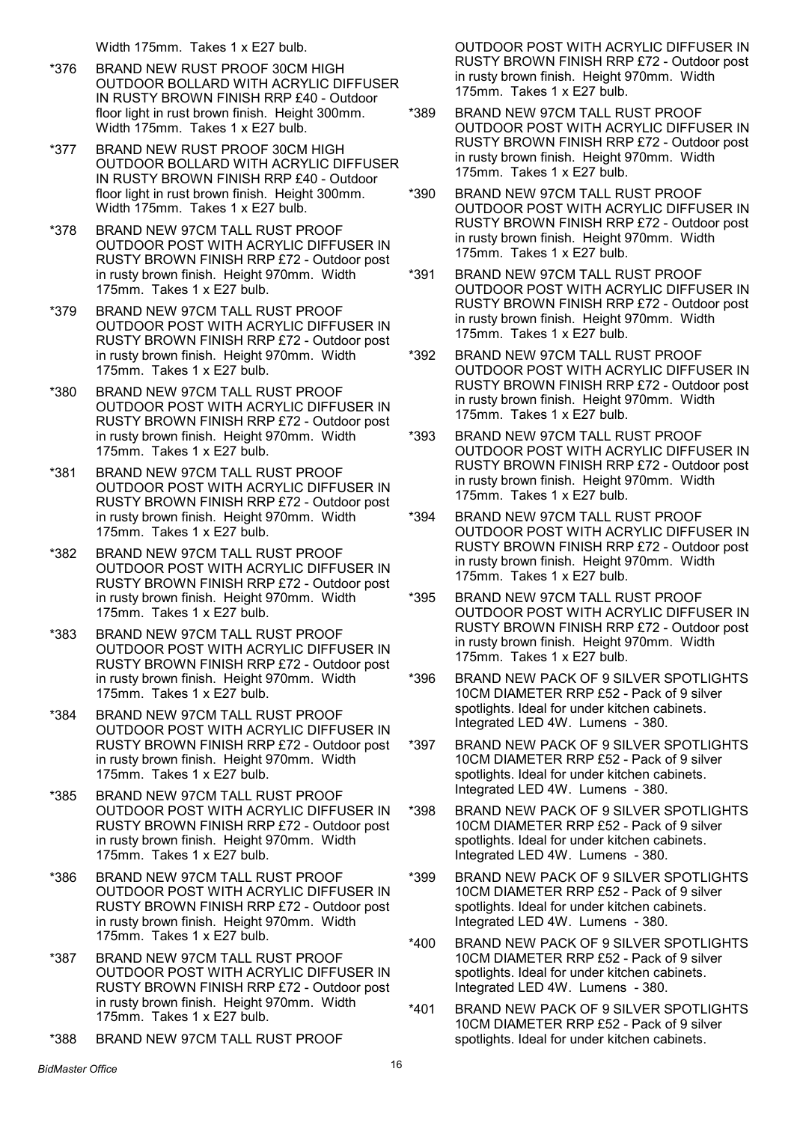Width 175mm. Takes 1 x E27 bulb.

- \*376 BRAND NEW RUST PROOF 30CM HIGH OUTDOOR BOLLARD WITH ACRYLIC DIFFUSER IN RUSTY BROWN FINISH RRP £40 - Outdoor floor light in rust brown finish. Height 300mm. Width 175mm. Takes 1 x E27 bulb.
- \*377 BRAND NEW RUST PROOF 30CM HIGH OUTDOOR BOLLARD WITH ACRYLIC DIFFUSER IN RUSTY BROWN FINISH RRP £40 - Outdoor floor light in rust brown finish. Height 300mm. Width 175mm. Takes 1 x E27 bulb.
- \*378 BRAND NEW 97CM TALL RUST PROOF OUTDOOR POST WITH ACRYLIC DIFFUSER IN RUSTY BROWN FINISH RRP £72 - Outdoor post in rusty brown finish. Height 970mm. Width 175mm. Takes 1 x E27 bulb.
- \*379 BRAND NEW 97CM TALL RUST PROOF OUTDOOR POST WITH ACRYLIC DIFFUSER IN RUSTY BROWN FINISH RRP £72 - Outdoor post in rusty brown finish. Height 970mm. Width 175mm. Takes 1 x E27 bulb.
- \*380 BRAND NEW 97CM TALL RUST PROOF OUTDOOR POST WITH ACRYLIC DIFFUSER IN RUSTY BROWN FINISH RRP £72 - Outdoor post in rusty brown finish. Height 970mm. Width 175mm. Takes 1 x E27 bulb.
- \*381 BRAND NEW 97CM TALL RUST PROOF OUTDOOR POST WITH ACRYLIC DIFFUSER IN RUSTY BROWN FINISH RRP £72 - Outdoor post in rusty brown finish. Height 970mm. Width 175mm. Takes 1 x E27 bulb.
- \*382 BRAND NEW 97CM TALL RUST PROOF OUTDOOR POST WITH ACRYLIC DIFFUSER IN RUSTY BROWN FINISH RRP £72 - Outdoor post in rusty brown finish. Height 970mm. Width 175mm. Takes 1 x E27 bulb.
- \*383 BRAND NEW 97CM TALL RUST PROOF OUTDOOR POST WITH ACRYLIC DIFFUSER IN RUSTY BROWN FINISH RRP £72 - Outdoor post in rusty brown finish. Height 970mm. Width 175mm. Takes 1 x E27 bulb.
- \*384 BRAND NEW 97CM TALL RUST PROOF OUTDOOR POST WITH ACRYLIC DIFFUSER IN RUSTY BROWN FINISH RRP £72 - Outdoor post in rusty brown finish. Height 970mm. Width 175mm. Takes 1 x E27 bulb.
- \*385 BRAND NEW 97CM TALL RUST PROOF OUTDOOR POST WITH ACRYLIC DIFFUSER IN RUSTY BROWN FINISH RRP £72 - Outdoor post in rusty brown finish. Height 970mm. Width 175mm. Takes 1 x E27 bulb.
- \*386 BRAND NEW 97CM TALL RUST PROOF OUTDOOR POST WITH ACRYLIC DIFFUSER IN RUSTY BROWN FINISH RRP £72 - Outdoor post in rusty brown finish. Height 970mm. Width 175mm. Takes 1 x E27 bulb.
- \*387 BRAND NEW 97CM TALL RUST PROOF OUTDOOR POST WITH ACRYLIC DIFFUSER IN RUSTY BROWN FINISH RRP £72 - Outdoor post in rusty brown finish. Height 970mm. Width 175mm. Takes 1 x E27 bulb.
- \*388 BRAND NEW 97CM TALL RUST PROOF

OUTDOOR POST WITH ACRYLIC DIFFUSER IN RUSTY BROWN FINISH RRP £72 - Outdoor post in rusty brown finish. Height 970mm. Width 175mm. Takes 1 x E27 bulb.

- \*389 BRAND NEW 97CM TALL RUST PROOF OUTDOOR POST WITH ACRYLIC DIFFUSER IN RUSTY BROWN FINISH RRP £72 - Outdoor post in rusty brown finish. Height 970mm. Width 175mm. Takes 1 x E27 bulb.
- \*390 BRAND NEW 97CM TALL RUST PROOF OUTDOOR POST WITH ACRYLIC DIFFUSER IN RUSTY BROWN FINISH RRP £72 - Outdoor post in rusty brown finish. Height 970mm. Width 175mm. Takes 1 x E27 bulb.
- \*391 BRAND NEW 97CM TALL RUST PROOF OUTDOOR POST WITH ACRYLIC DIFFUSER IN RUSTY BROWN FINISH RRP £72 - Outdoor post in rusty brown finish. Height 970mm. Width 175mm. Takes 1 x E27 bulb.
- \*392 BRAND NEW 97CM TALL RUST PROOF OUTDOOR POST WITH ACRYLIC DIFFUSER IN RUSTY BROWN FINISH RRP £72 - Outdoor post in rusty brown finish. Height 970mm. Width 175mm. Takes 1 x E27 bulb.
- \*393 BRAND NEW 97CM TALL RUST PROOF OUTDOOR POST WITH ACRYLIC DIFFUSER IN RUSTY BROWN FINISH RRP £72 - Outdoor post in rusty brown finish. Height 970mm. Width 175mm. Takes 1 x E27 bulb.
- \*394 BRAND NEW 97CM TALL RUST PROOF OUTDOOR POST WITH ACRYLIC DIFFUSER IN RUSTY BROWN FINISH RRP £72 - Outdoor post in rusty brown finish. Height 970mm. Width 175mm. Takes 1 x E27 bulb.
- \*395 BRAND NEW 97CM TALL RUST PROOF OUTDOOR POST WITH ACRYLIC DIFFUSER IN RUSTY BROWN FINISH RRP £72 - Outdoor post in rusty brown finish. Height 970mm. Width 175mm. Takes 1 x E27 bulb.
- \*396 BRAND NEW PACK OF 9 SILVER SPOTLIGHTS 10CM DIAMETER RRP £52 - Pack of 9 silver spotlights. Ideal for under kitchen cabinets. Integrated LED 4W. Lumens - 380.
- \*397 BRAND NEW PACK OF 9 SILVER SPOTLIGHTS 10CM DIAMETER RRP £52 - Pack of 9 silver spotlights. Ideal for under kitchen cabinets. Integrated LED 4W. Lumens - 380.
- \*398 BRAND NEW PACK OF 9 SILVER SPOTLIGHTS 10CM DIAMETER RRP £52 - Pack of 9 silver spotlights. Ideal for under kitchen cabinets. Integrated LED 4W. Lumens - 380.
- \*399 BRAND NEW PACK OF 9 SILVER SPOTLIGHTS 10CM DIAMETER RRP £52 - Pack of 9 silver spotlights. Ideal for under kitchen cabinets. Integrated LED 4W. Lumens - 380.
- \*400 BRAND NEW PACK OF 9 SILVER SPOTLIGHTS 10CM DIAMETER RRP £52 - Pack of 9 silver spotlights. Ideal for under kitchen cabinets. Integrated LED 4W. Lumens - 380.
- \*401 BRAND NEW PACK OF 9 SILVER SPOTLIGHTS 10CM DIAMETER RRP £52 - Pack of 9 silver spotlights. Ideal for under kitchen cabinets.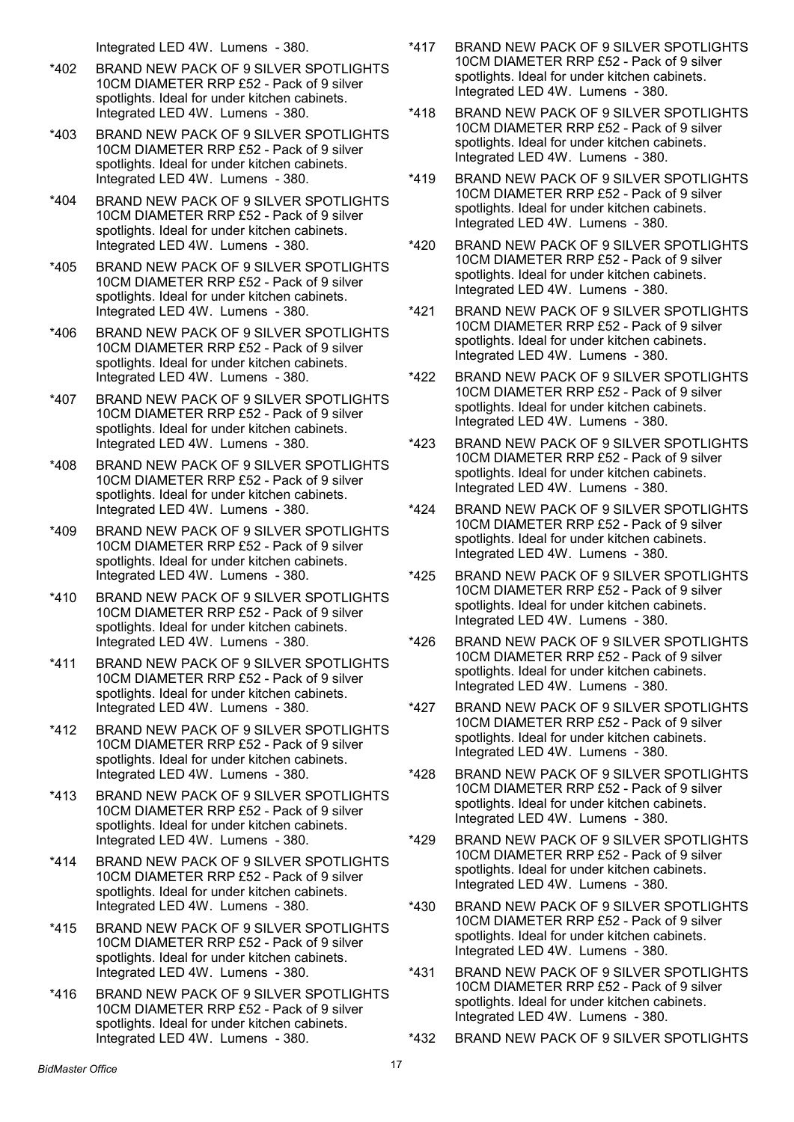Integrated LED 4W. Lumens - 380.

- \*402 BRAND NEW PACK OF 9 SILVER SPOTLIGHTS 10CM DIAMETER RRP £52 - Pack of 9 silver spotlights. Ideal for under kitchen cabinets. Integrated LED 4W. Lumens - 380.
- \*403 BRAND NEW PACK OF 9 SILVER SPOTLIGHTS 10CM DIAMETER RRP £52 - Pack of 9 silver spotlights. Ideal for under kitchen cabinets. Integrated LED 4W. Lumens - 380.
- \*404 BRAND NEW PACK OF 9 SILVER SPOTLIGHTS 10CM DIAMETER RRP £52 - Pack of 9 silver spotlights. Ideal for under kitchen cabinets. Integrated LED 4W. Lumens - 380.
- \*405 BRAND NEW PACK OF 9 SILVER SPOTLIGHTS 10CM DIAMETER RRP £52 - Pack of 9 silver spotlights. Ideal for under kitchen cabinets. Integrated LED 4W. Lumens - 380.
- \*406 BRAND NEW PACK OF 9 SILVER SPOTLIGHTS 10CM DIAMETER RRP £52 - Pack of 9 silver spotlights. Ideal for under kitchen cabinets. Integrated LED 4W. Lumens - 380.
- \*407 BRAND NEW PACK OF 9 SILVER SPOTLIGHTS 10CM DIAMETER RRP £52 - Pack of 9 silver spotlights. Ideal for under kitchen cabinets. Integrated LED 4W. Lumens - 380.
- \*408 BRAND NEW PACK OF 9 SILVER SPOTLIGHTS 10CM DIAMETER RRP £52 - Pack of 9 silver spotlights. Ideal for under kitchen cabinets. Integrated LED 4W. Lumens - 380.
- \*409 BRAND NEW PACK OF 9 SILVER SPOTLIGHTS 10CM DIAMETER RRP £52 - Pack of 9 silver spotlights. Ideal for under kitchen cabinets. Integrated LED 4W. Lumens - 380.
- \*410 BRAND NEW PACK OF 9 SILVER SPOTLIGHTS 10CM DIAMETER RRP £52 - Pack of 9 silver spotlights. Ideal for under kitchen cabinets. Integrated LED 4W. Lumens - 380.
- \*411 BRAND NEW PACK OF 9 SILVER SPOTLIGHTS 10CM DIAMETER RRP £52 - Pack of 9 silver spotlights. Ideal for under kitchen cabinets. Integrated LED 4W. Lumens - 380.
- \*412 BRAND NEW PACK OF 9 SILVER SPOTLIGHTS 10CM DIAMETER RRP £52 - Pack of 9 silver spotlights. Ideal for under kitchen cabinets. Integrated LED 4W. Lumens - 380.
- \*413 BRAND NEW PACK OF 9 SILVER SPOTLIGHTS 10CM DIAMETER RRP £52 - Pack of 9 silver spotlights. Ideal for under kitchen cabinets. Integrated LED 4W. Lumens - 380.
- \*414 BRAND NEW PACK OF 9 SILVER SPOTLIGHTS 10CM DIAMETER RRP £52 - Pack of 9 silver spotlights. Ideal for under kitchen cabinets. Integrated LED 4W. Lumens - 380.
- \*415 BRAND NEW PACK OF 9 SILVER SPOTLIGHTS 10CM DIAMETER RRP £52 - Pack of 9 silver spotlights. Ideal for under kitchen cabinets. Integrated LED 4W. Lumens - 380.
- \*416 BRAND NEW PACK OF 9 SILVER SPOTLIGHTS 10CM DIAMETER RRP £52 - Pack of 9 silver spotlights. Ideal for under kitchen cabinets. Integrated LED 4W. Lumens - 380.
- \*417 BRAND NEW PACK OF 9 SILVER SPOTLIGHTS 10CM DIAMETER RRP £52 - Pack of 9 silver spotlights. Ideal for under kitchen cabinets. Integrated LED 4W. Lumens - 380.
- \*418 BRAND NEW PACK OF 9 SILVER SPOTLIGHTS 10CM DIAMETER RRP £52 - Pack of 9 silver spotlights. Ideal for under kitchen cabinets. Integrated LED 4W. Lumens - 380.
- \*419 BRAND NEW PACK OF 9 SILVER SPOTLIGHTS 10CM DIAMETER RRP £52 - Pack of 9 silver spotlights. Ideal for under kitchen cabinets. Integrated LED 4W. Lumens - 380.
- \*420 BRAND NEW PACK OF 9 SILVER SPOTLIGHTS 10CM DIAMETER RRP £52 - Pack of 9 silver spotlights. Ideal for under kitchen cabinets. Integrated LED 4W. Lumens - 380.
- \*421 BRAND NEW PACK OF 9 SILVER SPOTLIGHTS 10CM DIAMETER RRP £52 - Pack of 9 silver spotlights. Ideal for under kitchen cabinets. Integrated LED 4W. Lumens - 380.
- \*422 BRAND NEW PACK OF 9 SILVER SPOTLIGHTS 10CM DIAMETER RRP £52 - Pack of 9 silver spotlights. Ideal for under kitchen cabinets. Integrated LED 4W. Lumens - 380.
- \*423 BRAND NEW PACK OF 9 SILVER SPOTLIGHTS 10CM DIAMETER RRP £52 - Pack of 9 silver spotlights. Ideal for under kitchen cabinets. Integrated LED 4W. Lumens - 380.
- \*424 BRAND NEW PACK OF 9 SILVER SPOTLIGHTS 10CM DIAMETER RRP £52 - Pack of 9 silver spotlights. Ideal for under kitchen cabinets. Integrated LED 4W. Lumens - 380.
- \*425 BRAND NEW PACK OF 9 SILVER SPOTLIGHTS 10CM DIAMETER RRP £52 - Pack of 9 silver spotlights. Ideal for under kitchen cabinets. Integrated LED 4W. Lumens - 380.
- \*426 BRAND NEW PACK OF 9 SILVER SPOTLIGHTS 10CM DIAMETER RRP £52 - Pack of 9 silver spotlights. Ideal for under kitchen cabinets. Integrated LED 4W. Lumens - 380.
- \*427 BRAND NEW PACK OF 9 SILVER SPOTLIGHTS 10CM DIAMETER RRP £52 - Pack of 9 silver spotlights. Ideal for under kitchen cabinets. Integrated LED 4W. Lumens - 380.
- \*428 BRAND NEW PACK OF 9 SILVER SPOTLIGHTS 10CM DIAMETER RRP £52 - Pack of 9 silver spotlights. Ideal for under kitchen cabinets. Integrated LED 4W. Lumens - 380.
- \*429 BRAND NEW PACK OF 9 SILVER SPOTLIGHTS 10CM DIAMETER RRP £52 - Pack of 9 silver spotlights. Ideal for under kitchen cabinets. Integrated LED 4W. Lumens - 380.
- \*430 BRAND NEW PACK OF 9 SILVER SPOTLIGHTS 10CM DIAMETER RRP £52 - Pack of 9 silver spotlights. Ideal for under kitchen cabinets. Integrated LED 4W. Lumens - 380.
- \*431 BRAND NEW PACK OF 9 SILVER SPOTLIGHTS 10CM DIAMETER RRP £52 - Pack of 9 silver spotlights. Ideal for under kitchen cabinets. Integrated LED 4W. Lumens - 380.
- \*432 BRAND NEW PACK OF 9 SILVER SPOTLIGHTS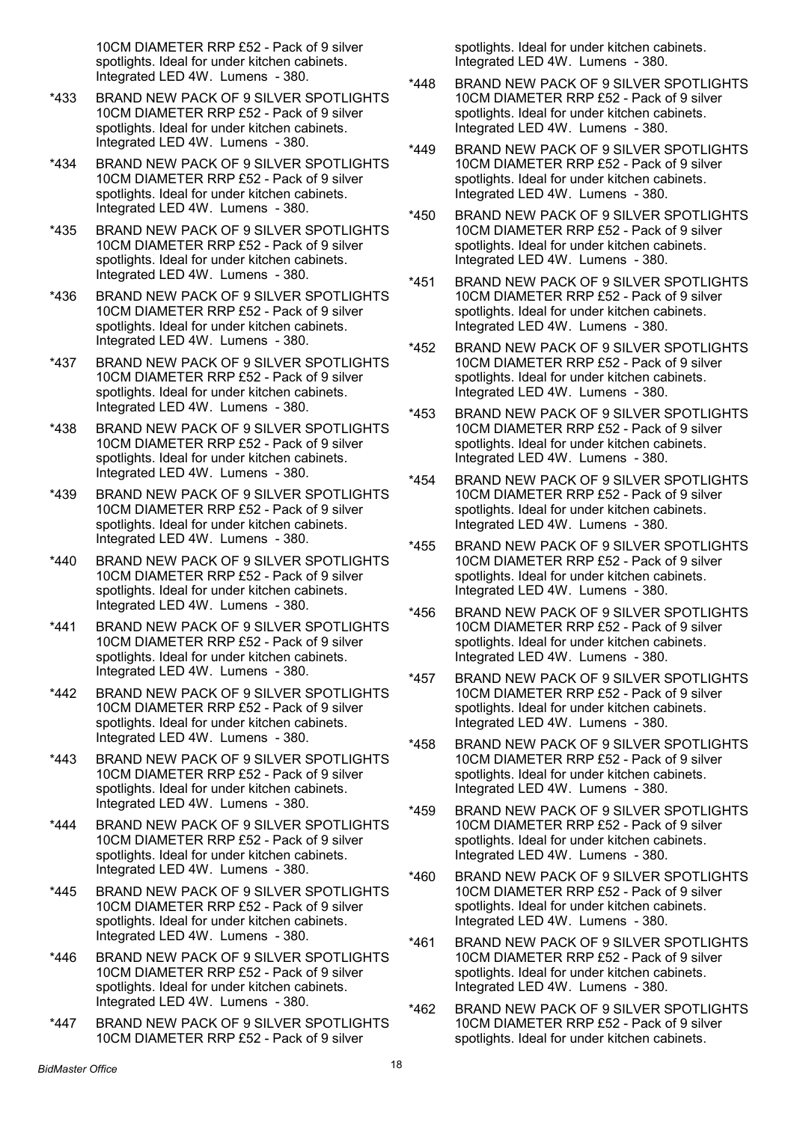10CM DIAMETER RRP £52 - Pack of 9 silver spotlights. Ideal for under kitchen cabinets. Integrated LED 4W. Lumens - 380.

- \*433 BRAND NEW PACK OF 9 SILVER SPOTLIGHTS 10CM DIAMETER RRP £52 - Pack of 9 silver spotlights. Ideal for under kitchen cabinets. Integrated LED 4W. Lumens - 380.
- \*434 BRAND NEW PACK OF 9 SILVER SPOTLIGHTS 10CM DIAMETER RRP £52 - Pack of 9 silver spotlights. Ideal for under kitchen cabinets. Integrated LED 4W. Lumens - 380.
- \*435 BRAND NEW PACK OF 9 SILVER SPOTLIGHTS 10CM DIAMETER RRP £52 - Pack of 9 silver spotlights. Ideal for under kitchen cabinets. Integrated LED 4W. Lumens - 380.
- \*436 BRAND NEW PACK OF 9 SILVER SPOTLIGHTS 10CM DIAMETER RRP £52 - Pack of 9 silver spotlights. Ideal for under kitchen cabinets. Integrated LED 4W. Lumens - 380.
- \*437 BRAND NEW PACK OF 9 SILVER SPOTLIGHTS 10CM DIAMETER RRP £52 - Pack of 9 silver spotlights. Ideal for under kitchen cabinets. Integrated LED 4W. Lumens - 380.
- \*438 BRAND NEW PACK OF 9 SILVER SPOTLIGHTS 10CM DIAMETER RRP £52 - Pack of 9 silver spotlights. Ideal for under kitchen cabinets. Integrated LED 4W. Lumens - 380.
- \*439 BRAND NEW PACK OF 9 SILVER SPOTLIGHTS 10CM DIAMETER RRP £52 - Pack of 9 silver spotlights. Ideal for under kitchen cabinets. Integrated LED 4W. Lumens - 380.
- \*440 BRAND NEW PACK OF 9 SILVER SPOTLIGHTS 10CM DIAMETER RRP £52 - Pack of 9 silver spotlights. Ideal for under kitchen cabinets. Integrated LED 4W. Lumens - 380.
- \*441 BRAND NEW PACK OF 9 SILVER SPOTLIGHTS 10CM DIAMETER RRP £52 - Pack of 9 silver spotlights. Ideal for under kitchen cabinets. Integrated LED 4W. Lumens - 380.
- \*442 BRAND NEW PACK OF 9 SILVER SPOTLIGHTS 10CM DIAMETER RRP £52 - Pack of 9 silver spotlights. Ideal for under kitchen cabinets. Integrated LED 4W. Lumens - 380.
- \*443 BRAND NEW PACK OF 9 SILVER SPOTLIGHTS 10CM DIAMETER RRP £52 - Pack of 9 silver spotlights. Ideal for under kitchen cabinets. Integrated LED 4W. Lumens - 380.
- \*444 BRAND NEW PACK OF 9 SILVER SPOTLIGHTS 10CM DIAMETER RRP £52 - Pack of 9 silver spotlights. Ideal for under kitchen cabinets. Integrated LED 4W. Lumens - 380.
- \*445 BRAND NEW PACK OF 9 SILVER SPOTLIGHTS 10CM DIAMETER RRP £52 - Pack of 9 silver spotlights. Ideal for under kitchen cabinets. Integrated LED 4W. Lumens - 380.
- \*446 BRAND NEW PACK OF 9 SILVER SPOTLIGHTS 10CM DIAMETER RRP £52 - Pack of 9 silver spotlights. Ideal for under kitchen cabinets. Integrated LED 4W. Lumens - 380.
- \*447 BRAND NEW PACK OF 9 SILVER SPOTLIGHTS 10CM DIAMETER RRP £52 - Pack of 9 silver

spotlights. Ideal for under kitchen cabinets. Integrated LED 4W. Lumens - 380.

- \*448 BRAND NEW PACK OF 9 SILVER SPOTLIGHTS 10CM DIAMETER RRP £52 - Pack of 9 silver spotlights. Ideal for under kitchen cabinets. Integrated LED 4W. Lumens - 380.
- \*449 BRAND NEW PACK OF 9 SILVER SPOTLIGHTS 10CM DIAMETER RRP £52 - Pack of 9 silver spotlights. Ideal for under kitchen cabinets. Integrated LED 4W. Lumens - 380.
- \*450 BRAND NEW PACK OF 9 SILVER SPOTLIGHTS 10CM DIAMETER RRP £52 - Pack of 9 silver spotlights. Ideal for under kitchen cabinets. Integrated LED 4W. Lumens - 380.
- \*451 BRAND NEW PACK OF 9 SILVER SPOTLIGHTS 10CM DIAMETER RRP £52 - Pack of 9 silver spotlights. Ideal for under kitchen cabinets. Integrated LED 4W. Lumens - 380.
- \*452 BRAND NEW PACK OF 9 SILVER SPOTLIGHTS 10CM DIAMETER RRP £52 - Pack of 9 silver spotlights. Ideal for under kitchen cabinets. Integrated LED 4W. Lumens - 380.
- \*453 BRAND NEW PACK OF 9 SILVER SPOTLIGHTS 10CM DIAMETER RRP £52 - Pack of 9 silver spotlights. Ideal for under kitchen cabinets. Integrated LED 4W. Lumens - 380.
- \*454 BRAND NEW PACK OF 9 SILVER SPOTLIGHTS 10CM DIAMETER RRP £52 - Pack of 9 silver spotlights. Ideal for under kitchen cabinets. Integrated LED 4W. Lumens - 380.
- \*455 BRAND NEW PACK OF 9 SILVER SPOTLIGHTS 10CM DIAMETER RRP £52 - Pack of 9 silver spotlights. Ideal for under kitchen cabinets. Integrated LED 4W. Lumens - 380.
- \*456 BRAND NEW PACK OF 9 SILVER SPOTLIGHTS 10CM DIAMETER RRP £52 - Pack of 9 silver spotlights. Ideal for under kitchen cabinets. Integrated LED 4W. Lumens - 380.
- \*457 BRAND NEW PACK OF 9 SILVER SPOTLIGHTS 10CM DIAMETER RRP £52 - Pack of 9 silver spotlights. Ideal for under kitchen cabinets. Integrated LED 4W. Lumens - 380.
- \*458 BRAND NEW PACK OF 9 SILVER SPOTLIGHTS 10CM DIAMETER RRP £52 - Pack of 9 silver spotlights. Ideal for under kitchen cabinets. Integrated LED 4W. Lumens - 380.
- \*459 BRAND NEW PACK OF 9 SILVER SPOTLIGHTS 10CM DIAMETER RRP £52 - Pack of 9 silver spotlights. Ideal for under kitchen cabinets. Integrated LED 4W. Lumens - 380.
- \*460 BRAND NEW PACK OF 9 SILVER SPOTLIGHTS 10CM DIAMETER RRP £52 - Pack of 9 silver spotlights. Ideal for under kitchen cabinets. Integrated LED 4W. Lumens - 380.
- \*461 BRAND NEW PACK OF 9 SILVER SPOTLIGHTS 10CM DIAMETER RRP £52 - Pack of 9 silver spotlights. Ideal for under kitchen cabinets. Integrated LED 4W. Lumens - 380.
- \*462 BRAND NEW PACK OF 9 SILVER SPOTLIGHTS 10CM DIAMETER RRP £52 - Pack of 9 silver spotlights. Ideal for under kitchen cabinets.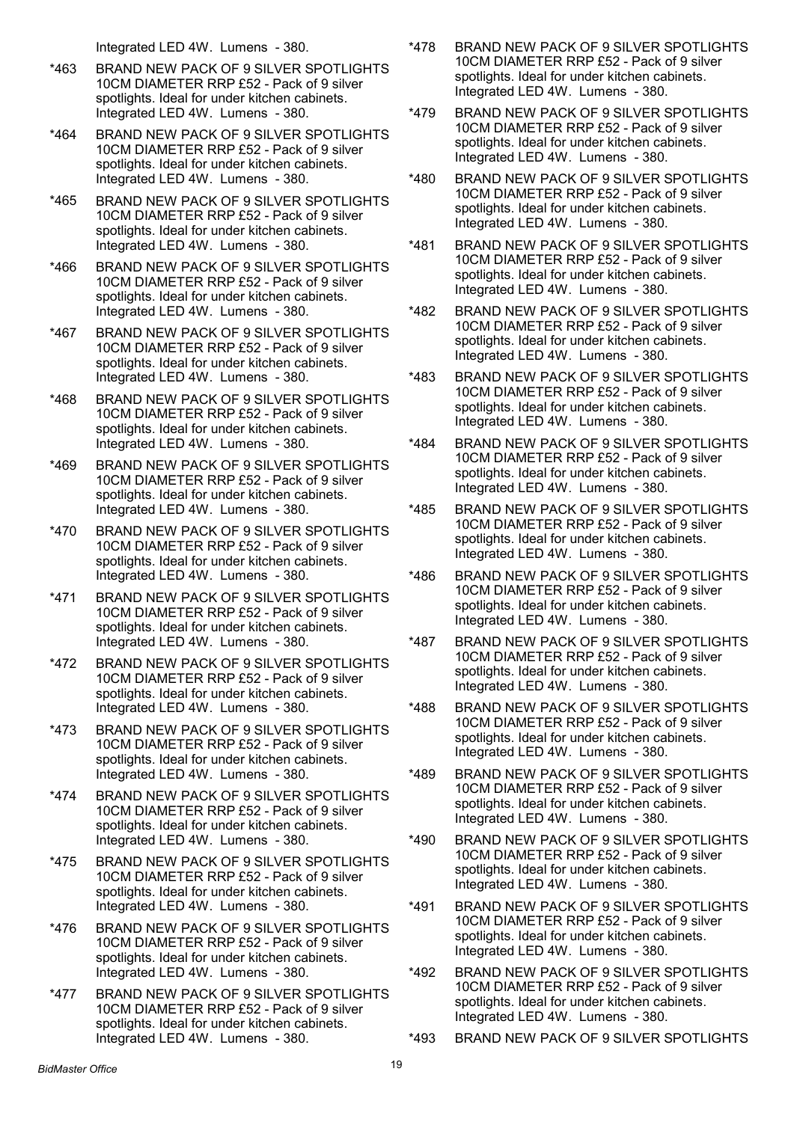Integrated LED 4W. Lumens - 380.

- \*463 BRAND NEW PACK OF 9 SILVER SPOTLIGHTS 10CM DIAMETER RRP £52 - Pack of 9 silver spotlights. Ideal for under kitchen cabinets. Integrated LED 4W. Lumens - 380.
- \*464 BRAND NEW PACK OF 9 SILVER SPOTLIGHTS 10CM DIAMETER RRP £52 - Pack of 9 silver spotlights. Ideal for under kitchen cabinets. Integrated LED 4W. Lumens - 380.
- \*465 BRAND NEW PACK OF 9 SILVER SPOTLIGHTS 10CM DIAMETER RRP £52 - Pack of 9 silver spotlights. Ideal for under kitchen cabinets. Integrated LED 4W. Lumens - 380.
- \*466 BRAND NEW PACK OF 9 SILVER SPOTLIGHTS 10CM DIAMETER RRP £52 - Pack of 9 silver spotlights. Ideal for under kitchen cabinets. Integrated LED 4W. Lumens - 380.
- \*467 BRAND NEW PACK OF 9 SILVER SPOTLIGHTS 10CM DIAMETER RRP £52 - Pack of 9 silver spotlights. Ideal for under kitchen cabinets. Integrated LED 4W. Lumens - 380.
- \*468 BRAND NEW PACK OF 9 SILVER SPOTLIGHTS 10CM DIAMETER RRP £52 - Pack of 9 silver spotlights. Ideal for under kitchen cabinets. Integrated LED 4W. Lumens - 380.
- \*469 BRAND NEW PACK OF 9 SILVER SPOTLIGHTS 10CM DIAMETER RRP £52 - Pack of 9 silver spotlights. Ideal for under kitchen cabinets. Integrated LED 4W. Lumens - 380.
- \*470 BRAND NEW PACK OF 9 SILVER SPOTLIGHTS 10CM DIAMETER RRP £52 - Pack of 9 silver spotlights. Ideal for under kitchen cabinets. Integrated LED 4W. Lumens - 380.
- \*471 BRAND NEW PACK OF 9 SILVER SPOTLIGHTS 10CM DIAMETER RRP £52 - Pack of 9 silver spotlights. Ideal for under kitchen cabinets. Integrated LED 4W. Lumens - 380.
- \*472 BRAND NEW PACK OF 9 SILVER SPOTLIGHTS 10CM DIAMETER RRP £52 - Pack of 9 silver spotlights. Ideal for under kitchen cabinets. Integrated LED 4W. Lumens - 380.
- \*473 BRAND NEW PACK OF 9 SILVER SPOTLIGHTS 10CM DIAMETER RRP £52 - Pack of 9 silver spotlights. Ideal for under kitchen cabinets. Integrated LED 4W. Lumens - 380.
- \*474 BRAND NEW PACK OF 9 SILVER SPOTLIGHTS 10CM DIAMETER RRP £52 - Pack of 9 silver spotlights. Ideal for under kitchen cabinets. Integrated LED 4W. Lumens - 380.
- \*475 BRAND NEW PACK OF 9 SILVER SPOTLIGHTS 10CM DIAMETER RRP £52 - Pack of 9 silver spotlights. Ideal for under kitchen cabinets. Integrated LED 4W. Lumens - 380.
- \*476 BRAND NEW PACK OF 9 SILVER SPOTLIGHTS 10CM DIAMETER RRP £52 - Pack of 9 silver spotlights. Ideal for under kitchen cabinets. Integrated LED 4W. Lumens - 380.
- \*477 BRAND NEW PACK OF 9 SILVER SPOTLIGHTS 10CM DIAMETER RRP £52 - Pack of 9 silver spotlights. Ideal for under kitchen cabinets. Integrated LED 4W. Lumens - 380.
- \*478 BRAND NEW PACK OF 9 SILVER SPOTLIGHTS 10CM DIAMETER RRP £52 - Pack of 9 silver spotlights. Ideal for under kitchen cabinets. Integrated LED 4W. Lumens - 380.
- \*479 BRAND NEW PACK OF 9 SILVER SPOTLIGHTS 10CM DIAMETER RRP £52 - Pack of 9 silver spotlights. Ideal for under kitchen cabinets. Integrated LED 4W. Lumens - 380.
- \*480 BRAND NEW PACK OF 9 SILVER SPOTLIGHTS 10CM DIAMETER RRP £52 - Pack of 9 silver spotlights. Ideal for under kitchen cabinets. Integrated LED 4W. Lumens - 380.
- \*481 BRAND NEW PACK OF 9 SILVER SPOTLIGHTS 10CM DIAMETER RRP £52 - Pack of 9 silver spotlights. Ideal for under kitchen cabinets. Integrated LED 4W. Lumens - 380.
- \*482 BRAND NEW PACK OF 9 SILVER SPOTLIGHTS 10CM DIAMETER RRP £52 - Pack of 9 silver spotlights. Ideal for under kitchen cabinets. Integrated LED 4W. Lumens - 380.
- \*483 BRAND NEW PACK OF 9 SILVER SPOTLIGHTS 10CM DIAMETER RRP £52 - Pack of 9 silver spotlights. Ideal for under kitchen cabinets. Integrated LED 4W. Lumens - 380.
- \*484 BRAND NEW PACK OF 9 SILVER SPOTLIGHTS 10CM DIAMETER RRP £52 - Pack of 9 silver spotlights. Ideal for under kitchen cabinets. Integrated LED 4W. Lumens - 380.
- \*485 BRAND NEW PACK OF 9 SILVER SPOTLIGHTS 10CM DIAMETER RRP £52 - Pack of 9 silver spotlights. Ideal for under kitchen cabinets. Integrated LED 4W. Lumens - 380.
- \*486 BRAND NEW PACK OF 9 SILVER SPOTLIGHTS 10CM DIAMETER RRP £52 - Pack of 9 silver spotlights. Ideal for under kitchen cabinets. Integrated LED 4W. Lumens - 380.
- \*487 BRAND NEW PACK OF 9 SILVER SPOTLIGHTS 10CM DIAMETER RRP £52 - Pack of 9 silver spotlights. Ideal for under kitchen cabinets. Integrated LED 4W. Lumens - 380.
- \*488 BRAND NEW PACK OF 9 SILVER SPOTLIGHTS 10CM DIAMETER RRP £52 - Pack of 9 silver spotlights. Ideal for under kitchen cabinets. Integrated LED 4W. Lumens - 380.
- \*489 BRAND NEW PACK OF 9 SILVER SPOTLIGHTS 10CM DIAMETER RRP £52 - Pack of 9 silver spotlights. Ideal for under kitchen cabinets. Integrated LED 4W. Lumens - 380.
- \*490 BRAND NEW PACK OF 9 SILVER SPOTLIGHTS 10CM DIAMETER RRP £52 - Pack of 9 silver spotlights. Ideal for under kitchen cabinets. Integrated LED 4W. Lumens - 380.
- \*491 BRAND NEW PACK OF 9 SILVER SPOTLIGHTS 10CM DIAMETER RRP £52 - Pack of 9 silver spotlights. Ideal for under kitchen cabinets. Integrated LED 4W. Lumens - 380.
- \*492 BRAND NEW PACK OF 9 SILVER SPOTLIGHTS 10CM DIAMETER RRP £52 - Pack of 9 silver spotlights. Ideal for under kitchen cabinets. Integrated LED 4W. Lumens - 380.
- \*493 BRAND NEW PACK OF 9 SILVER SPOTLIGHTS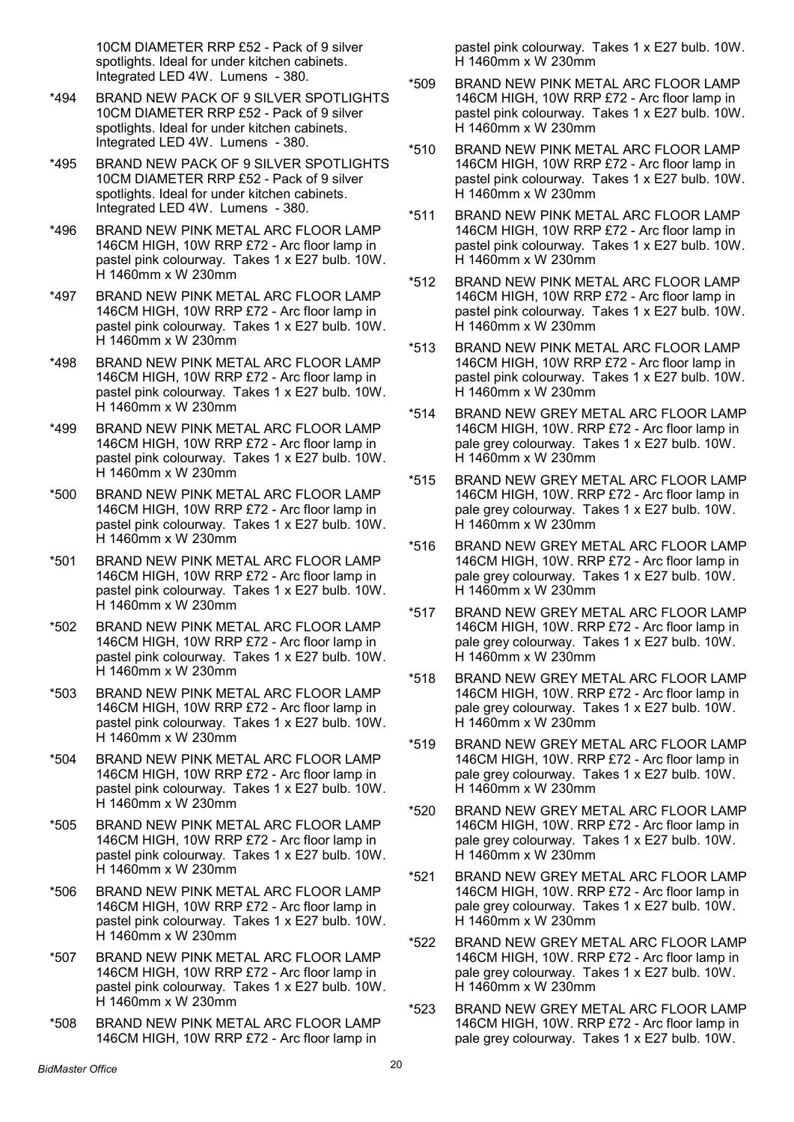10CM DIAMETER RRP £52 - Pack of 9 silver spotlights. Ideal for under kitchen cabinets. Integrated LED 4W. Lumens - 380.

- \*494 BRAND NEW PACK OF 9 SILVER SPOTLIGHTS 10CM DIAMETER RRP £52 - Pack of 9 silver spotlights. Ideal for under kitchen cabinets. Integrated LED 4W. Lumens - 380.
- \*495 BRAND NEW PACK OF 9 SILVER SPOTLIGHTS 10CM DIAMETER RRP £52 - Pack of 9 silver spotlights. Ideal for under kitchen cabinets. Integrated LED 4W. Lumens - 380.
- \*496 BRAND NEW PINK METAL ARC FLOOR LAMP 146CM HIGH, 10W RRP £72 - Arc floor lamp in pastel pink colourway. Takes 1 x E27 bulb. 10W. H 1460mm x W 230mm
- \*497 BRAND NEW PINK METAL ARC FLOOR LAMP 146CM HIGH, 10W RRP £72 - Arc floor lamp in pastel pink colourway. Takes 1 x E27 bulb. 10W. H 1460mm x W 230mm
- \*498 BRAND NEW PINK METAL ARC FLOOR LAMP 146CM HIGH, 10W RRP £72 - Arc floor lamp in pastel pink colourway. Takes 1 x E27 bulb. 10W. H 1460mm x W 230mm
- \*499 BRAND NEW PINK METAL ARC FLOOR LAMP 146CM HIGH, 10W RRP £72 - Arc floor lamp in pastel pink colourway. Takes 1 x E27 bulb. 10W. H 1460mm x W 230mm
- \*500 BRAND NEW PINK METAL ARC FLOOR LAMP 146CM HIGH, 10W RRP £72 - Arc floor lamp in pastel pink colourway. Takes 1 x E27 bulb. 10W. H 1460mm x W 230mm
- \*501 BRAND NEW PINK METAL ARC FLOOR LAMP 146CM HIGH, 10W RRP £72 - Arc floor lamp in pastel pink colourway. Takes 1 x E27 bulb. 10W. H 1460mm x W 230mm
- \*502 BRAND NEW PINK METAL ARC FLOOR LAMP 146CM HIGH, 10W RRP £72 - Arc floor lamp in pastel pink colourway. Takes 1 x E27 bulb. 10W. H 1460mm x W 230mm
- \*503 BRAND NEW PINK METAL ARC FLOOR LAMP 146CM HIGH, 10W RRP £72 - Arc floor lamp in pastel pink colourway. Takes 1 x E27 bulb. 10W. H 1460mm x W 230mm
- \*504 BRAND NEW PINK METAL ARC FLOOR LAMP 146CM HIGH, 10W RRP £72 - Arc floor lamp in pastel pink colourway. Takes 1 x E27 bulb. 10W. H 1460mm x W 230mm
- \*505 BRAND NEW PINK METAL ARC FLOOR LAMP 146CM HIGH, 10W RRP £72 - Arc floor lamp in pastel pink colourway. Takes 1 x E27 bulb. 10W. H 1460mm x W 230mm
- \*506 BRAND NEW PINK METAL ARC FLOOR LAMP 146CM HIGH, 10W RRP £72 - Arc floor lamp in pastel pink colourway. Takes 1 x E27 bulb. 10W. H 1460mm x W 230mm
- \*507 BRAND NEW PINK METAL ARC FLOOR LAMP 146CM HIGH, 10W RRP £72 - Arc floor lamp in pastel pink colourway. Takes 1 x E27 bulb. 10W. H 1460mm x W 230mm
- \*508 BRAND NEW PINK METAL ARC FLOOR LAMP 146CM HIGH, 10W RRP £72 - Arc floor lamp in

pastel pink colourway. Takes 1 x E27 bulb. 10W. H 1460mm x W 230mm

- \*509 BRAND NEW PINK METAL ARC FLOOR LAMP 146CM HIGH, 10W RRP £72 - Arc floor lamp in pastel pink colourway. Takes 1 x E27 bulb. 10W. H 1460mm x W 230mm
- \*510 BRAND NEW PINK METAL ARC FLOOR LAMP 146CM HIGH, 10W RRP £72 - Arc floor lamp in pastel pink colourway. Takes 1 x E27 bulb. 10W. H 1460mm x W 230mm
- \*511 BRAND NEW PINK METAL ARC FLOOR LAMP 146CM HIGH, 10W RRP £72 - Arc floor lamp in pastel pink colourway. Takes 1 x E27 bulb. 10W. H 1460mm x W 230mm
- \*512 BRAND NEW PINK METAL ARC FLOOR LAMP 146CM HIGH, 10W RRP £72 - Arc floor lamp in pastel pink colourway. Takes 1 x E27 bulb. 10W. H 1460mm x W 230mm
- \*513 BRAND NEW PINK METAL ARC FLOOR LAMP 146CM HIGH, 10W RRP £72 - Arc floor lamp in pastel pink colourway. Takes 1 x E27 bulb. 10W. H 1460mm x W 230mm
- \*514 BRAND NEW GREY METAL ARC FLOOR LAMP 146CM HIGH, 10W. RRP £72 - Arc floor lamp in pale grey colourway. Takes 1 x E27 bulb. 10W. H 1460mm x W 230mm
- \*515 BRAND NEW GREY METAL ARC FLOOR LAMP 146CM HIGH, 10W. RRP £72 - Arc floor lamp in pale grey colourway. Takes 1 x E27 bulb. 10W. H 1460mm x W 230mm
- \*516 BRAND NEW GREY METAL ARC FLOOR LAMP 146CM HIGH, 10W. RRP £72 - Arc floor lamp in pale grey colourway. Takes 1 x E27 bulb. 10W. H 1460mm x W 230mm
- \*517 BRAND NEW GREY METAL ARC FLOOR LAMP 146CM HIGH, 10W. RRP £72 - Arc floor lamp in pale grey colourway. Takes 1 x E27 bulb. 10W. H 1460mm x W 230mm
- \*518 BRAND NEW GREY METAL ARC FLOOR LAMP 146CM HIGH, 10W. RRP £72 - Arc floor lamp in pale grey colourway. Takes 1 x E27 bulb. 10W. H 1460mm x W 230mm
- \*519 BRAND NEW GREY METAL ARC FLOOR LAMP 146CM HIGH, 10W. RRP £72 - Arc floor lamp in pale grey colourway. Takes 1 x E27 bulb. 10W. H 1460mm x W 230mm
- \*520 BRAND NEW GREY METAL ARC FLOOR LAMP 146CM HIGH, 10W. RRP £72 - Arc floor lamp in pale grey colourway. Takes 1 x E27 bulb. 10W. H 1460mm x W 230mm
- \*521 BRAND NEW GREY METAL ARC FLOOR LAMP 146CM HIGH, 10W. RRP £72 - Arc floor lamp in pale grey colourway. Takes 1 x E27 bulb. 10W. H 1460mm x W 230mm
- \*522 BRAND NEW GREY METAL ARC FLOOR LAMP 146CM HIGH, 10W. RRP £72 - Arc floor lamp in pale grey colourway. Takes 1 x E27 bulb. 10W. H 1460mm x W 230mm
- \*523 BRAND NEW GREY METAL ARC FLOOR LAMP 146CM HIGH, 10W. RRP £72 - Arc floor lamp in pale grey colourway. Takes 1 x E27 bulb. 10W.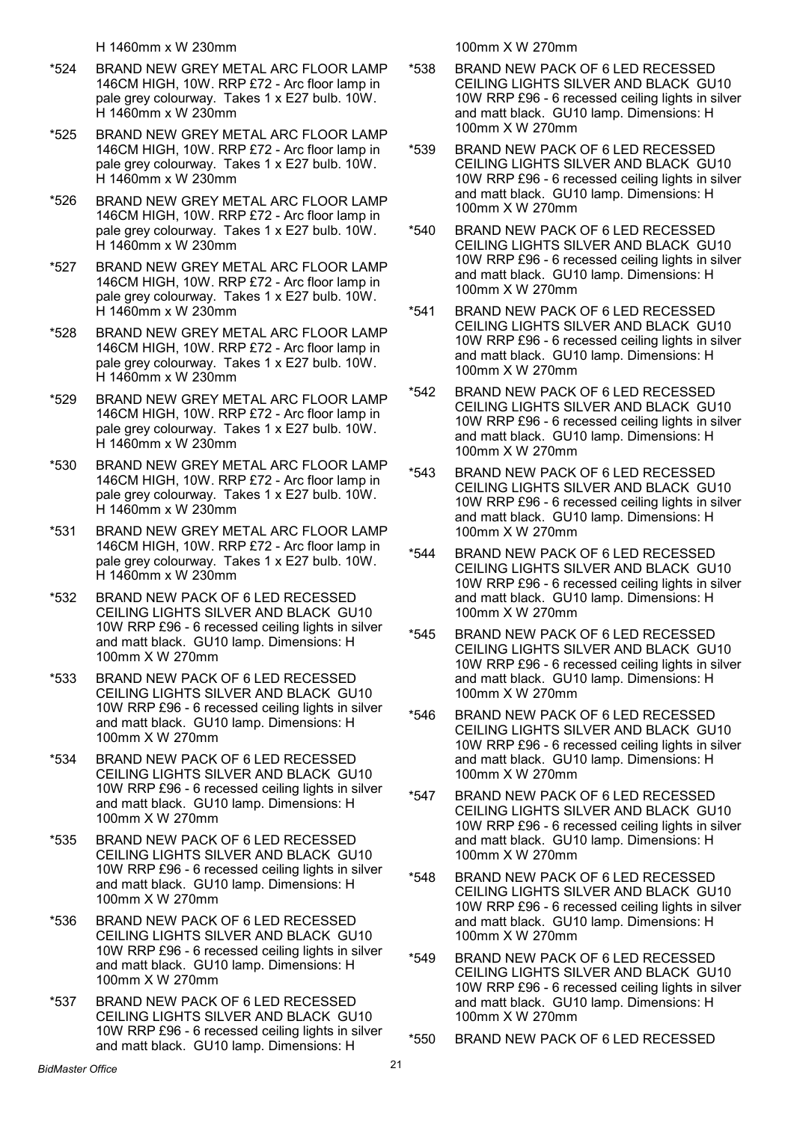- \*524 BRAND NEW GREY METAL ARC FLOOR LAMP 146CM HIGH, 10W. RRP £72 - Arc floor lamp in pale grey colourway. Takes 1 x E27 bulb. 10W. H 1460mm x W 230mm
- \*525 BRAND NEW GREY METAL ARC FLOOR LAMP 146CM HIGH, 10W. RRP £72 - Arc floor lamp in pale grey colourway. Takes 1 x E27 bulb. 10W. H 1460mm x W 230mm
- \*526 BRAND NEW GREY METAL ARC FLOOR LAMP 146CM HIGH, 10W. RRP £72 - Arc floor lamp in pale grey colourway. Takes 1 x E27 bulb. 10W. H 1460mm x W 230mm
- \*527 BRAND NEW GREY METAL ARC FLOOR LAMP 146CM HIGH, 10W. RRP £72 - Arc floor lamp in pale grey colourway. Takes 1 x E27 bulb. 10W. H 1460mm x W 230mm
- \*528 BRAND NEW GREY METAL ARC FLOOR LAMP 146CM HIGH, 10W. RRP £72 - Arc floor lamp in pale grey colourway. Takes 1 x E27 bulb. 10W. H 1460mm x W 230mm
- \*529 BRAND NEW GREY METAL ARC FLOOR LAMP 146CM HIGH, 10W. RRP £72 - Arc floor lamp in pale grey colourway. Takes 1 x E27 bulb. 10W. H 1460mm x W 230mm
- \*530 BRAND NEW GREY METAL ARC FLOOR LAMP 146CM HIGH, 10W. RRP £72 - Arc floor lamp in pale grey colourway. Takes 1 x E27 bulb. 10W. H 1460mm x W 230mm
- \*531 BRAND NEW GREY METAL ARC FLOOR LAMP 146CM HIGH, 10W. RRP £72 - Arc floor lamp in pale grey colourway. Takes 1 x E27 bulb. 10W. H 1460mm x W 230mm
- \*532 BRAND NEW PACK OF 6 LED RECESSED CEILING LIGHTS SILVER AND BLACK GU10 10W RRP £96 - 6 recessed ceiling lights in silver and matt black. GU10 lamp. Dimensions: H 100mm X W 270mm
- \*533 BRAND NEW PACK OF 6 LED RECESSED CEILING LIGHTS SILVER AND BLACK GU10 10W RRP £96 - 6 recessed ceiling lights in silver and matt black. GU10 lamp. Dimensions: H 100mm X W 270mm
- \*534 BRAND NEW PACK OF 6 LED RECESSED CEILING LIGHTS SILVER AND BLACK GU10 10W RRP £96 - 6 recessed ceiling lights in silver and matt black. GU10 lamp. Dimensions: H 100mm X W 270mm
- \*535 BRAND NEW PACK OF 6 LED RECESSED CEILING LIGHTS SILVER AND BLACK GU10 10W RRP £96 - 6 recessed ceiling lights in silver and matt black. GU10 lamp. Dimensions: H 100mm X W 270mm
- \*536 BRAND NEW PACK OF 6 LED RECESSED CEILING LIGHTS SILVER AND BLACK GU10 10W RRP £96 - 6 recessed ceiling lights in silver and matt black. GU10 lamp. Dimensions: H 100mm X W 270mm
- \*537 BRAND NEW PACK OF 6 LED RECESSED CEILING LIGHTS SILVER AND BLACK GU10 10W RRP £96 - 6 recessed ceiling lights in silver and matt black. GU10 lamp. Dimensions: H

100mm X W 270mm

- \*538 BRAND NEW PACK OF 6 LED RECESSED CEILING LIGHTS SILVER AND BLACK GU10 10W RRP £96 - 6 recessed ceiling lights in silver and matt black. GU10 lamp. Dimensions: H 100mm X W 270mm
- \*539 BRAND NEW PACK OF 6 LED RECESSED CEILING LIGHTS SILVER AND BLACK GU10 10W RRP £96 - 6 recessed ceiling lights in silver and matt black. GU10 lamp. Dimensions: H 100mm X W 270mm
- \*540 BRAND NEW PACK OF 6 LED RECESSED CEILING LIGHTS SILVER AND BLACK GU10 10W RRP £96 - 6 recessed ceiling lights in silver and matt black. GU10 lamp. Dimensions: H 100mm X W 270mm
- \*541 BRAND NEW PACK OF 6 LED RECESSED CEILING LIGHTS SILVER AND BLACK GU10 10W RRP £96 - 6 recessed ceiling lights in silver and matt black. GU10 lamp. Dimensions: H 100mm X W 270mm
- \*542 BRAND NEW PACK OF 6 LED RECESSED CEILING LIGHTS SILVER AND BLACK GU10 10W RRP £96 - 6 recessed ceiling lights in silver and matt black. GU10 lamp. Dimensions: H 100mm X W 270mm
- \*543 BRAND NEW PACK OF 6 LED RECESSED CEILING LIGHTS SILVER AND BLACK GU10 10W RRP £96 - 6 recessed ceiling lights in silver and matt black. GU10 lamp. Dimensions: H 100mm X W 270mm
- \*544 BRAND NEW PACK OF 6 LED RECESSED CEILING LIGHTS SILVER AND BLACK GU10 10W RRP £96 - 6 recessed ceiling lights in silver and matt black. GU10 lamp. Dimensions: H 100mm X W 270mm
- \*545 BRAND NEW PACK OF 6 LED RECESSED CEILING LIGHTS SILVER AND BLACK GU10 10W RRP £96 - 6 recessed ceiling lights in silver and matt black. GU10 lamp. Dimensions: H 100mm X W 270mm
- \*546 BRAND NEW PACK OF 6 LED RECESSED CEILING LIGHTS SILVER AND BLACK GU10 10W RRP £96 - 6 recessed ceiling lights in silver and matt black. GU10 lamp. Dimensions: H 100mm X W 270mm
- \*547 BRAND NEW PACK OF 6 LED RECESSED CEILING LIGHTS SILVER AND BLACK GU10 10W RRP £96 - 6 recessed ceiling lights in silver and matt black. GU10 lamp. Dimensions: H 100mm X W 270mm
- \*548 BRAND NEW PACK OF 6 LED RECESSED CEILING LIGHTS SILVER AND BLACK GU10 10W RRP £96 - 6 recessed ceiling lights in silver and matt black. GU10 lamp. Dimensions: H 100mm X W 270mm
- \*549 BRAND NEW PACK OF 6 LED RECESSED CEILING LIGHTS SILVER AND BLACK GU10 10W RRP £96 - 6 recessed ceiling lights in silver and matt black. GU10 lamp. Dimensions: H 100mm X W 270mm
- \*550 BRAND NEW PACK OF 6 LED RECESSED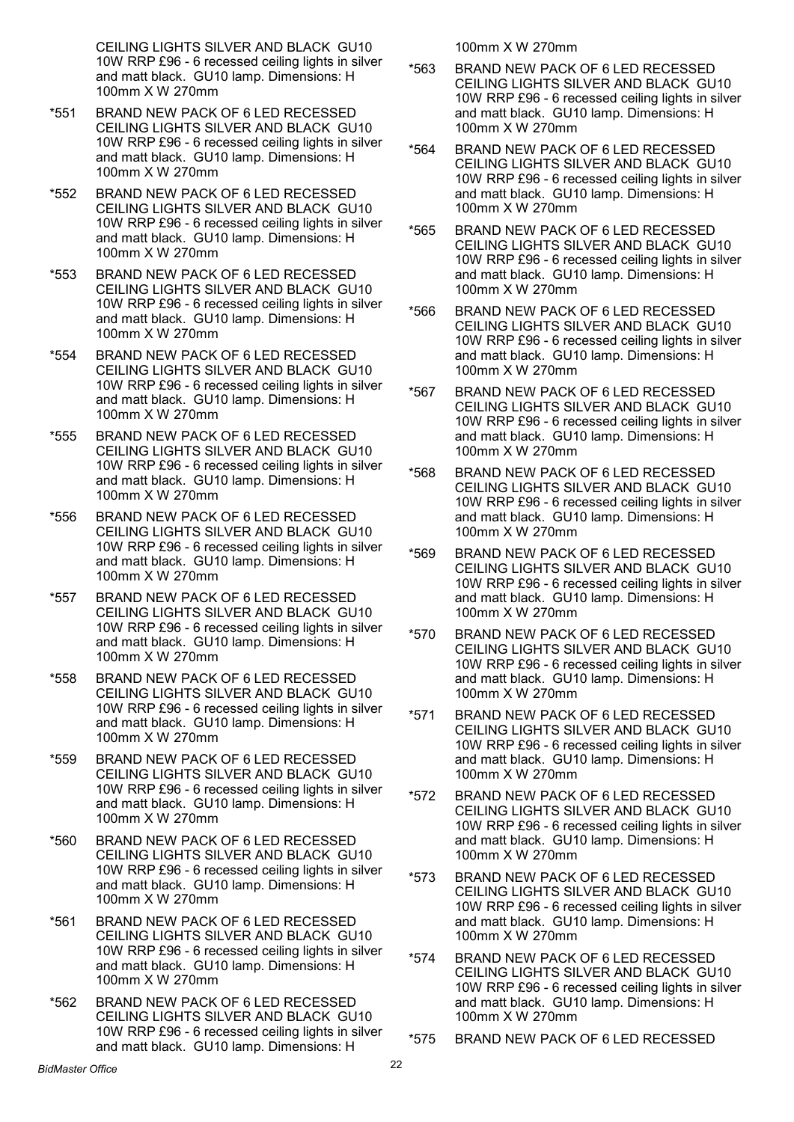CEILING LIGHTS SILVER AND BLACK GU10 10W RRP £96 - 6 recessed ceiling lights in silver and matt black. GU10 lamp. Dimensions: H 100mm X W 270mm

- \*551 BRAND NEW PACK OF 6 LED RECESSED CEILING LIGHTS SILVER AND BLACK GU10 10W RRP £96 - 6 recessed ceiling lights in silver and matt black. GU10 lamp. Dimensions: H 100mm X W 270mm
- \*552 BRAND NEW PACK OF 6 LED RECESSED CEILING LIGHTS SILVER AND BLACK GU10 10W RRP £96 - 6 recessed ceiling lights in silver and matt black. GU10 lamp. Dimensions: H 100mm X W 270mm
- \*553 BRAND NEW PACK OF 6 LED RECESSED CEILING LIGHTS SILVER AND BLACK GU10 10W RRP £96 - 6 recessed ceiling lights in silver and matt black. GU10 lamp. Dimensions: H 100mm X W 270mm
- \*554 BRAND NEW PACK OF 6 LED RECESSED CEILING LIGHTS SILVER AND BLACK GU10 10W RRP £96 - 6 recessed ceiling lights in silver and matt black. GU10 lamp. Dimensions: H 100mm X W 270mm
- \*555 BRAND NEW PACK OF 6 LED RECESSED CEILING LIGHTS SILVER AND BLACK GU10 10W RRP £96 - 6 recessed ceiling lights in silver and matt black. GU10 lamp. Dimensions: H 100mm X W 270mm
- \*556 BRAND NEW PACK OF 6 LED RECESSED CEILING LIGHTS SILVER AND BLACK GU10 10W RRP £96 - 6 recessed ceiling lights in silver and matt black. GU10 lamp. Dimensions: H 100mm X W 270mm
- \*557 BRAND NEW PACK OF 6 LED RECESSED CEILING LIGHTS SILVER AND BLACK GU10 10W RRP £96 - 6 recessed ceiling lights in silver and matt black. GU10 lamp. Dimensions: H 100mm X W 270mm
- \*558 BRAND NEW PACK OF 6 LED RECESSED CEILING LIGHTS SILVER AND BLACK GU10 10W RRP £96 - 6 recessed ceiling lights in silver and matt black. GU10 lamp. Dimensions: H 100mm X W 270mm
- \*559 BRAND NEW PACK OF 6 LED RECESSED CEILING LIGHTS SILVER AND BLACK GU10 10W RRP £96 - 6 recessed ceiling lights in silver and matt black. GU10 lamp. Dimensions: H 100mm X W 270mm
- \*560 BRAND NEW PACK OF 6 LED RECESSED CEILING LIGHTS SILVER AND BLACK GU10 10W RRP £96 - 6 recessed ceiling lights in silver and matt black. GU10 lamp. Dimensions: H 100mm X W 270mm
- \*561 BRAND NEW PACK OF 6 LED RECESSED CEILING LIGHTS SILVER AND BLACK GU10 10W RRP £96 - 6 recessed ceiling lights in silver and matt black. GU10 lamp. Dimensions: H 100mm X W 270mm
- \*562 BRAND NEW PACK OF 6 LED RECESSED CEILING LIGHTS SILVER AND BLACK GU10 10W RRP £96 - 6 recessed ceiling lights in silver and matt black. GU10 lamp. Dimensions: H

100mm X W 270mm

- \*563 BRAND NEW PACK OF 6 LED RECESSED CEILING LIGHTS SILVER AND BLACK GU10 10W RRP £96 - 6 recessed ceiling lights in silver and matt black. GU10 lamp. Dimensions: H 100mm X W 270mm
- \*564 BRAND NEW PACK OF 6 LED RECESSED CEILING LIGHTS SILVER AND BLACK GU10 10W RRP £96 - 6 recessed ceiling lights in silver and matt black. GU10 lamp. Dimensions: H 100mm X W 270mm
- \*565 BRAND NEW PACK OF 6 LED RECESSED CEILING LIGHTS SILVER AND BLACK GU10 10W RRP £96 - 6 recessed ceiling lights in silver and matt black. GU10 lamp. Dimensions: H 100mm X W 270mm
- \*566 BRAND NEW PACK OF 6 LED RECESSED CEILING LIGHTS SILVER AND BLACK GU10 10W RRP £96 - 6 recessed ceiling lights in silver and matt black. GU10 lamp. Dimensions: H 100mm X W 270mm
- \*567 BRAND NEW PACK OF 6 LED RECESSED CEILING LIGHTS SILVER AND BLACK GU10 10W RRP £96 - 6 recessed ceiling lights in silver and matt black. GU10 lamp. Dimensions: H 100mm X W 270mm
- \*568 BRAND NEW PACK OF 6 LED RECESSED CEILING LIGHTS SILVER AND BLACK GU10 10W RRP £96 - 6 recessed ceiling lights in silver and matt black. GU10 lamp. Dimensions: H 100mm X W 270mm
- \*569 BRAND NEW PACK OF 6 LED RECESSED CEILING LIGHTS SILVER AND BLACK GU10 10W RRP £96 - 6 recessed ceiling lights in silver and matt black. GU10 lamp. Dimensions: H 100mm X W 270mm
- \*570 BRAND NEW PACK OF 6 LED RECESSED CEILING LIGHTS SILVER AND BLACK GU10 10W RRP £96 - 6 recessed ceiling lights in silver and matt black. GU10 lamp. Dimensions: H 100mm X W 270mm
- \*571 BRAND NEW PACK OF 6 LED RECESSED CEILING LIGHTS SILVER AND BLACK GU10 10W RRP £96 - 6 recessed ceiling lights in silver and matt black. GU10 lamp. Dimensions: H 100mm X W 270mm
- \*572 BRAND NEW PACK OF 6 LED RECESSED CEILING LIGHTS SILVER AND BLACK GU10 10W RRP £96 - 6 recessed ceiling lights in silver and matt black. GU10 lamp. Dimensions: H 100mm X W 270mm
- \*573 BRAND NEW PACK OF 6 LED RECESSED CEILING LIGHTS SILVER AND BLACK GU10 10W RRP £96 - 6 recessed ceiling lights in silver and matt black. GU10 lamp. Dimensions: H 100mm X W 270mm
- \*574 BRAND NEW PACK OF 6 LED RECESSED CEILING LIGHTS SILVER AND BLACK GU10 10W RRP £96 - 6 recessed ceiling lights in silver and matt black. GU10 lamp. Dimensions: H 100mm X W 270mm
- \*575 BRAND NEW PACK OF 6 LED RECESSED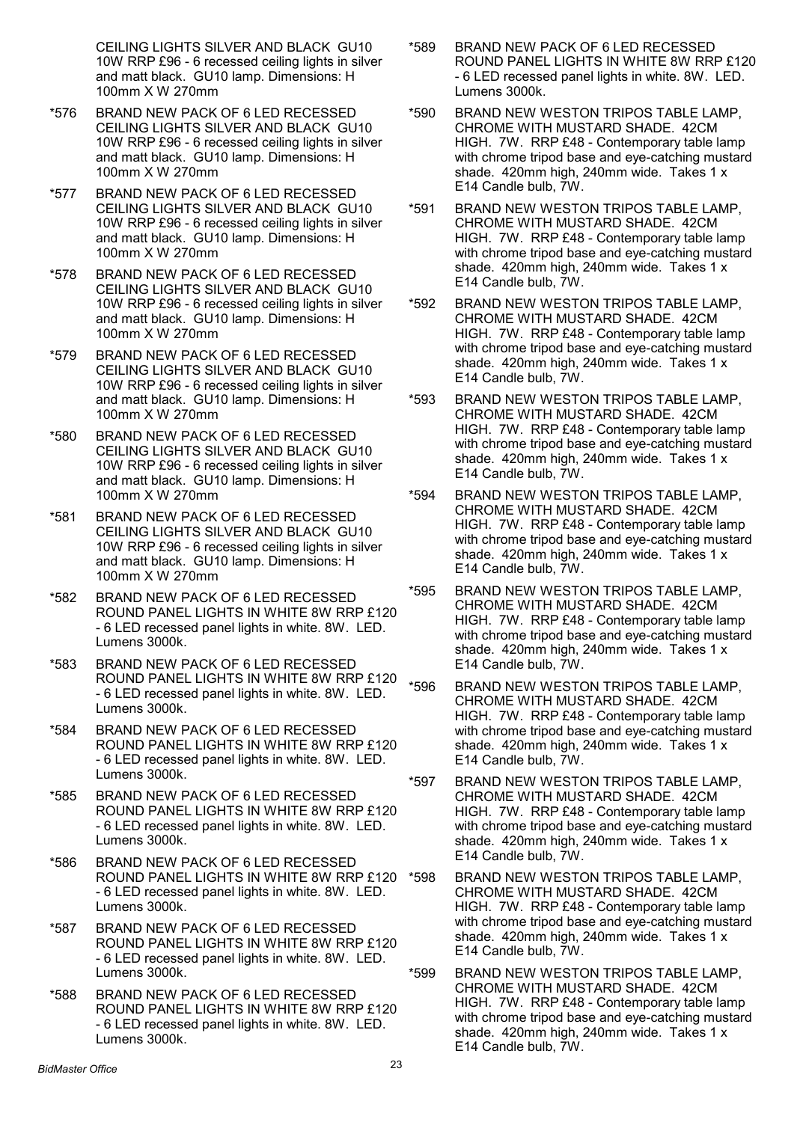CEILING LIGHTS SILVER AND BLACK GU10 10W RRP £96 - 6 recessed ceiling lights in silver and matt black. GU10 lamp. Dimensions: H 100mm X W 270mm

- \*576 BRAND NEW PACK OF 6 LED RECESSED CEILING LIGHTS SILVER AND BLACK GU10 10W RRP £96 - 6 recessed ceiling lights in silver and matt black. GU10 lamp. Dimensions: H 100mm X W 270mm
- \*577 BRAND NEW PACK OF 6 LED RECESSED CEILING LIGHTS SILVER AND BLACK GU10 10W RRP £96 - 6 recessed ceiling lights in silver and matt black. GU10 lamp. Dimensions: H 100mm X W 270mm
- \*578 BRAND NEW PACK OF 6 LED RECESSED CEILING LIGHTS SILVER AND BLACK GU10 10W RRP £96 - 6 recessed ceiling lights in silver and matt black. GU10 lamp. Dimensions: H 100mm X W 270mm
- \*579 BRAND NEW PACK OF 6 LED RECESSED CEILING LIGHTS SILVER AND BLACK GU10 10W RRP £96 - 6 recessed ceiling lights in silver and matt black. GU10 lamp. Dimensions: H 100mm X W 270mm
- \*580 BRAND NEW PACK OF 6 LED RECESSED CEILING LIGHTS SILVER AND BLACK GU10 10W RRP £96 - 6 recessed ceiling lights in silver and matt black. GU10 lamp. Dimensions: H 100mm X W 270mm
- \*581 BRAND NEW PACK OF 6 LED RECESSED CEILING LIGHTS SILVER AND BLACK GU10 10W RRP £96 - 6 recessed ceiling lights in silver and matt black. GU10 lamp. Dimensions: H 100mm X W 270mm
- \*582 BRAND NEW PACK OF 6 LED RECESSED ROUND PANEL LIGHTS IN WHITE 8W RRP £120 - 6 LED recessed panel lights in white. 8W. LED. Lumens 3000k.
- \*583 BRAND NEW PACK OF 6 LED RECESSED ROUND PANEL LIGHTS IN WHITE 8W RRP £120 - 6 LED recessed panel lights in white. 8W. LED. Lumens 3000k.
- \*584 BRAND NEW PACK OF 6 LED RECESSED ROUND PANEL LIGHTS IN WHITE 8W RRP £120 - 6 LED recessed panel lights in white. 8W. LED. Lumens 3000k.
- \*585 BRAND NEW PACK OF 6 LED RECESSED ROUND PANEL LIGHTS IN WHITE 8W RRP £120 - 6 LED recessed panel lights in white. 8W. LED. Lumens 3000k.
- \*586 BRAND NEW PACK OF 6 LED RECESSED ROUND PANEL LIGHTS IN WHITE 8W RRP £120 - 6 LED recessed panel lights in white. 8W. LED. Lumens 3000k.
- \*587 BRAND NEW PACK OF 6 LED RECESSED ROUND PANEL LIGHTS IN WHITE 8W RRP £120 - 6 LED recessed panel lights in white. 8W. LED. Lumens 3000k.
- \*588 BRAND NEW PACK OF 6 LED RECESSED ROUND PANEL LIGHTS IN WHITE 8W RRP £120 - 6 LED recessed panel lights in white. 8W. LED. Lumens 3000k.
- \*589 BRAND NEW PACK OF 6 LED RECESSED ROUND PANEL LIGHTS IN WHITE 8W RRP £120 - 6 LED recessed panel lights in white. 8W. LED. Lumens 3000k.
- \*590 BRAND NEW WESTON TRIPOS TABLE LAMP, CHROME WITH MUSTARD SHADE. 42CM HIGH. 7W. RRP £48 - Contemporary table lamp with chrome tripod base and eve-catching mustard shade. 420mm high, 240mm wide. Takes 1 x E14 Candle bulb, 7W.
- \*591 BRAND NEW WESTON TRIPOS TABLE LAMP, CHROME WITH MUSTARD SHADE. 42CM HIGH. 7W. RRP £48 - Contemporary table lamp with chrome tripod base and eye-catching mustard shade. 420mm high, 240mm wide. Takes 1 x E14 Candle bulb, 7W.
- \*592 BRAND NEW WESTON TRIPOS TABLE LAMP, CHROME WITH MUSTARD SHADE. 42CM HIGH. 7W. RRP £48 - Contemporary table lamp with chrome tripod base and eve-catching mustard shade. 420mm high, 240mm wide. Takes 1 x E14 Candle bulb, 7W.
- \*593 BRAND NEW WESTON TRIPOS TABLE LAMP, CHROME WITH MUSTARD SHADE. 42CM HIGH. 7W. RRP £48 - Contemporary table lamp with chrome tripod base and eye-catching mustard shade. 420mm high, 240mm wide. Takes 1 x E14 Candle bulb, 7W.
- \*594 BRAND NEW WESTON TRIPOS TABLE LAMP, CHROME WITH MUSTARD SHADE. 42CM HIGH. 7W. RRP £48 - Contemporary table lamp with chrome tripod base and eye-catching mustard shade. 420mm high, 240mm wide. Takes 1 x E14 Candle bulb, 7W.
- \*595 BRAND NEW WESTON TRIPOS TABLE LAMP, CHROME WITH MUSTARD SHADE. 42CM HIGH. 7W. RRP £48 - Contemporary table lamp with chrome tripod base and eve-catching mustard shade. 420mm high, 240mm wide. Takes 1 x E14 Candle bulb, 7W.
- \*596 BRAND NEW WESTON TRIPOS TABLE LAMP, CHROME WITH MUSTARD SHADE. 42CM HIGH. 7W. RRP £48 - Contemporary table lamp with chrome tripod base and eye-catching mustard shade. 420mm high, 240mm wide. Takes 1 x E14 Candle bulb, 7W.
- \*597 BRAND NEW WESTON TRIPOS TABLE LAMP, CHROME WITH MUSTARD SHADE. 42CM HIGH. 7W. RRP £48 - Contemporary table lamp with chrome tripod base and eve-catching mustard shade. 420mm high, 240mm wide. Takes 1 x E14 Candle bulb, 7W.
	- BRAND NEW WESTON TRIPOS TABLE LAMP, CHROME WITH MUSTARD SHADE. 42CM HIGH. 7W. RRP £48 - Contemporary table lamp with chrome tripod base and eye-catching mustard shade. 420mm high, 240mm wide. Takes 1 x E14 Candle bulb, 7W.
- \*599 BRAND NEW WESTON TRIPOS TABLE LAMP, CHROME WITH MUSTARD SHADE. 42CM HIGH. 7W. RRP £48 - Contemporary table lamp with chrome tripod base and eye-catching mustard shade. 420mm high, 240mm wide. Takes 1 x E14 Candle bulb, 7W.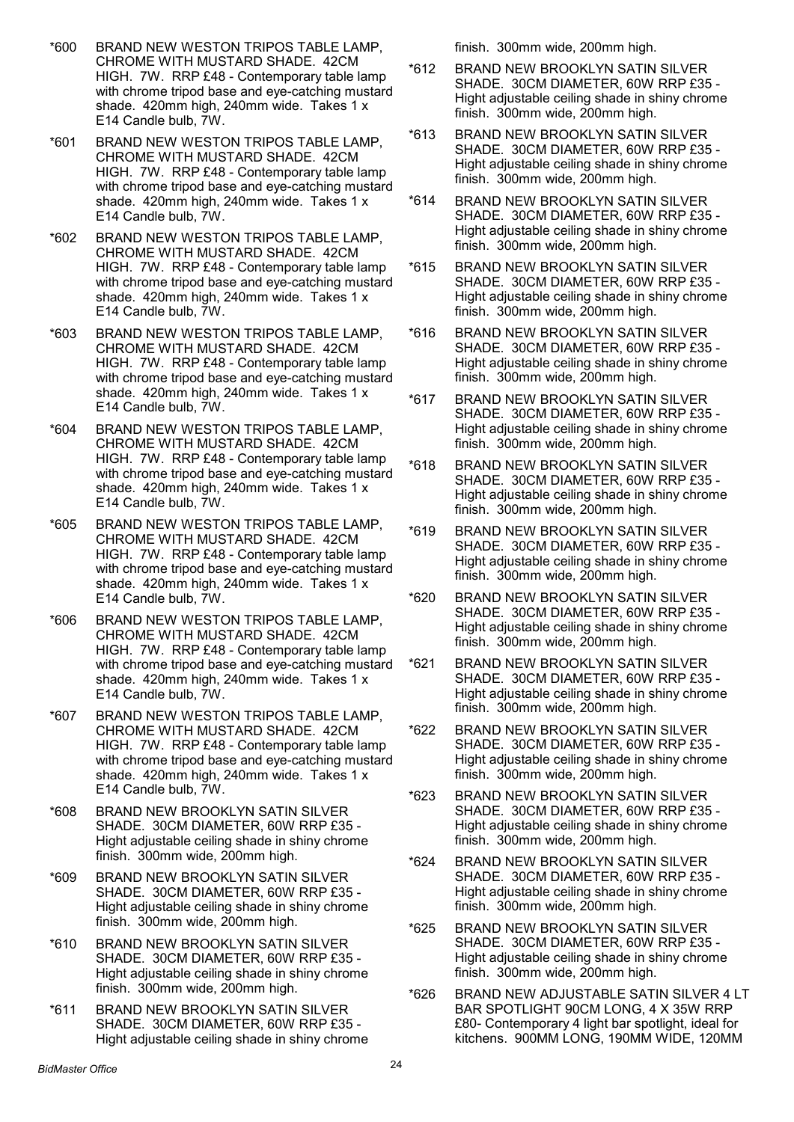- \*600 BRAND NEW WESTON TRIPOS TABLE LAMP, CHROME WITH MUSTARD SHADE. 42CM HIGH. 7W. RRP £48 - Contemporary table lamp with chrome tripod base and eye-catching mustard shade. 420mm high, 240mm wide. Takes 1 x E14 Candle bulb, 7W.
- \*601 BRAND NEW WESTON TRIPOS TABLE LAMP, CHROME WITH MUSTARD SHADE. 42CM HIGH. 7W. RRP £48 - Contemporary table lamp with chrome tripod base and eye-catching mustard shade. 420mm high, 240mm wide. Takes 1 x E14 Candle bulb, 7W.
- \*602 BRAND NEW WESTON TRIPOS TABLE LAMP, CHROME WITH MUSTARD SHADE. 42CM HIGH. 7W. RRP £48 - Contemporary table lamp with chrome tripod base and eye-catching mustard shade. 420mm high, 240mm wide. Takes 1 x E14 Candle bulb, 7W.
- \*603 BRAND NEW WESTON TRIPOS TABLE LAMP, CHROME WITH MUSTARD SHADE. 42CM HIGH. 7W. RRP £48 - Contemporary table lamp with chrome tripod base and eye-catching mustard shade. 420mm high, 240mm wide. Takes 1 x E14 Candle bulb, 7W.
- \*604 BRAND NEW WESTON TRIPOS TABLE LAMP, CHROME WITH MUSTARD SHADE. 42CM HIGH. 7W. RRP £48 - Contemporary table lamp with chrome tripod base and eye-catching mustard shade. 420mm high, 240mm wide. Takes 1 x E14 Candle bulb, 7W.
- \*605 BRAND NEW WESTON TRIPOS TABLE LAMP, CHROME WITH MUSTARD SHADE. 42CM HIGH. 7W. RRP £48 - Contemporary table lamp with chrome tripod base and eye-catching mustard shade. 420mm high, 240mm wide. Takes 1 x E14 Candle bulb, 7W.
- \*606 BRAND NEW WESTON TRIPOS TABLE LAMP, CHROME WITH MUSTARD SHADE. 42CM HIGH. 7W. RRP £48 - Contemporary table lamp with chrome tripod base and eye-catching mustard shade. 420mm high, 240mm wide. Takes 1 x E14 Candle bulb, 7W.
- \*607 BRAND NEW WESTON TRIPOS TABLE LAMP, CHROME WITH MUSTARD SHADE. 42CM HIGH. 7W. RRP £48 - Contemporary table lamp with chrome tripod base and eye-catching mustard shade. 420mm high, 240mm wide. Takes 1 x E14 Candle bulb, 7W.
- \*608 BRAND NEW BROOKLYN SATIN SILVER SHADE. 30CM DIAMETER, 60W RRP £35 - Hight adjustable ceiling shade in shiny chrome finish. 300mm wide, 200mm high.
- \*609 BRAND NEW BROOKLYN SATIN SILVER SHADE. 30CM DIAMETER, 60W RRP £35 - Hight adjustable ceiling shade in shiny chrome finish. 300mm wide, 200mm high.
- \*610 BRAND NEW BROOKLYN SATIN SILVER SHADE. 30CM DIAMETER, 60W RRP £35 - Hight adjustable ceiling shade in shiny chrome finish. 300mm wide, 200mm high.
- \*611 BRAND NEW BROOKLYN SATIN SILVER SHADE. 30CM DIAMETER, 60W RRP £35 - Hight adjustable ceiling shade in shiny chrome

finish. 300mm wide, 200mm high.

- \*612 BRAND NEW BROOKLYN SATIN SILVER SHADE. 30CM DIAMETER, 60W RRP £35 -Hight adjustable ceiling shade in shiny chrome finish. 300mm wide, 200mm high.
- \*613 BRAND NEW BROOKLYN SATIN SILVER SHADE. 30CM DIAMETER, 60W RRP £35 - Hight adjustable ceiling shade in shiny chrome finish. 300mm wide, 200mm high.
- \*614 BRAND NEW BROOKLYN SATIN SILVER SHADE. 30CM DIAMETER, 60W RRP £35 - Hight adjustable ceiling shade in shiny chrome finish. 300mm wide, 200mm high.
- \*615 BRAND NEW BROOKLYN SATIN SILVER SHADE. 30CM DIAMETER, 60W RRP £35 - Hight adjustable ceiling shade in shiny chrome finish. 300mm wide, 200mm high.
- \*616 BRAND NEW BROOKLYN SATIN SILVER SHADE. 30CM DIAMETER, 60W RRP £35 - Hight adjustable ceiling shade in shiny chrome finish. 300mm wide, 200mm high.
- \*617 BRAND NEW BROOKLYN SATIN SILVER SHADE. 30CM DIAMETER, 60W RRP £35 - Hight adjustable ceiling shade in shiny chrome finish. 300mm wide, 200mm high.
- \*618 BRAND NEW BROOKLYN SATIN SILVER SHADE. 30CM DIAMETER, 60W RRP £35 - Hight adjustable ceiling shade in shiny chrome finish. 300mm wide, 200mm high.
- \*619 BRAND NEW BROOKLYN SATIN SILVER SHADE. 30CM DIAMETER, 60W RRP £35 - Hight adjustable ceiling shade in shiny chrome finish. 300mm wide, 200mm high.
- \*620 BRAND NEW BROOKLYN SATIN SILVER SHADE. 30CM DIAMETER, 60W RRP £35 - Hight adjustable ceiling shade in shiny chrome finish. 300mm wide, 200mm high.
- \*621 BRAND NEW BROOKLYN SATIN SILVER SHADE. 30CM DIAMETER, 60W RRP £35 - Hight adjustable ceiling shade in shiny chrome finish. 300mm wide, 200mm high.
- \*622 BRAND NEW BROOKLYN SATIN SILVER SHADE. 30CM DIAMETER, 60W RRP £35 - Hight adjustable ceiling shade in shiny chrome finish. 300mm wide, 200mm high.
- \*623 BRAND NEW BROOKLYN SATIN SILVER SHADE. 30CM DIAMETER, 60W RRP £35 - Hight adjustable ceiling shade in shiny chrome finish. 300mm wide, 200mm high.
- \*624 BRAND NEW BROOKLYN SATIN SILVER SHADE. 30CM DIAMETER, 60W RRP £35 - Hight adjustable ceiling shade in shiny chrome finish. 300mm wide, 200mm high.
- \*625 BRAND NEW BROOKLYN SATIN SILVER SHADE. 30CM DIAMETER, 60W RRP £35 - Hight adjustable ceiling shade in shiny chrome finish. 300mm wide, 200mm high.
- \*626 BRAND NEW ADJUSTABLE SATIN SILVER 4 LT BAR SPOTLIGHT 90CM LONG, 4 X 35W RRP £80- Contemporary 4 light bar spotlight, ideal for kitchens. 900MM LONG, 190MM WIDE, 120MM